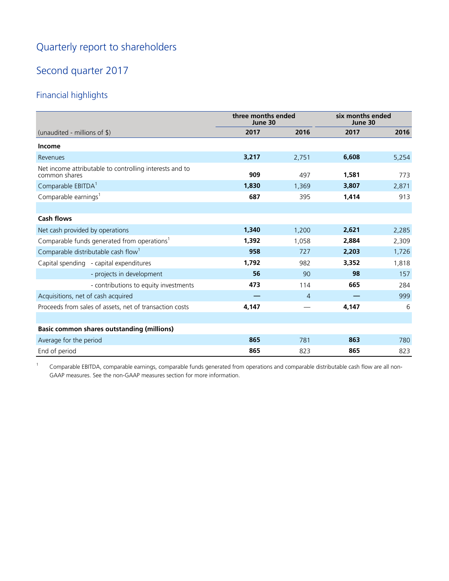# Quarterly report to shareholders

# Second quarter 2017

# Financial highlights

|                                                                          | three months ended<br>June 30 |       | six months ended<br>June 30 |       |
|--------------------------------------------------------------------------|-------------------------------|-------|-----------------------------|-------|
| (unaudited - millions of \$)                                             | 2017                          | 2016  | 2017                        | 2016  |
| <b>Income</b>                                                            |                               |       |                             |       |
| Revenues                                                                 | 3,217                         | 2,751 | 6,608                       | 5,254 |
| Net income attributable to controlling interests and to<br>common shares | 909                           | 497   | 1,581                       | 773   |
| Comparable EBITDA <sup>1</sup>                                           | 1,830                         | 1,369 | 3,807                       | 2,871 |
| Comparable earnings <sup>1</sup>                                         | 687                           | 395   | 1,414                       | 913   |
|                                                                          |                               |       |                             |       |
| <b>Cash flows</b>                                                        |                               |       |                             |       |
| Net cash provided by operations                                          | 1,340                         | 1,200 | 2,621                       | 2,285 |
| Comparable funds generated from operations <sup>1</sup>                  | 1,392                         | 1,058 | 2,884                       | 2,309 |
| Comparable distributable cash flow <sup>1</sup>                          | 958                           | 727   | 2,203                       | 1,726 |
| Capital spending - capital expenditures                                  | 1,792                         | 982   | 3,352                       | 1,818 |
| - projects in development                                                | 56                            | 90    | 98                          | 157   |
| - contributions to equity investments                                    | 473                           | 114   | 665                         | 284   |
| Acquisitions, net of cash acquired                                       |                               | 4     |                             | 999   |
| Proceeds from sales of assets, net of transaction costs                  | 4,147                         |       | 4,147                       | 6     |
|                                                                          |                               |       |                             |       |
| <b>Basic common shares outstanding (millions)</b>                        |                               |       |                             |       |
| Average for the period                                                   | 865                           | 781   | 863                         | 780   |
| End of period                                                            | 865                           | 823   | 865                         | 823   |

<sup>1</sup> Comparable EBITDA, comparable earnings, comparable funds generated from operations and comparable distributable cash flow are all non-GAAP measures. See the non-GAAP measures section for more information.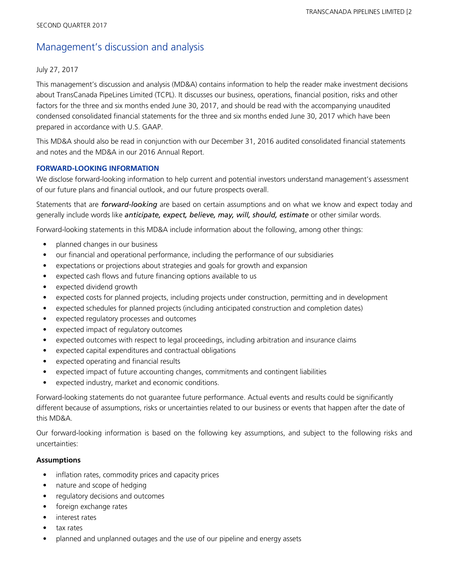# Management's discussion and analysis

## July 27, 2017

This management's discussion and analysis (MD&A) contains information to help the reader make investment decisions about TransCanada PipeLines Limited (TCPL). It discusses our business, operations, financial position, risks and other factors for the three and six months ended June 30, 2017, and should be read with the accompanying unaudited condensed consolidated financial statements for the three and six months ended June 30, 2017 which have been prepared in accordance with U.S. GAAP.

This MD&A should also be read in conjunction with our December 31, 2016 audited consolidated financial statements and notes and the MD&A in our 2016 Annual Report.

### **FORWARD-LOOKING INFORMATION**

We disclose forward-looking information to help current and potential investors understand management's assessment of our future plans and financial outlook, and our future prospects overall.

Statements that are *forward-looking* are based on certain assumptions and on what we know and expect today and generally include words like *anticipate, expect, believe, may, will, should, estimate* or other similar words.

Forward-looking statements in this MD&A include information about the following, among other things:

- planned changes in our business
- our financial and operational performance, including the performance of our subsidiaries
- expectations or projections about strategies and goals for growth and expansion
- expected cash flows and future financing options available to us
- expected dividend growth
- expected costs for planned projects, including projects under construction, permitting and in development
- expected schedules for planned projects (including anticipated construction and completion dates)
- expected regulatory processes and outcomes
- expected impact of regulatory outcomes
- expected outcomes with respect to legal proceedings, including arbitration and insurance claims
- expected capital expenditures and contractual obligations
- expected operating and financial results
- expected impact of future accounting changes, commitments and contingent liabilities
- expected industry, market and economic conditions.

Forward-looking statements do not guarantee future performance. Actual events and results could be significantly different because of assumptions, risks or uncertainties related to our business or events that happen after the date of this MD&A.

Our forward-looking information is based on the following key assumptions, and subject to the following risks and uncertainties:

### **Assumptions**

- inflation rates, commodity prices and capacity prices
- nature and scope of hedging
- regulatory decisions and outcomes
- foreign exchange rates
- interest rates
- tax rates
- planned and unplanned outages and the use of our pipeline and energy assets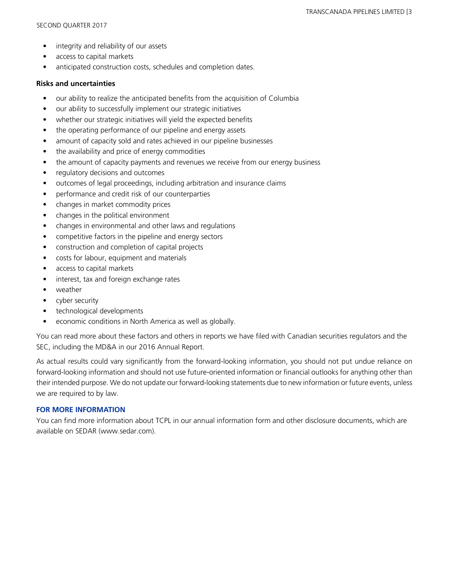- integrity and reliability of our assets
- access to capital markets
- anticipated construction costs, schedules and completion dates.

#### **Risks and uncertainties**

- our ability to realize the anticipated benefits from the acquisition of Columbia
- our ability to successfully implement our strategic initiatives
- whether our strategic initiatives will yield the expected benefits
- the operating performance of our pipeline and energy assets
- amount of capacity sold and rates achieved in our pipeline businesses
- the availability and price of energy commodities
- the amount of capacity payments and revenues we receive from our energy business
- regulatory decisions and outcomes
- outcomes of legal proceedings, including arbitration and insurance claims
- performance and credit risk of our counterparties
- changes in market commodity prices
- changes in the political environment
- changes in environmental and other laws and regulations
- competitive factors in the pipeline and energy sectors
- construction and completion of capital projects
- costs for labour, equipment and materials
- access to capital markets
- interest, tax and foreign exchange rates
- weather
- cyber security
- technological developments
- economic conditions in North America as well as globally.

You can read more about these factors and others in reports we have filed with Canadian securities regulators and the SEC, including the MD&A in our 2016 Annual Report.

As actual results could vary significantly from the forward-looking information, you should not put undue reliance on forward-looking information and should not use future-oriented information or financial outlooks for anything other than their intended purpose. We do not update our forward-looking statements due to new information or future events, unless we are required to by law.

### **FOR MORE INFORMATION**

You can find more information about TCPL in our annual information form and other disclosure documents, which are available on SEDAR (www.sedar.com).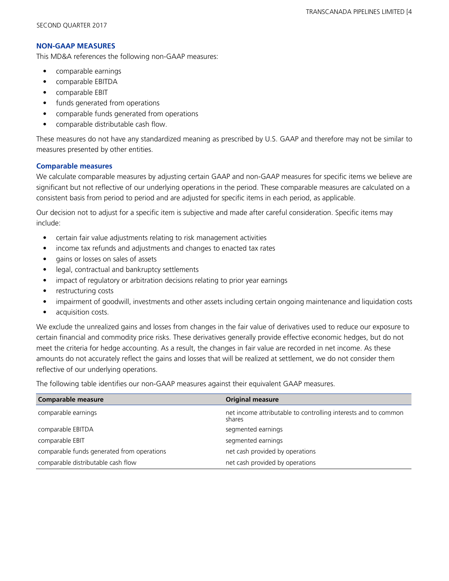### **NON-GAAP MEASURES**

This MD&A references the following non-GAAP measures:

- **•** comparable earnings
- comparable EBITDA
- comparable EBIT
- funds generated from operations
- comparable funds generated from operations
- comparable distributable cash flow.

These measures do not have any standardized meaning as prescribed by U.S. GAAP and therefore may not be similar to measures presented by other entities.

## **Comparable measures**

We calculate comparable measures by adjusting certain GAAP and non-GAAP measures for specific items we believe are significant but not reflective of our underlying operations in the period. These comparable measures are calculated on a consistent basis from period to period and are adjusted for specific items in each period, as applicable.

Our decision not to adjust for a specific item is subjective and made after careful consideration. Specific items may include:

- **•** certain fair value adjustments relating to risk management activities
- **•** income tax refunds and adjustments and changes to enacted tax rates
- **•** gains or losses on sales of assets
- **•** legal, contractual and bankruptcy settlements
- impact of regulatory or arbitration decisions relating to prior year earnings
- restructuring costs
- **•** impairment of goodwill, investments and other assets including certain ongoing maintenance and liquidation costs
- acquisition costs.

We exclude the unrealized gains and losses from changes in the fair value of derivatives used to reduce our exposure to certain financial and commodity price risks. These derivatives generally provide effective economic hedges, but do not meet the criteria for hedge accounting. As a result, the changes in fair value are recorded in net income. As these amounts do not accurately reflect the gains and losses that will be realized at settlement, we do not consider them reflective of our underlying operations.

The following table identifies our non-GAAP measures against their equivalent GAAP measures.

| <b>Comparable measure</b>                  | <b>Original measure</b>                                                  |
|--------------------------------------------|--------------------------------------------------------------------------|
| comparable earnings                        | net income attributable to controlling interests and to common<br>shares |
| comparable EBITDA                          | segmented earnings                                                       |
| comparable EBIT                            | segmented earnings                                                       |
| comparable funds generated from operations | net cash provided by operations                                          |
| comparable distributable cash flow         | net cash provided by operations                                          |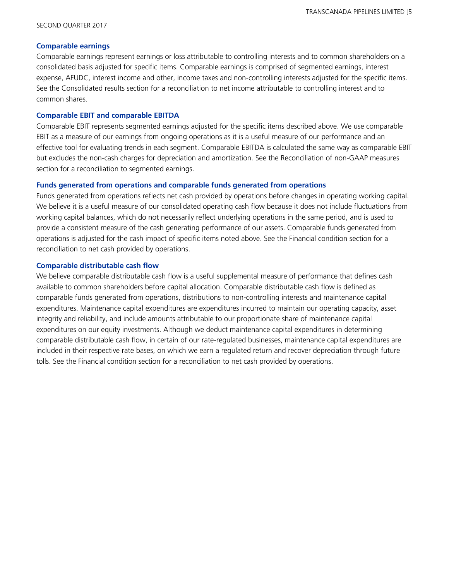#### SECOND QUARTER 2017

#### **Comparable earnings**

Comparable earnings represent earnings or loss attributable to controlling interests and to common shareholders on a consolidated basis adjusted for specific items. Comparable earnings is comprised of segmented earnings, interest expense, AFUDC, interest income and other, income taxes and non-controlling interests adjusted for the specific items. See the Consolidated results section for a reconciliation to net income attributable to controlling interest and to common shares.

#### **Comparable EBIT and comparable EBITDA**

Comparable EBIT represents segmented earnings adjusted for the specific items described above. We use comparable EBIT as a measure of our earnings from ongoing operations as it is a useful measure of our performance and an effective tool for evaluating trends in each segment. Comparable EBITDA is calculated the same way as comparable EBIT but excludes the non-cash charges for depreciation and amortization. See the Reconciliation of non-GAAP measures section for a reconciliation to segmented earnings.

#### **Funds generated from operations and comparable funds generated from operations**

Funds generated from operations reflects net cash provided by operations before changes in operating working capital. We believe it is a useful measure of our consolidated operating cash flow because it does not include fluctuations from working capital balances, which do not necessarily reflect underlying operations in the same period, and is used to provide a consistent measure of the cash generating performance of our assets. Comparable funds generated from operations is adjusted for the cash impact of specific items noted above. See the Financial condition section for a reconciliation to net cash provided by operations.

#### **Comparable distributable cash flow**

We believe comparable distributable cash flow is a useful supplemental measure of performance that defines cash available to common shareholders before capital allocation. Comparable distributable cash flow is defined as comparable funds generated from operations, distributions to non-controlling interests and maintenance capital expenditures. Maintenance capital expenditures are expenditures incurred to maintain our operating capacity, asset integrity and reliability, and include amounts attributable to our proportionate share of maintenance capital expenditures on our equity investments. Although we deduct maintenance capital expenditures in determining comparable distributable cash flow, in certain of our rate-regulated businesses, maintenance capital expenditures are included in their respective rate bases, on which we earn a regulated return and recover depreciation through future tolls. See the Financial condition section for a reconciliation to net cash provided by operations.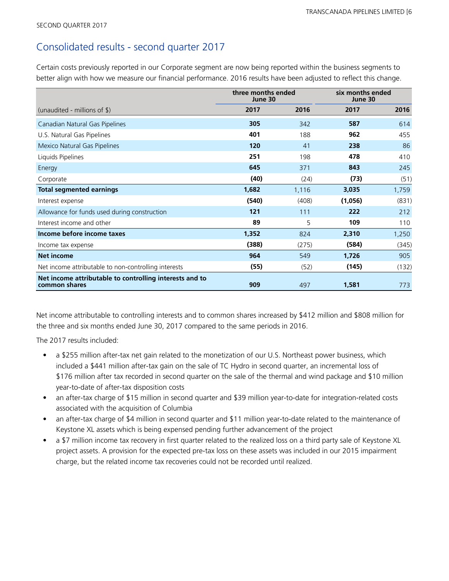# Consolidated results - second quarter 2017

Certain costs previously reported in our Corporate segment are now being reported within the business segments to better align with how we measure our financial performance. 2016 results have been adjusted to reflect this change.

|                                                                          | three months ended<br>June 30 |       | six months ended<br>June 30 |       |
|--------------------------------------------------------------------------|-------------------------------|-------|-----------------------------|-------|
| (unaudited - millions of $\frac{1}{2}$ )                                 | 2017                          | 2016  | 2017                        | 2016  |
| Canadian Natural Gas Pipelines                                           | 305                           | 342   | 587                         | 614   |
| U.S. Natural Gas Pipelines                                               | 401                           | 188   | 962                         | 455   |
| Mexico Natural Gas Pipelines                                             | 120                           | 41    | 238                         | 86    |
| Liquids Pipelines                                                        | 251                           | 198   | 478                         | 410   |
| Energy                                                                   | 645                           | 371   | 843                         | 245   |
| Corporate                                                                | (40)                          | (24)  | (73)                        | (51)  |
| <b>Total segmented earnings</b>                                          | 1,682                         | 1,116 | 3,035                       | 1,759 |
| Interest expense                                                         | (540)                         | (408) | (1,056)                     | (831) |
| Allowance for funds used during construction                             | 121                           | 111   | 222                         | 212   |
| Interest income and other                                                | 89                            | 5     | 109                         | 110   |
| Income before income taxes                                               | 1,352                         | 824   | 2,310                       | 1,250 |
| Income tax expense                                                       | (388)                         | (275) | (584)                       | (345) |
| <b>Net income</b>                                                        | 964                           | 549   | 1,726                       | 905   |
| Net income attributable to non-controlling interests                     | (55)                          | (52)  | (145)                       | (132) |
| Net income attributable to controlling interests and to<br>common shares | 909                           | 497   | 1,581                       | 773   |

Net income attributable to controlling interests and to common shares increased by \$412 million and \$808 million for the three and six months ended June 30, 2017 compared to the same periods in 2016.

The 2017 results included:

- a \$255 million after-tax net gain related to the monetization of our U.S. Northeast power business, which included a \$441 million after-tax gain on the sale of TC Hydro in second quarter, an incremental loss of \$176 million after tax recorded in second quarter on the sale of the thermal and wind package and \$10 million year-to-date of after-tax disposition costs
- an after-tax charge of \$15 million in second quarter and \$39 million year-to-date for integration-related costs associated with the acquisition of Columbia
- an after-tax charge of \$4 million in second quarter and \$11 million year-to-date related to the maintenance of Keystone XL assets which is being expensed pending further advancement of the project
- a \$7 million income tax recovery in first quarter related to the realized loss on a third party sale of Keystone XL project assets. A provision for the expected pre-tax loss on these assets was included in our 2015 impairment charge, but the related income tax recoveries could not be recorded until realized.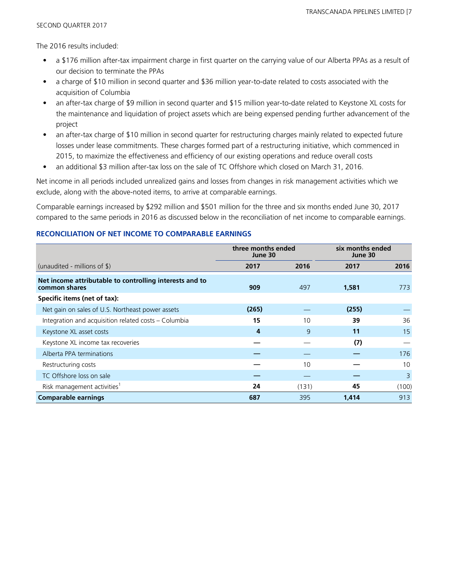The 2016 results included:

- a \$176 million after-tax impairment charge in first quarter on the carrying value of our Alberta PPAs as a result of our decision to terminate the PPAs
- a charge of \$10 million in second quarter and \$36 million year-to-date related to costs associated with the acquisition of Columbia
- an after-tax charge of \$9 million in second quarter and \$15 million year-to-date related to Keystone XL costs for the maintenance and liquidation of project assets which are being expensed pending further advancement of the project
- an after-tax charge of \$10 million in second quarter for restructuring charges mainly related to expected future losses under lease commitments. These charges formed part of a restructuring initiative, which commenced in 2015, to maximize the effectiveness and efficiency of our existing operations and reduce overall costs
- an additional \$3 million after-tax loss on the sale of TC Offshore which closed on March 31, 2016.

Net income in all periods included unrealized gains and losses from changes in risk management activities which we exclude, along with the above-noted items, to arrive at comparable earnings.

Comparable earnings increased by \$292 million and \$501 million for the three and six months ended June 30, 2017 compared to the same periods in 2016 as discussed below in the reconciliation of net income to comparable earnings.

### **RECONCILIATION OF NET INCOME TO COMPARABLE EARNINGS**

|                                                                          | three months ended<br>June 30 |       | six months ended<br>June 30 |       |
|--------------------------------------------------------------------------|-------------------------------|-------|-----------------------------|-------|
| (unaudited - millions of $\$\$ )                                         | 2017                          | 2016  | 2017                        | 2016  |
| Net income attributable to controlling interests and to<br>common shares | 909                           | 497   | 1,581                       | 773   |
| Specific items (net of tax):                                             |                               |       |                             |       |
| Net gain on sales of U.S. Northeast power assets                         | (265)                         |       | (255)                       |       |
| Integration and acquisition related costs - Columbia                     | 15                            | 10    | 39                          | 36    |
| Keystone XL asset costs                                                  | 4                             | 9     | 11                          | 15    |
| Keystone XL income tax recoveries                                        |                               |       | (7)                         |       |
| Alberta PPA terminations                                                 |                               |       |                             | 176   |
| Restructuring costs                                                      |                               | 10    |                             | 10    |
| TC Offshore loss on sale                                                 |                               |       |                             | 3     |
| Risk management activities <sup>1</sup>                                  | 24                            | (131) | 45                          | (100) |
| <b>Comparable earnings</b>                                               | 687                           | 395   | 1,414                       | 913   |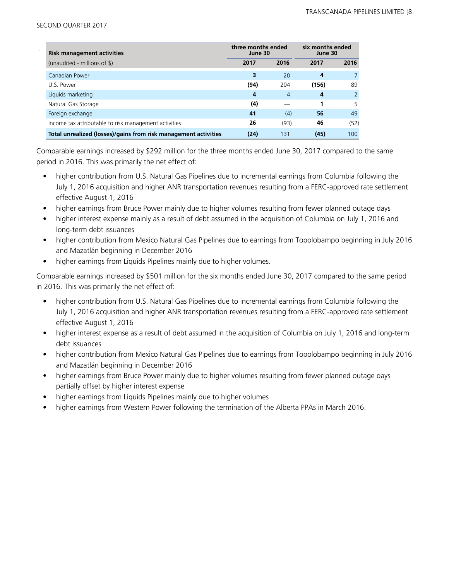| <b>Risk management activities</b>                               | three months ended<br>June 30 |                | six months ended<br>June 30 |               |
|-----------------------------------------------------------------|-------------------------------|----------------|-----------------------------|---------------|
| (unaudited - millions of \$)                                    | 2017                          | 2016           | 2017                        | 2016          |
| Canadian Power                                                  | 3                             | 20             | 4                           |               |
| U.S. Power                                                      | (94)                          | 204            | (156)                       | 89            |
| Liquids marketing                                               | 4                             | $\overline{4}$ | 4                           | $\mathcal{P}$ |
| Natural Gas Storage                                             | (4)                           |                |                             | 5             |
| Foreign exchange                                                | 41                            | (4)            | 56                          | 49            |
| Income tax attributable to risk management activities           | 26                            | (93)           | 46                          | (52)          |
| Total unrealized (losses)/gains from risk management activities | (24)                          | 131            | (45)                        | 100           |

Comparable earnings increased by \$292 million for the three months ended June 30, 2017 compared to the same period in 2016. This was primarily the net effect of:

- higher contribution from U.S. Natural Gas Pipelines due to incremental earnings from Columbia following the July 1, 2016 acquisition and higher ANR transportation revenues resulting from a FERC-approved rate settlement effective August 1, 2016
- higher earnings from Bruce Power mainly due to higher volumes resulting from fewer planned outage days
- higher interest expense mainly as a result of debt assumed in the acquisition of Columbia on July 1, 2016 and long-term debt issuances
- higher contribution from Mexico Natural Gas Pipelines due to earnings from Topolobampo beginning in July 2016 and Mazatlán beginning in December 2016
- higher earnings from Liquids Pipelines mainly due to higher volumes.

Comparable earnings increased by \$501 million for the six months ended June 30, 2017 compared to the same period in 2016. This was primarily the net effect of:

- higher contribution from U.S. Natural Gas Pipelines due to incremental earnings from Columbia following the July 1, 2016 acquisition and higher ANR transportation revenues resulting from a FERC-approved rate settlement effective August 1, 2016
- higher interest expense as a result of debt assumed in the acquisition of Columbia on July 1, 2016 and long-term debt issuances
- higher contribution from Mexico Natural Gas Pipelines due to earnings from Topolobampo beginning in July 2016 and Mazatlán beginning in December 2016
- higher earnings from Bruce Power mainly due to higher volumes resulting from fewer planned outage days partially offset by higher interest expense
- higher earnings from Liquids Pipelines mainly due to higher volumes
- higher earnings from Western Power following the termination of the Alberta PPAs in March 2016.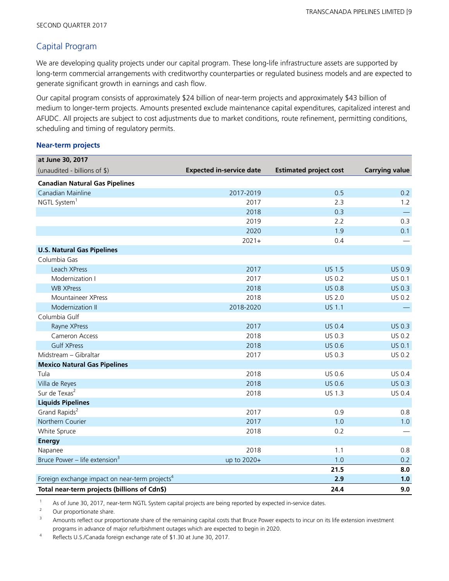## Capital Program

We are developing quality projects under our capital program. These long-life infrastructure assets are supported by long-term commercial arrangements with creditworthy counterparties or regulated business models and are expected to generate significant growth in earnings and cash flow.

Our capital program consists of approximately \$24 billion of near-term projects and approximately \$43 billion of medium to longer-term projects. Amounts presented exclude maintenance capital expenditures, capitalized interest and AFUDC. All projects are subject to cost adjustments due to market conditions, route refinement, permitting conditions, scheduling and timing of regulatory permits.

#### **Near-term projects**

| at June 30, 2017                                           |                                 |                               |                          |
|------------------------------------------------------------|---------------------------------|-------------------------------|--------------------------|
| (unaudited - billions of \$)                               | <b>Expected in-service date</b> | <b>Estimated project cost</b> | <b>Carrying value</b>    |
| <b>Canadian Natural Gas Pipelines</b>                      |                                 |                               |                          |
| Canadian Mainline                                          | 2017-2019                       | 0.5                           | 0.2                      |
| NGTL System <sup>1</sup>                                   | 2017                            | 2.3                           | 1.2                      |
|                                                            | 2018                            | 0.3                           | $\overline{\phantom{m}}$ |
|                                                            | 2019                            | 2.2                           | 0.3                      |
|                                                            | 2020                            | 1.9                           | 0.1                      |
|                                                            | $2021+$                         | 0.4                           |                          |
| <b>U.S. Natural Gas Pipelines</b>                          |                                 |                               |                          |
| Columbia Gas                                               |                                 |                               |                          |
| Leach XPress                                               | 2017                            | <b>US 1.5</b>                 | <b>US 0.9</b>            |
| Modernization I                                            | 2017                            | US 0.2                        | US 0.1                   |
| <b>WB XPress</b>                                           | 2018                            | <b>US 0.8</b>                 | US 0.3                   |
| Mountaineer XPress                                         | 2018                            | US 2.0                        | US 0.2                   |
| Modernization II                                           | 2018-2020                       | <b>US 1.1</b>                 |                          |
| Columbia Gulf                                              |                                 |                               |                          |
| Rayne XPress                                               | 2017                            | <b>US 0.4</b>                 | <b>US 0.3</b>            |
| Cameron Access                                             | 2018                            | US 0.3                        | US 0.2                   |
| <b>Gulf XPress</b>                                         | 2018                            | <b>US 0.6</b>                 | <b>US 0.1</b>            |
| Midstream - Gibraltar                                      | 2017                            | US 0.3                        | US 0.2                   |
| <b>Mexico Natural Gas Pipelines</b>                        |                                 |                               |                          |
| Tula                                                       | 2018                            | US 0.6                        | US 0.4                   |
| Villa de Reyes                                             | 2018                            | <b>US 0.6</b>                 | US 0.3                   |
| Sur de Texas <sup>2</sup>                                  | 2018                            | US 1.3                        | US 0.4                   |
| <b>Liquids Pipelines</b>                                   |                                 |                               |                          |
| Grand Rapids <sup>2</sup>                                  | 2017                            | 0.9                           | 0.8                      |
| Northern Courier                                           | 2017                            | 1.0                           | 1.0                      |
| White Spruce                                               | 2018                            | 0.2                           |                          |
| <b>Energy</b>                                              |                                 |                               |                          |
| Napanee                                                    | 2018                            | 1.1                           | 0.8                      |
| Bruce Power – life extension $3$                           | up to 2020+                     | 1.0                           | 0.2                      |
|                                                            |                                 | 21.5                          | 8.0                      |
| Foreign exchange impact on near-term projects <sup>4</sup> |                                 | 2.9                           | 1.0                      |
| Total near-term projects (billions of Cdn\$)               |                                 | 24.4                          | 9.0                      |

As of June 30, 2017, near-term NGTL System capital projects are being reported by expected in-service dates.

<sup>2</sup> Our proportionate share.

<sup>3</sup> Amounts reflect our proportionate share of the remaining capital costs that Bruce Power expects to incur on its life extension investment programs in advance of major refurbishment outages which are expected to begin in 2020.

4 Reflects U.S./Canada foreign exchange rate of \$1.30 at June 30, 2017.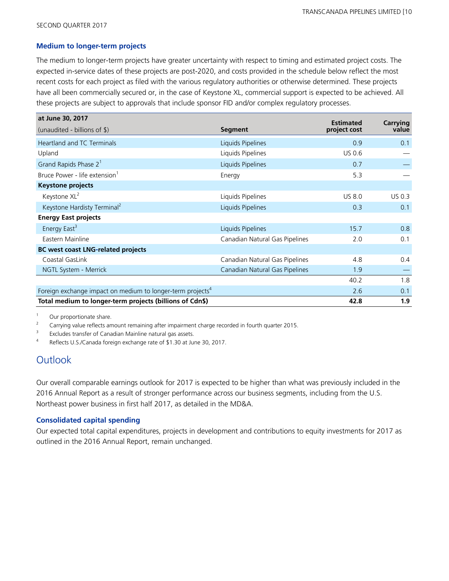#### **Medium to longer-term projects**

The medium to longer-term projects have greater uncertainty with respect to timing and estimated project costs. The expected in-service dates of these projects are post-2020, and costs provided in the schedule below reflect the most recent costs for each project as filed with the various regulatory authorities or otherwise determined. These projects have all been commercially secured or, in the case of Keystone XL, commercial support is expected to be achieved. All these projects are subject to approvals that include sponsor FID and/or complex regulatory processes.

| at June 30, 2017                                                       |                                | <b>Estimated</b> | Carrying      |
|------------------------------------------------------------------------|--------------------------------|------------------|---------------|
| (unaudited - billions of \$)                                           | <b>Segment</b>                 | project cost     | value         |
| <b>Heartland and TC Terminals</b>                                      | Liquids Pipelines              | 0.9              | 0.1           |
| Upland                                                                 | Liquids Pipelines              | <b>US 0.6</b>    |               |
| Grand Rapids Phase 2 <sup>1</sup>                                      | Liquids Pipelines              | 0.7              |               |
| Bruce Power - life extension <sup>1</sup>                              | Energy                         | 5.3              |               |
| <b>Keystone projects</b>                                               |                                |                  |               |
| Keystone XL <sup>2</sup>                                               | Liquids Pipelines              | <b>US 8.0</b>    | <b>US 0.3</b> |
| Keystone Hardisty Terminal <sup>2</sup>                                | Liquids Pipelines              | 0.3              | 0.1           |
| <b>Energy East projects</b>                                            |                                |                  |               |
| Energy East <sup>3</sup>                                               | Liquids Pipelines              | 15.7             | 0.8           |
| Eastern Mainline                                                       | Canadian Natural Gas Pipelines | 2.0              | 0.1           |
| <b>BC</b> west coast LNG-related projects                              |                                |                  |               |
| Coastal GasLink                                                        | Canadian Natural Gas Pipelines | 4.8              | 0.4           |
| NGTL System - Merrick                                                  | Canadian Natural Gas Pipelines | 1.9              |               |
|                                                                        |                                | 40.2             | 1.8           |
| Foreign exchange impact on medium to longer-term projects <sup>4</sup> |                                | 2.6              | 0.1           |
| Total medium to longer-term projects (billions of Cdn\$)               |                                | 42.8             | 1.9           |

<sup>1</sup> Our proportionate share.

<sup>2</sup> Carrying value reflects amount remaining after impairment charge recorded in fourth quarter 2015.

3 Excludes transfer of Canadian Mainline natural gas assets.

4 Reflects U.S./Canada foreign exchange rate of \$1.30 at June 30, 2017.

# **Outlook**

Our overall comparable earnings outlook for 2017 is expected to be higher than what was previously included in the 2016 Annual Report as a result of stronger performance across our business segments, including from the U.S. Northeast power business in first half 2017, as detailed in the MD&A.

#### **Consolidated capital spending**

Our expected total capital expenditures, projects in development and contributions to equity investments for 2017 as outlined in the 2016 Annual Report, remain unchanged.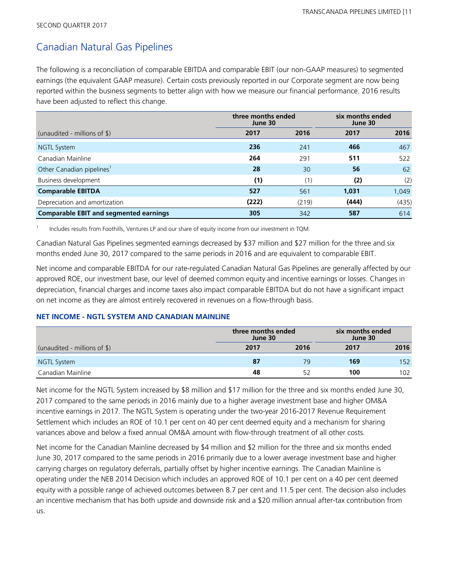# Canadian Natural Gas Pipelines

The following is a reconciliation of comparable EBITDA and comparable EBIT (our non-GAAP measures) to segmented earnings (the equivalent GAAP measure). Certain costs previously reported in our Corporate segment are now being reported within the business segments to better align with how we measure our financial performance. 2016 results have been adjusted to reflect this change.

|                                               | three months ended<br>June 30 |       | six months ended<br>June 30 |       |  |
|-----------------------------------------------|-------------------------------|-------|-----------------------------|-------|--|
| (unaudited - millions of $\frac{1}{2}$ )      | 2017                          | 2016  | 2017                        | 2016  |  |
| <b>NGTL System</b>                            | 236                           | 241   | 466                         | 467   |  |
| Canadian Mainline                             | 264                           | 291   | 511                         | 522   |  |
| Other Canadian pipelines <sup>1</sup>         | 28                            | 30    | 56                          | 62    |  |
| Business development                          | (1)                           | (1)   | (2)                         | (2)   |  |
| <b>Comparable EBITDA</b>                      | 527                           | 561   | 1,031                       | 1,049 |  |
| Depreciation and amortization                 | (222)                         | (219) | (444)                       | (435) |  |
| <b>Comparable EBIT and segmented earnings</b> | 305                           | 342   | 587                         | 614   |  |

1 Includes results from Foothills, Ventures LP and our share of equity income from our investment in TQM.

Canadian Natural Gas Pipelines segmented earnings decreased by \$37 million and \$27 million for the three and six months ended June 30, 2017 compared to the same periods in 2016 and are equivalent to comparable EBIT.

Net income and comparable EBITDA for our rate-regulated Canadian Natural Gas Pipelines are generally affected by our approved ROE, our investment base, our level of deemed common equity and incentive earnings or losses. Changes in depreciation, financial charges and income taxes also impact comparable EBITDA but do not have a significant impact on net income as they are almost entirely recovered in revenues on a flow-through basis.

## **NET INCOME - NGTL SYSTEM AND CANADIAN MAINLINE**

|                              |      | three months ended<br>June 30 |      | six months ended<br>June 30 |  |  |
|------------------------------|------|-------------------------------|------|-----------------------------|--|--|
| (unaudited - millions of \$) | 2017 | 2016                          | 2017 | 2016                        |  |  |
| NGTL System                  | 87   | 79                            | 169  | 152                         |  |  |
| Canadian Mainline            | 48   |                               | 100  | 102                         |  |  |

Net income for the NGTL System increased by \$8 million and \$17 million for the three and six months ended June 30, 2017 compared to the same periods in 2016 mainly due to a higher average investment base and higher OM&A incentive earnings in 2017. The NGTL System is operating under the two-year 2016-2017 Revenue Requirement Settlement which includes an ROE of 10.1 per cent on 40 per cent deemed equity and a mechanism for sharing variances above and below a fixed annual OM&A amount with flow-through treatment of all other costs.

Net income for the Canadian Mainline decreased by \$4 million and \$2 million for the three and six months ended June 30, 2017 compared to the same periods in 2016 primarily due to a lower average investment base and higher carrying charges on regulatory deferrals, partially offset by higher incentive earnings. The Canadian Mainline is operating under the NEB 2014 Decision which includes an approved ROE of 10.1 per cent on a 40 per cent deemed equity with a possible range of achieved outcomes between 8.7 per cent and 11.5 per cent. The decision also includes an incentive mechanism that has both upside and downside risk and a \$20 million annual after-tax contribution from us.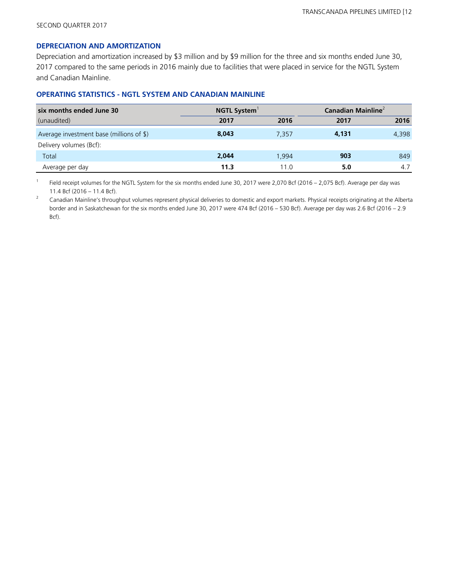#### **DEPRECIATION AND AMORTIZATION**

Depreciation and amortization increased by \$3 million and by \$9 million for the three and six months ended June 30, 2017 compared to the same periods in 2016 mainly due to facilities that were placed in service for the NGTL System and Canadian Mainline.

## **OPERATING STATISTICS - NGTL SYSTEM AND CANADIAN MAINLINE**

| six months ended June 30                 | <b>NGTL System</b> |       | Canadian Mainline <sup>2</sup> |       |  |
|------------------------------------------|--------------------|-------|--------------------------------|-------|--|
| (unaudited)                              | 2017               | 2016  | 2017                           | 2016  |  |
| Average investment base (millions of \$) | 8,043              | 7.357 | 4,131                          | 4,398 |  |
| Delivery volumes (Bcf):                  |                    |       |                                |       |  |
| Total                                    | 2,044              | 1.994 | 903                            | 849   |  |
| Average per day                          | 11.3               | 11.0  | 5.0                            | 4.7   |  |

1 Field receipt volumes for the NGTL System for the six months ended June 30, 2017 were 2,070 Bcf (2016 - 2,075 Bcf). Average per day was 11.4 Bcf (2016 – 11.4 Bcf).

<sup>2</sup> Canadian Mainline's throughput volumes represent physical deliveries to domestic and export markets. Physical receipts originating at the Alberta border and in Saskatchewan for the six months ended June 30, 2017 were 474 Bcf (2016 – 530 Bcf). Average per day was 2.6 Bcf (2016 – 2.9 Bcf).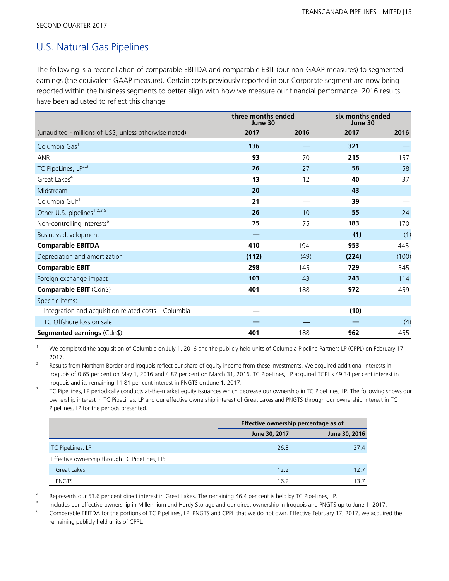# U.S. Natural Gas Pipelines

The following is a reconciliation of comparable EBITDA and comparable EBIT (our non-GAAP measures) to segmented earnings (the equivalent GAAP measure). Certain costs previously reported in our Corporate segment are now being reported within the business segments to better align with how we measure our financial performance. 2016 results have been adjusted to reflect this change.

|                                                        | three months ended<br>June 30 |      | six months ended<br>June 30 |       |  |
|--------------------------------------------------------|-------------------------------|------|-----------------------------|-------|--|
| (unaudited - millions of US\$, unless otherwise noted) | 2017                          | 2016 | 2017                        | 2016  |  |
| Columbia Gas <sup>1</sup>                              | 136                           |      | 321                         |       |  |
| <b>ANR</b>                                             | 93                            | 70   | 215                         | 157   |  |
| TC PipeLines, LP <sup>2,3</sup>                        | 26                            | 27   | 58                          | 58    |  |
| Great Lakes <sup>4</sup>                               | 13                            | 12   | 40                          | 37    |  |
| Midstream <sup>1</sup>                                 | 20                            |      | 43                          |       |  |
| Columbia Gulf <sup>1</sup>                             | 21                            |      | 39                          |       |  |
| Other U.S. pipelines <sup>1,2,3,5</sup>                | 26                            | 10   | 55                          | 24    |  |
| Non-controlling interests <sup>6</sup>                 | 75                            | 75   | 183                         | 170   |  |
| <b>Business development</b>                            |                               |      | (1)                         | (1)   |  |
| <b>Comparable EBITDA</b>                               | 410                           | 194  | 953                         | 445   |  |
| Depreciation and amortization                          | (112)                         | (49) | (224)                       | (100) |  |
| <b>Comparable EBIT</b>                                 | 298                           | 145  | 729                         | 345   |  |
| Foreign exchange impact                                | 103                           | 43   | 243                         | 114   |  |
| Comparable EBIT (Cdn\$)                                | 401                           | 188  | 972                         | 459   |  |
| Specific items:                                        |                               |      |                             |       |  |
| Integration and acquisition related costs - Columbia   |                               |      | (10)                        |       |  |
| TC Offshore loss on sale                               |                               |      |                             | (4)   |  |
| Segmented earnings (Cdn\$)                             | 401                           | 188  | 962                         | 455   |  |

We completed the acquisition of Columbia on July 1, 2016 and the publicly held units of Columbia Pipeline Partners LP (CPPL) on February 17, 2017.

2 Results from Northern Border and Iroquois reflect our share of equity income from these investments. We acquired additional interests in Iroquois of 0.65 per cent on May 1, 2016 and 4.87 per cent on March 31, 2016. TC PipeLines, LP acquired TCPL's 49.34 per cent interest in Iroquois and its remaining 11.81 per cent interest in PNGTS on June 1, 2017.

3 TC PipeLines, LP periodically conducts at-the-market equity issuances which decrease our ownership in TC PipeLines, LP. The following shows our ownership interest in TC PipeLines, LP and our effective ownership interest of Great Lakes and PNGTS through our ownership interest in TC PipeLines, LP for the periods presented.

|                                               |               | Effective ownership percentage as of |
|-----------------------------------------------|---------------|--------------------------------------|
|                                               | June 30, 2017 | June 30, 2016                        |
| TC PipeLines, LP                              | 26.3          | 27.4                                 |
| Effective ownership through TC PipeLines, LP: |               |                                      |
| Great Lakes                                   | 12.2          | 12.7                                 |
| <b>PNGTS</b>                                  | 16.2          | 13.7                                 |

4 Represents our 53.6 per cent direct interest in Great Lakes. The remaining 46.4 per cent is held by TC PipeLines, LP.

5 Includes our effective ownership in Millennium and Hardy Storage and our direct ownership in Iroquois and PNGTS up to June 1, 2017.

<sup>6</sup> Comparable EBITDA for the portions of TC PipeLines, LP, PNGTS and CPPL that we do not own. Effective February 17, 2017, we acquired the remaining publicly held units of CPPL.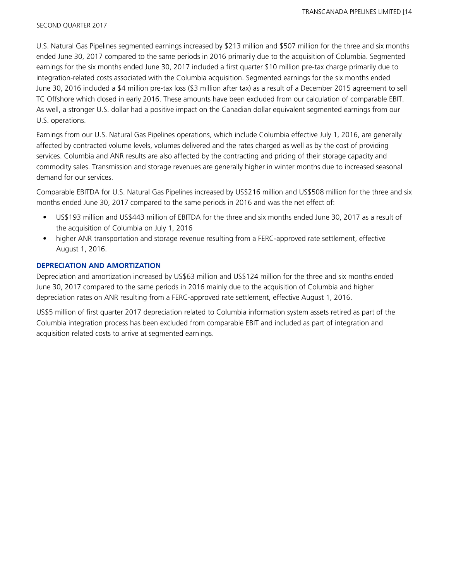U.S. Natural Gas Pipelines segmented earnings increased by \$213 million and \$507 million for the three and six months ended June 30, 2017 compared to the same periods in 2016 primarily due to the acquisition of Columbia. Segmented earnings for the six months ended June 30, 2017 included a first quarter \$10 million pre-tax charge primarily due to integration-related costs associated with the Columbia acquisition. Segmented earnings for the six months ended June 30, 2016 included a \$4 million pre-tax loss (\$3 million after tax) as a result of a December 2015 agreement to sell TC Offshore which closed in early 2016. These amounts have been excluded from our calculation of comparable EBIT. As well, a stronger U.S. dollar had a positive impact on the Canadian dollar equivalent segmented earnings from our U.S. operations.

Earnings from our U.S. Natural Gas Pipelines operations, which include Columbia effective July 1, 2016, are generally affected by contracted volume levels, volumes delivered and the rates charged as well as by the cost of providing services. Columbia and ANR results are also affected by the contracting and pricing of their storage capacity and commodity sales. Transmission and storage revenues are generally higher in winter months due to increased seasonal demand for our services.

Comparable EBITDA for U.S. Natural Gas Pipelines increased by US\$216 million and US\$508 million for the three and six months ended June 30, 2017 compared to the same periods in 2016 and was the net effect of:

- US\$193 million and US\$443 million of EBITDA for the three and six months ended June 30, 2017 as a result of the acquisition of Columbia on July 1, 2016
- higher ANR transportation and storage revenue resulting from a FERC-approved rate settlement, effective August 1, 2016.

## **DEPRECIATION AND AMORTIZATION**

Depreciation and amortization increased by US\$63 million and US\$124 million for the three and six months ended June 30, 2017 compared to the same periods in 2016 mainly due to the acquisition of Columbia and higher depreciation rates on ANR resulting from a FERC-approved rate settlement, effective August 1, 2016.

US\$5 million of first quarter 2017 depreciation related to Columbia information system assets retired as part of the Columbia integration process has been excluded from comparable EBIT and included as part of integration and acquisition related costs to arrive at segmented earnings.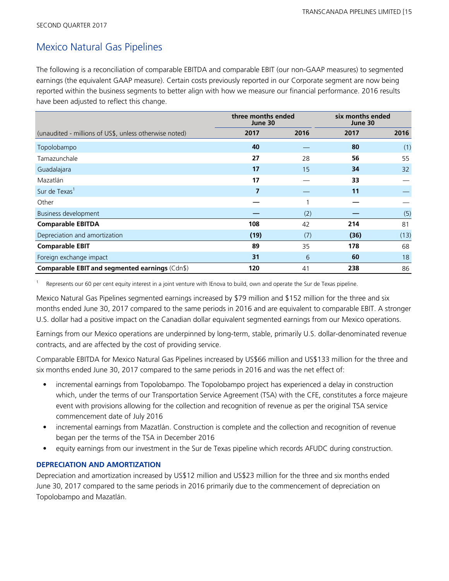# Mexico Natural Gas Pipelines

The following is a reconciliation of comparable EBITDA and comparable EBIT (our non-GAAP measures) to segmented earnings (the equivalent GAAP measure). Certain costs previously reported in our Corporate segment are now being reported within the business segments to better align with how we measure our financial performance. 2016 results have been adjusted to reflect this change.

|                                                        | three months ended<br>June 30 |      | six months ended<br>June 30 |      |
|--------------------------------------------------------|-------------------------------|------|-----------------------------|------|
| (unaudited - millions of US\$, unless otherwise noted) | 2017                          | 2016 | 2017                        | 2016 |
| Topolobampo                                            | 40                            |      | 80                          | (1)  |
| Tamazunchale                                           | 27                            | 28   | 56                          | 55   |
| Guadalajara                                            | 17                            | 15   | 34                          | 32   |
| Mazatlán                                               | 17                            |      | 33                          |      |
| Sur de Texas <sup>1</sup>                              | 7                             |      | 11                          |      |
| Other                                                  |                               |      |                             |      |
| Business development                                   |                               | (2)  |                             | (5)  |
| <b>Comparable EBITDA</b>                               | 108                           | 42   | 214                         | 81   |
| Depreciation and amortization                          | (19)                          | (7)  | (36)                        | (13) |
| <b>Comparable EBIT</b>                                 | 89                            | 35   | 178                         | 68   |
| Foreign exchange impact                                | 31                            | 6    | 60                          | 18   |
| Comparable EBIT and segmented earnings (Cdn\$)         | 120                           | 41   | 238                         | 86   |

1 Represents our 60 per cent equity interest in a joint venture with IEnova to build, own and operate the Sur de Texas pipeline.

Mexico Natural Gas Pipelines segmented earnings increased by \$79 million and \$152 million for the three and six months ended June 30, 2017 compared to the same periods in 2016 and are equivalent to comparable EBIT. A stronger U.S. dollar had a positive impact on the Canadian dollar equivalent segmented earnings from our Mexico operations.

Earnings from our Mexico operations are underpinned by long-term, stable, primarily U.S. dollar-denominated revenue contracts, and are affected by the cost of providing service.

Comparable EBITDA for Mexico Natural Gas Pipelines increased by US\$66 million and US\$133 million for the three and six months ended June 30, 2017 compared to the same periods in 2016 and was the net effect of:

- incremental earnings from Topolobampo. The Topolobampo project has experienced a delay in construction which, under the terms of our Transportation Service Agreement (TSA) with the CFE, constitutes a force majeure event with provisions allowing for the collection and recognition of revenue as per the original TSA service commencement date of July 2016
- incremental earnings from Mazatlán. Construction is complete and the collection and recognition of revenue began per the terms of the TSA in December 2016
- equity earnings from our investment in the Sur de Texas pipeline which records AFUDC during construction.

## **DEPRECIATION AND AMORTIZATION**

Depreciation and amortization increased by US\$12 million and US\$23 million for the three and six months ended June 30, 2017 compared to the same periods in 2016 primarily due to the commencement of depreciation on Topolobampo and Mazatlán.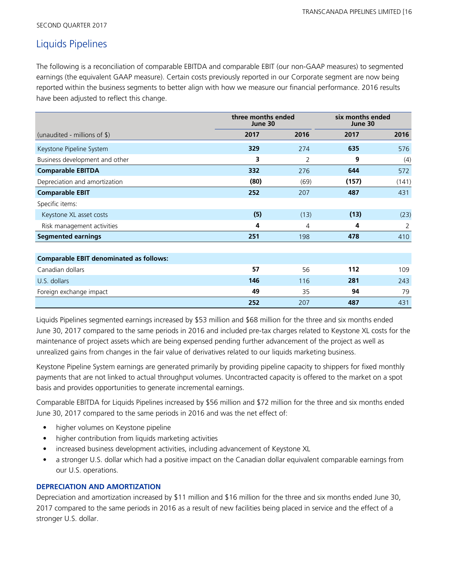SECOND QUARTER 2017

# Liquids Pipelines

The following is a reconciliation of comparable EBITDA and comparable EBIT (our non-GAAP measures) to segmented earnings (the equivalent GAAP measure). Certain costs previously reported in our Corporate segment are now being reported within the business segments to better align with how we measure our financial performance. 2016 results have been adjusted to reflect this change.

|                                                | three months ended<br>June 30 |      | six months ended<br>June 30 |       |
|------------------------------------------------|-------------------------------|------|-----------------------------|-------|
| (unaudited - millions of $\frac{1}{2}$ )       | 2017                          | 2016 | 2017                        | 2016  |
| Keystone Pipeline System                       | 329                           | 274  | 635                         | 576   |
| Business development and other                 | 3                             | 2    | 9                           | (4)   |
| <b>Comparable EBITDA</b>                       | 332                           | 276  | 644                         | 572   |
| Depreciation and amortization                  | (80)                          | (69) | (157)                       | (141) |
| <b>Comparable EBIT</b>                         | 252                           | 207  | 487                         | 431   |
| Specific items:                                |                               |      |                             |       |
| Keystone XL asset costs                        | (5)                           | (13) | (13)                        | (23)  |
| Risk management activities                     | 4                             | 4    | 4                           | 2     |
| <b>Segmented earnings</b>                      | 251                           | 198  | 478                         | 410   |
|                                                |                               |      |                             |       |
| <b>Comparable EBIT denominated as follows:</b> |                               |      |                             |       |
| Canadian dollars                               | 57                            | 56   | 112                         | 109   |
| U.S. dollars                                   | 146                           | 116  | 281                         | 243   |
| Foreign exchange impact                        | 49                            | 35   | 94                          | 79    |
|                                                | 252                           | 207  | 487                         | 431   |

Liquids Pipelines segmented earnings increased by \$53 million and \$68 million for the three and six months ended June 30, 2017 compared to the same periods in 2016 and included pre-tax charges related to Keystone XL costs for the maintenance of project assets which are being expensed pending further advancement of the project as well as unrealized gains from changes in the fair value of derivatives related to our liquids marketing business.

Keystone Pipeline System earnings are generated primarily by providing pipeline capacity to shippers for fixed monthly payments that are not linked to actual throughput volumes. Uncontracted capacity is offered to the market on a spot basis and provides opportunities to generate incremental earnings.

Comparable EBITDA for Liquids Pipelines increased by \$56 million and \$72 million for the three and six months ended June 30, 2017 compared to the same periods in 2016 and was the net effect of:

- higher volumes on Keystone pipeline
- higher contribution from liquids marketing activities
- increased business development activities, including advancement of Keystone XL
- a stronger U.S. dollar which had a positive impact on the Canadian dollar equivalent comparable earnings from our U.S. operations.

## **DEPRECIATION AND AMORTIZATION**

Depreciation and amortization increased by \$11 million and \$16 million for the three and six months ended June 30, 2017 compared to the same periods in 2016 as a result of new facilities being placed in service and the effect of a stronger U.S. dollar.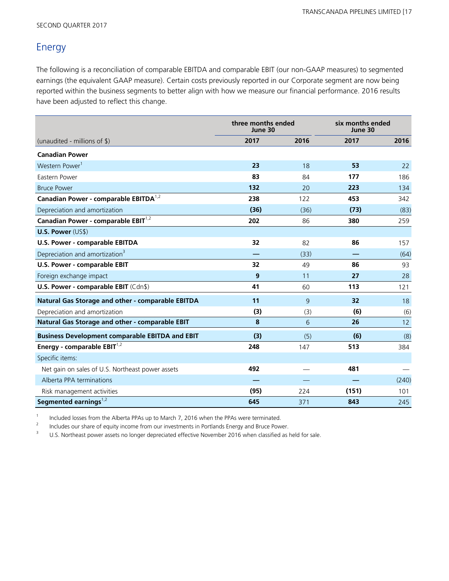# Energy

The following is a reconciliation of comparable EBITDA and comparable EBIT (our non-GAAP measures) to segmented earnings (the equivalent GAAP measure). Certain costs previously reported in our Corporate segment are now being reported within the business segments to better align with how we measure our financial performance. 2016 results have been adjusted to reflect this change.

|                                                        | three months ended<br>June 30 |                | six months ended<br>June 30 |       |
|--------------------------------------------------------|-------------------------------|----------------|-----------------------------|-------|
| (unaudited - millions of $\$\$ )                       | 2017                          | 2016           | 2017                        | 2016  |
| <b>Canadian Power</b>                                  |                               |                |                             |       |
| Western Power <sup>1</sup>                             | 23                            | 18             | 53                          | 22    |
| Eastern Power                                          | 83                            | 84             | 177                         | 186   |
| <b>Bruce Power</b>                                     | 132                           | 20             | 223                         | 134   |
| Canadian Power - comparable EBITDA <sup>1,2</sup>      | 238                           | 122            | 453                         | 342   |
| Depreciation and amortization                          | (36)                          | (36)           | (73)                        | (83)  |
| Canadian Power - comparable EBIT <sup>1,2</sup>        | 202                           | 86             | 380                         | 259   |
| <b>U.S. Power (US\$)</b>                               |                               |                |                             |       |
| U.S. Power - comparable EBITDA                         | 32                            | 82             | 86                          | 157   |
| Depreciation and amortization <sup>3</sup>             |                               | (33)           |                             | (64)  |
| U.S. Power - comparable EBIT                           | 32                            | 49             | 86                          | 93    |
| Foreign exchange impact                                | 9                             | 11             | 27                          | 28    |
| U.S. Power - comparable EBIT (Cdn\$)                   | 41                            | 60             | 113                         | 121   |
| Natural Gas Storage and other - comparable EBITDA      | 11                            | $\overline{9}$ | 32                          | 18    |
| Depreciation and amortization                          | (3)                           | (3)            | (6)                         | (6)   |
| Natural Gas Storage and other - comparable EBIT        | 8                             | 6              | 26                          | 12    |
| <b>Business Development comparable EBITDA and EBIT</b> | (3)                           | (5)            | (6)                         | (8)   |
| Energy - comparable $EBIT^{1,2}$                       | 248                           | 147            | 513                         | 384   |
| Specific items:                                        |                               |                |                             |       |
| Net gain on sales of U.S. Northeast power assets       | 492                           |                | 481                         |       |
| Alberta PPA terminations                               |                               |                |                             | (240) |
| Risk management activities                             | (95)                          | 224            | (151)                       | 101   |
| Segmented earnings $^{1,2}$                            | 645                           | 371            | 843                         | 245   |

1 Included losses from the Alberta PPAs up to March 7, 2016 when the PPAs were terminated.

2 Includes our share of equity income from our investments in Portlands Energy and Bruce Power.

<sup>3</sup> U.S. Northeast power assets no longer depreciated effective November 2016 when classified as held for sale.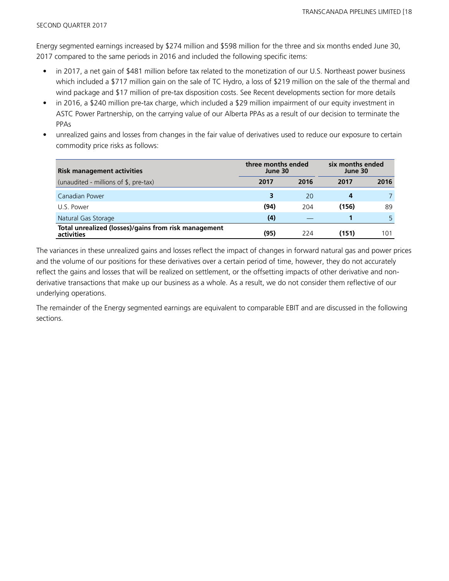Energy segmented earnings increased by \$274 million and \$598 million for the three and six months ended June 30, 2017 compared to the same periods in 2016 and included the following specific items:

- in 2017, a net gain of \$481 million before tax related to the monetization of our U.S. Northeast power business which included a \$717 million gain on the sale of TC Hydro, a loss of \$219 million on the sale of the thermal and wind package and \$17 million of pre-tax disposition costs. See Recent developments section for more details
- in 2016, a \$240 million pre-tax charge, which included a \$29 million impairment of our equity investment in ASTC Power Partnership, on the carrying value of our Alberta PPAs as a result of our decision to terminate the PPAs
- unrealized gains and losses from changes in the fair value of derivatives used to reduce our exposure to certain commodity price risks as follows:

| <b>Risk management activities</b>                                  | three months ended<br>June 30 |      | six months ended<br>June 30 |      |
|--------------------------------------------------------------------|-------------------------------|------|-----------------------------|------|
| (unaudited - millions of \$, pre-tax)                              | 2017                          | 2016 | 2017                        | 2016 |
| Canadian Power                                                     |                               | 20   | 4                           |      |
| U.S. Power                                                         | (94)                          | 204  | (156)                       | 89   |
| Natural Gas Storage                                                | (4)                           |      |                             | 5    |
| Total unrealized (losses)/gains from risk management<br>activities | (95)                          | 224  | (151)                       | 101  |

The variances in these unrealized gains and losses reflect the impact of changes in forward natural gas and power prices and the volume of our positions for these derivatives over a certain period of time, however, they do not accurately reflect the gains and losses that will be realized on settlement, or the offsetting impacts of other derivative and nonderivative transactions that make up our business as a whole. As a result, we do not consider them reflective of our underlying operations.

The remainder of the Energy segmented earnings are equivalent to comparable EBIT and are discussed in the following sections.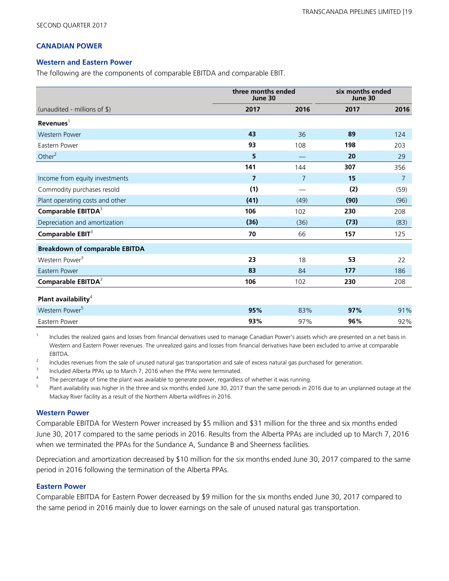## **CANADIAN POWER**

#### **Western and Eastern Power**

The following are the components of comparable EBITDA and comparable EBIT.

|                                       | three months ended<br>June 30 |                | six months ended<br>June 30 |                |
|---------------------------------------|-------------------------------|----------------|-----------------------------|----------------|
| (unaudited - millions of \$)          | 2017                          | 2016           | 2017                        | 2016           |
| $Re$ venues $1$                       |                               |                |                             |                |
| <b>Western Power</b>                  | 43                            | 36             | 89                          | 124            |
| Eastern Power                         | 93                            | 108            | 198                         | 203            |
| Other $2$                             | 5                             |                | 20                          | 29             |
|                                       | 141                           | 144            | 307                         | 356            |
| Income from equity investments        | $\overline{7}$                | $\overline{7}$ | 15                          | $\overline{7}$ |
| Commodity purchases resold            | (1)                           |                | (2)                         | (59)           |
| Plant operating costs and other       | (41)                          | (49)           | (90)                        | (96)           |
| Comparable EBITDA <sup>3</sup>        | 106                           | 102            | 230                         | 208            |
| Depreciation and amortization         | (36)                          | (36)           | (73)                        | (83)           |
| Comparable EBIT <sup>3</sup>          | 70                            | 66             | 157                         | 125            |
| <b>Breakdown of comparable EBITDA</b> |                               |                |                             |                |
| Western Power <sup>3</sup>            | 23                            | 18             | 53                          | 22             |
| Eastern Power                         | 83                            | 84             | 177                         | 186            |
| Comparable EBITDA <sup>3</sup>        | 106                           | 102            | 230                         | 208            |
| Plant availability <sup>4</sup>       |                               |                |                             |                |
| Western Power <sup>5</sup>            | 95%                           | 83%            | 97%                         | 91%            |
| Eastern Power                         | 93%                           | 97%            | 96%                         | 92%            |

1 Includes the realized gains and losses from financial derivatives used to manage Canadian Power's assets which are presented on a net basis in Western and Eastern Power revenues. The unrealized gains and losses from financial derivatives have been excluded to arrive at comparable EBITDA.

2 Includes revenues from the sale of unused natural gas transportation and sale of excess natural gas purchased for generation.

3 Included Alberta PPAs up to March 7, 2016 when the PPAs were terminated.

4 The percentage of time the plant was available to generate power, regardless of whether it was running.

5 Plant availability was higher in the three and six months ended June 30, 2017 than the same periods in 2016 due to an unplanned outage at the Mackay River facility as a result of the Northern Alberta wildfires in 2016.

#### **Western Power**

Comparable EBITDA for Western Power increased by \$5 million and \$31 million for the three and six months ended June 30, 2017 compared to the same periods in 2016. Results from the Alberta PPAs are included up to March 7, 2016 when we terminated the PPAs for the Sundance A, Sundance B and Sheerness facilities.

Depreciation and amortization decreased by \$10 million for the six months ended June 30, 2017 compared to the same period in 2016 following the termination of the Alberta PPAs.

#### **Eastern Power**

Comparable EBITDA for Eastern Power decreased by \$9 million for the six months ended June 30, 2017 compared to the same period in 2016 mainly due to lower earnings on the sale of unused natural gas transportation.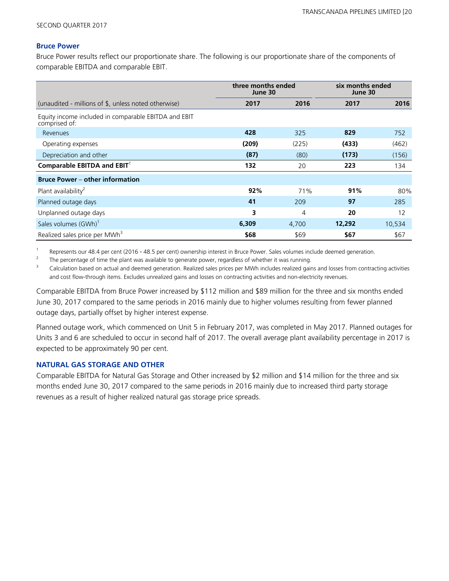### **Bruce Power**

Bruce Power results reflect our proportionate share. The following is our proportionate share of the components of comparable EBITDA and comparable EBIT.

|                                                                       | three months ended<br>June 30 |       | six months ended<br>June 30 |        |
|-----------------------------------------------------------------------|-------------------------------|-------|-----------------------------|--------|
| (unaudited - millions of \$, unless noted otherwise)                  | 2017                          | 2016  | 2017                        | 2016   |
| Equity income included in comparable EBITDA and EBIT<br>comprised of: |                               |       |                             |        |
| Revenues                                                              | 428                           | 325   | 829                         | 752    |
| Operating expenses                                                    | (209)                         | (225) | (433)                       | (462)  |
| Depreciation and other                                                | (87)                          | (80)  | (173)                       | (156)  |
| Comparable EBITDA and $EBIT1$                                         | 132                           | 20    | 223                         | 134    |
| <b>Bruce Power – other information</b>                                |                               |       |                             |        |
| Plant availability <sup>2</sup>                                       | 92%                           | 71%   | 91%                         | 80%    |
| Planned outage days                                                   | 41                            | 209   | 97                          | 285    |
| Unplanned outage days                                                 | 3                             | 4     | 20                          | 12     |
| Sales volumes (GWh) <sup>1</sup>                                      | 6,309                         | 4,700 | 12,292                      | 10,534 |
| Realized sales price per MWh <sup>3</sup>                             | \$68                          | \$69  | \$67                        | \$67   |

1 Represents our 48.4 per cent (2016 - 48.5 per cent) ownership interest in Bruce Power. Sales volumes include deemed generation.

2 The percentage of time the plant was available to generate power, regardless of whether it was running.

<sup>3</sup> Calculation based on actual and deemed generation. Realized sales prices per MWh includes realized gains and losses from contracting activities and cost flow-through items. Excludes unrealized gains and losses on contracting activities and non-electricity revenues.

Comparable EBITDA from Bruce Power increased by \$112 million and \$89 million for the three and six months ended June 30, 2017 compared to the same periods in 2016 mainly due to higher volumes resulting from fewer planned outage days, partially offset by higher interest expense.

Planned outage work, which commenced on Unit 5 in February 2017, was completed in May 2017. Planned outages for Units 3 and 6 are scheduled to occur in second half of 2017. The overall average plant availability percentage in 2017 is expected to be approximately 90 per cent.

### **NATURAL GAS STORAGE AND OTHER**

Comparable EBITDA for Natural Gas Storage and Other increased by \$2 million and \$14 million for the three and six months ended June 30, 2017 compared to the same periods in 2016 mainly due to increased third party storage revenues as a result of higher realized natural gas storage price spreads.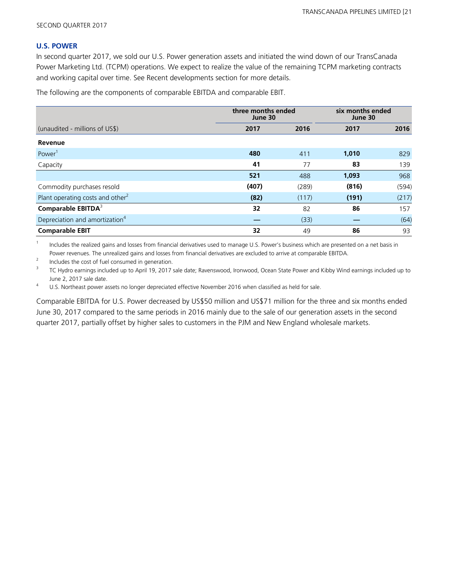#### **U.S. POWER**

In second quarter 2017, we sold our U.S. Power generation assets and initiated the wind down of our TransCanada Power Marketing Ltd. (TCPM) operations. We expect to realize the value of the remaining TCPM marketing contracts and working capital over time. See Recent developments section for more details.

The following are the components of comparable EBITDA and comparable EBIT.

|                                              | three months ended<br>June 30 |       | six months ended<br>June 30 |       |
|----------------------------------------------|-------------------------------|-------|-----------------------------|-------|
| (unaudited - millions of US\$)               | 2017                          | 2016  | 2017                        | 2016  |
| Revenue                                      |                               |       |                             |       |
| Power <sup>1</sup>                           | 480                           | 411   | 1,010                       | 829   |
| Capacity                                     | 41                            | 77    | 83                          | 139   |
|                                              | 521                           | 488   | 1,093                       | 968   |
| Commodity purchases resold                   | (407)                         | (289) | (816)                       | (594) |
| Plant operating costs and other <sup>2</sup> | (82)                          | (117) | (191)                       | (217) |
| Comparable EBITDA <sup>3</sup>               | 32                            | 82    | 86                          | 157   |
| Depreciation and amortization <sup>4</sup>   |                               | (33)  |                             | (64)  |
| <b>Comparable EBIT</b>                       | 32                            | 49    | 86                          | 93    |

1 Includes the realized gains and losses from financial derivatives used to manage U.S. Power's business which are presented on a net basis in Power revenues. The unrealized gains and losses from financial derivatives are excluded to arrive at comparable EBITDA.

2 Includes the cost of fuel consumed in generation.

3 TC Hydro earnings included up to April 19, 2017 sale date; Ravenswood, Ironwood, Ocean State Power and Kibby Wind earnings included up to June 2, 2017 sale date.

<sup>4</sup> U.S. Northeast power assets no longer depreciated effective November 2016 when classified as held for sale.

Comparable EBITDA for U.S. Power decreased by US\$50 million and US\$71 million for the three and six months ended June 30, 2017 compared to the same periods in 2016 mainly due to the sale of our generation assets in the second quarter 2017, partially offset by higher sales to customers in the PJM and New England wholesale markets.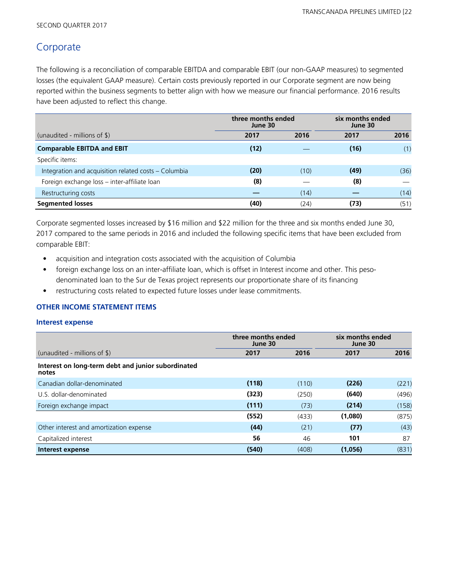# Corporate

The following is a reconciliation of comparable EBITDA and comparable EBIT (our non-GAAP measures) to segmented losses (the equivalent GAAP measure). Certain costs previously reported in our Corporate segment are now being reported within the business segments to better align with how we measure our financial performance. 2016 results have been adjusted to reflect this change.

|                                                      | three months ended<br>June 30 |      | six months ended<br>June 30 |      |
|------------------------------------------------------|-------------------------------|------|-----------------------------|------|
| (unaudited - millions of $\frac{1}{2}$ )             | 2017                          | 2016 | 2017                        | 2016 |
| <b>Comparable EBITDA and EBIT</b>                    | (12)                          |      | (16)                        | (1)  |
| Specific items:                                      |                               |      |                             |      |
| Integration and acquisition related costs – Columbia | (20)                          | (10) | (49)                        | (36) |
| Foreign exchange loss - inter-affiliate loan         | (8)                           |      | (8)                         |      |
| Restructuring costs                                  |                               | (14) |                             | (14) |
| <b>Segmented losses</b>                              | (40)                          | (24) | (73)                        | (51) |

Corporate segmented losses increased by \$16 million and \$22 million for the three and six months ended June 30, 2017 compared to the same periods in 2016 and included the following specific items that have been excluded from comparable EBIT:

- acquisition and integration costs associated with the acquisition of Columbia
- foreign exchange loss on an inter-affiliate loan, which is offset in Interest income and other. This pesodenominated loan to the Sur de Texas project represents our proportionate share of its financing
- restructuring costs related to expected future losses under lease commitments.

## **OTHER INCOME STATEMENT ITEMS**

#### **Interest expense**

|                                                             | three months ended<br>June 30 |       | six months ended<br>June 30 |       |
|-------------------------------------------------------------|-------------------------------|-------|-----------------------------|-------|
| (unaudited - millions of \$)                                | 2017                          | 2016  | 2017                        | 2016  |
| Interest on long-term debt and junior subordinated<br>notes |                               |       |                             |       |
| Canadian dollar-denominated                                 | (118)                         | (110) | (226)                       | (221) |
| U.S. dollar-denominated                                     | (323)                         | (250) | (640)                       | (496) |
| Foreign exchange impact                                     | (111)                         | (73)  | (214)                       | (158) |
|                                                             | (552)                         | (433) | (1,080)                     | (875) |
| Other interest and amortization expense                     | (44)                          | (21)  | (77)                        | (43)  |
| Capitalized interest                                        | 56                            | 46    | 101                         | 87    |
| Interest expense                                            | (540)                         | (408) | (1,056)                     | (831) |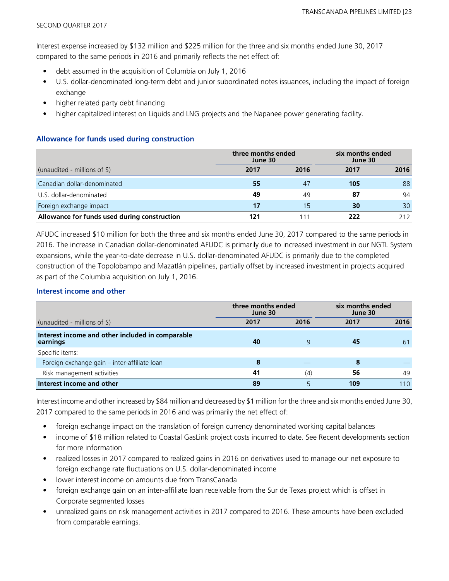Interest expense increased by \$132 million and \$225 million for the three and six months ended June 30, 2017 compared to the same periods in 2016 and primarily reflects the net effect of:

- debt assumed in the acquisition of Columbia on July 1, 2016
- U.S. dollar-denominated long-term debt and junior subordinated notes issuances, including the impact of foreign exchange
- higher related party debt financing
- higher capitalized interest on Liquids and LNG projects and the Napanee power generating facility.

## **Allowance for funds used during construction**

|                                              |      | three months ended<br>June 30 |      | six months ended<br>June 30 |  |
|----------------------------------------------|------|-------------------------------|------|-----------------------------|--|
| (unaudited - millions of $\$\$ )             | 2017 | 2016                          | 2017 | 2016                        |  |
| Canadian dollar-denominated                  | 55   | 47                            | 105  | 88                          |  |
| U.S. dollar-denominated                      | 49   | 49                            | 87   | 94                          |  |
| Foreign exchange impact                      | 17   | 15                            | 30   | 30                          |  |
| Allowance for funds used during construction |      |                               | 222  | 212                         |  |

AFUDC increased \$10 million for both the three and six months ended June 30, 2017 compared to the same periods in 2016. The increase in Canadian dollar-denominated AFUDC is primarily due to increased investment in our NGTL System expansions, while the year-to-date decrease in U.S. dollar-denominated AFUDC is primarily due to the completed construction of the Topolobampo and Mazatlán pipelines, partially offset by increased investment in projects acquired as part of the Columbia acquisition on July 1, 2016.

## **Interest income and other**

|                                                              | three months ended<br>June 30 |      | six months ended<br>June 30 |      |
|--------------------------------------------------------------|-------------------------------|------|-----------------------------|------|
| (unaudited - millions of \$)                                 | 2017                          | 2016 | 2017                        | 2016 |
| Interest income and other included in comparable<br>earnings | 40                            | 9    | 45                          | 61   |
| Specific items:                                              |                               |      |                             |      |
| Foreign exchange gain - inter-affiliate loan                 | 8                             |      | 8                           |      |
| Risk management activities                                   | 41                            | (4)  | 56                          | 49   |
| Interest income and other                                    | 89                            |      | 109                         | 110  |

Interest income and other increased by \$84 million and decreased by \$1 million for the three and six months ended June 30, 2017 compared to the same periods in 2016 and was primarily the net effect of:

- foreign exchange impact on the translation of foreign currency denominated working capital balances
- income of \$18 million related to Coastal GasLink project costs incurred to date. See Recent developments section for more information
- realized losses in 2017 compared to realized gains in 2016 on derivatives used to manage our net exposure to foreign exchange rate fluctuations on U.S. dollar-denominated income
- lower interest income on amounts due from TransCanada
- foreign exchange gain on an inter-affiliate loan receivable from the Sur de Texas project which is offset in Corporate segmented losses
- unrealized gains on risk management activities in 2017 compared to 2016. These amounts have been excluded from comparable earnings.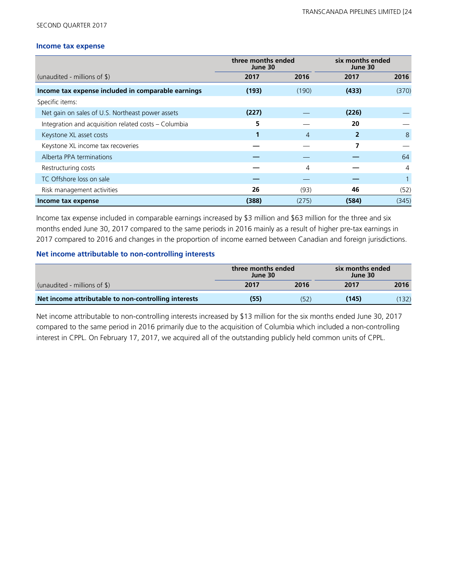#### SECOND QUARTER 2017

#### **Income tax expense**

|                                                      | three months ended<br>June 30 |       | six months ended<br>June 30 |                |
|------------------------------------------------------|-------------------------------|-------|-----------------------------|----------------|
| (unaudited - millions of $\frac{1}{2}$ )             | 2017                          | 2016  | 2017                        | 2016           |
| Income tax expense included in comparable earnings   | (193)                         | (190) | (433)                       | (370)          |
| Specific items:                                      |                               |       |                             |                |
| Net gain on sales of U.S. Northeast power assets     | (227)                         |       | (226)                       |                |
| Integration and acquisition related costs - Columbia | 5                             |       | 20                          |                |
| Keystone XL asset costs                              |                               | 4     | 2                           | 8              |
| Keystone XL income tax recoveries                    |                               |       | 7                           |                |
| Alberta PPA terminations                             |                               |       |                             | 64             |
| Restructuring costs                                  |                               | 4     |                             | $\overline{4}$ |
| TC Offshore loss on sale                             |                               |       |                             |                |
| Risk management activities                           | 26                            | (93)  | 46                          | (52)           |
| Income tax expense                                   | (388)                         | (275) | (584)                       | (345)          |

Income tax expense included in comparable earnings increased by \$3 million and \$63 million for the three and six months ended June 30, 2017 compared to the same periods in 2016 mainly as a result of higher pre-tax earnings in 2017 compared to 2016 and changes in the proportion of income earned between Canadian and foreign jurisdictions.

## **Net income attributable to non-controlling interests**

|                                                      | three months ended<br>June 30 |      | six months ended<br>June 30 |       |
|------------------------------------------------------|-------------------------------|------|-----------------------------|-------|
| (unaudited - millions of $\frac{1}{2}$ )             | 2017<br>2016                  |      | 2017                        | 2016  |
| Net income attributable to non-controlling interests | (55)                          | (52) | (145)                       | (132) |

Net income attributable to non-controlling interests increased by \$13 million for the six months ended June 30, 2017 compared to the same period in 2016 primarily due to the acquisition of Columbia which included a non-controlling interest in CPPL. On February 17, 2017, we acquired all of the outstanding publicly held common units of CPPL.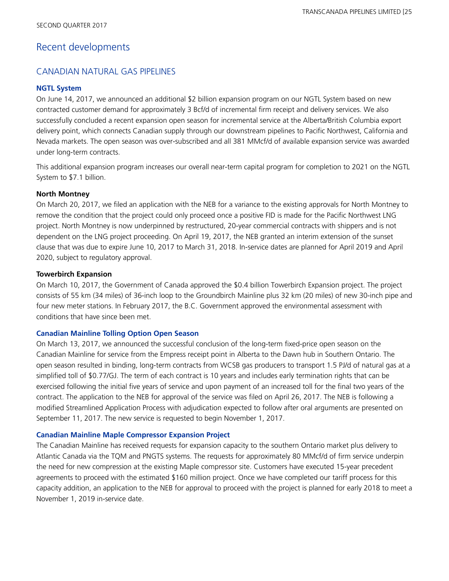# Recent developments

## CANADIAN NATURAL GAS PIPELINES

### **NGTL System**

On June 14, 2017, we announced an additional \$2 billion expansion program on our NGTL System based on new contracted customer demand for approximately 3 Bcf/d of incremental firm receipt and delivery services. We also successfully concluded a recent expansion open season for incremental service at the Alberta/British Columbia export delivery point, which connects Canadian supply through our downstream pipelines to Pacific Northwest, California and Nevada markets. The open season was over-subscribed and all 381 MMcf/d of available expansion service was awarded under long-term contracts.

This additional expansion program increases our overall near-term capital program for completion to 2021 on the NGTL System to \$7.1 billion.

### **North Montney**

On March 20, 2017, we filed an application with the NEB for a variance to the existing approvals for North Montney to remove the condition that the project could only proceed once a positive FID is made for the Pacific Northwest LNG project. North Montney is now underpinned by restructured, 20-year commercial contracts with shippers and is not dependent on the LNG project proceeding. On April 19, 2017, the NEB granted an interim extension of the sunset clause that was due to expire June 10, 2017 to March 31, 2018. In-service dates are planned for April 2019 and April 2020, subject to regulatory approval.

### **Towerbirch Expansion**

On March 10, 2017, the Government of Canada approved the \$0.4 billion Towerbirch Expansion project. The project consists of 55 km (34 miles) of 36-inch loop to the Groundbirch Mainline plus 32 km (20 miles) of new 30-inch pipe and four new meter stations. In February 2017, the B.C. Government approved the environmental assessment with conditions that have since been met.

### **Canadian Mainline Tolling Option Open Season**

On March 13, 2017, we announced the successful conclusion of the long-term fixed-price open season on the Canadian Mainline for service from the Empress receipt point in Alberta to the Dawn hub in Southern Ontario. The open season resulted in binding, long-term contracts from WCSB gas producers to transport 1.5 PJ/d of natural gas at a simplified toll of \$0.77/GJ. The term of each contract is 10 years and includes early termination rights that can be exercised following the initial five years of service and upon payment of an increased toll for the final two years of the contract. The application to the NEB for approval of the service was filed on April 26, 2017. The NEB is following a modified Streamlined Application Process with adjudication expected to follow after oral arguments are presented on September 11, 2017. The new service is requested to begin November 1, 2017.

### **Canadian Mainline Maple Compressor Expansion Project**

The Canadian Mainline has received requests for expansion capacity to the southern Ontario market plus delivery to Atlantic Canada via the TQM and PNGTS systems. The requests for approximately 80 MMcf/d of firm service underpin the need for new compression at the existing Maple compressor site. Customers have executed 15-year precedent agreements to proceed with the estimated \$160 million project. Once we have completed our tariff process for this capacity addition, an application to the NEB for approval to proceed with the project is planned for early 2018 to meet a November 1, 2019 in-service date.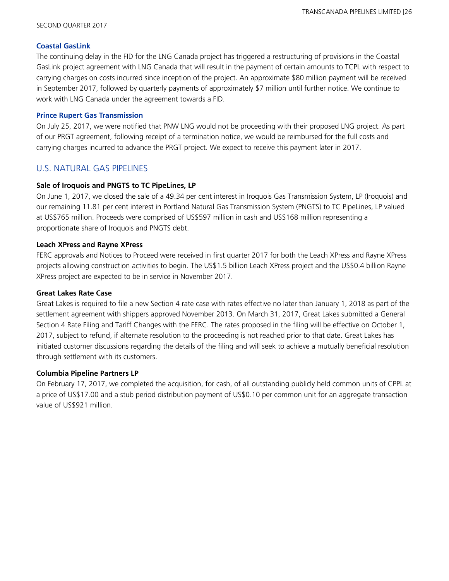#### SECOND QUARTER 2017

### **Coastal GasLink**

The continuing delay in the FID for the LNG Canada project has triggered a restructuring of provisions in the Coastal GasLink project agreement with LNG Canada that will result in the payment of certain amounts to TCPL with respect to carrying charges on costs incurred since inception of the project. An approximate \$80 million payment will be received in September 2017, followed by quarterly payments of approximately \$7 million until further notice. We continue to work with LNG Canada under the agreement towards a FID.

## **Prince Rupert Gas Transmission**

On July 25, 2017, we were notified that PNW LNG would not be proceeding with their proposed LNG project. As part of our PRGT agreement, following receipt of a termination notice, we would be reimbursed for the full costs and carrying charges incurred to advance the PRGT project. We expect to receive this payment later in 2017.

## U.S. NATURAL GAS PIPELINES

## **Sale of Iroquois and PNGTS to TC PipeLines, LP**

On June 1, 2017, we closed the sale of a 49.34 per cent interest in Iroquois Gas Transmission System, LP (Iroquois) and our remaining 11.81 per cent interest in Portland Natural Gas Transmission System (PNGTS) to TC PipeLines, LP valued at US\$765 million. Proceeds were comprised of US\$597 million in cash and US\$168 million representing a proportionate share of Iroquois and PNGTS debt.

## **Leach XPress and Rayne XPress**

FERC approvals and Notices to Proceed were received in first quarter 2017 for both the Leach XPress and Rayne XPress projects allowing construction activities to begin. The US\$1.5 billion Leach XPress project and the US\$0.4 billion Rayne XPress project are expected to be in service in November 2017.

## **Great Lakes Rate Case**

Great Lakes is required to file a new Section 4 rate case with rates effective no later than January 1, 2018 as part of the settlement agreement with shippers approved November 2013. On March 31, 2017, Great Lakes submitted a General Section 4 Rate Filing and Tariff Changes with the FERC. The rates proposed in the filing will be effective on October 1, 2017, subject to refund, if alternate resolution to the proceeding is not reached prior to that date. Great Lakes has initiated customer discussions regarding the details of the filing and will seek to achieve a mutually beneficial resolution through settlement with its customers.

## **Columbia Pipeline Partners LP**

On February 17, 2017, we completed the acquisition, for cash, of all outstanding publicly held common units of CPPL at a price of US\$17.00 and a stub period distribution payment of US\$0.10 per common unit for an aggregate transaction value of US\$921 million.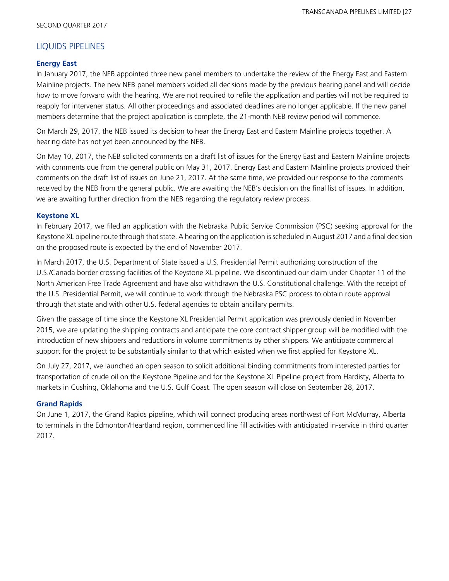## LIQUIDS PIPELINES

## **Energy East**

In January 2017, the NEB appointed three new panel members to undertake the review of the Energy East and Eastern Mainline projects. The new NEB panel members voided all decisions made by the previous hearing panel and will decide how to move forward with the hearing. We are not required to refile the application and parties will not be required to reapply for intervener status. All other proceedings and associated deadlines are no longer applicable. If the new panel members determine that the project application is complete, the 21-month NEB review period will commence.

On March 29, 2017, the NEB issued its decision to hear the Energy East and Eastern Mainline projects together. A hearing date has not yet been announced by the NEB.

On May 10, 2017, the NEB solicited comments on a draft list of issues for the Energy East and Eastern Mainline projects with comments due from the general public on May 31, 2017. Energy East and Eastern Mainline projects provided their comments on the draft list of issues on June 21, 2017. At the same time, we provided our response to the comments received by the NEB from the general public. We are awaiting the NEB's decision on the final list of issues. In addition, we are awaiting further direction from the NEB regarding the regulatory review process.

## **Keystone XL**

In February 2017, we filed an application with the Nebraska Public Service Commission (PSC) seeking approval for the Keystone XL pipeline route through that state. A hearing on the application is scheduled in August 2017 and a final decision on the proposed route is expected by the end of November 2017.

In March 2017, the U.S. Department of State issued a U.S. Presidential Permit authorizing construction of the U.S./Canada border crossing facilities of the Keystone XL pipeline. We discontinued our claim under Chapter 11 of the North American Free Trade Agreement and have also withdrawn the U.S. Constitutional challenge. With the receipt of the U.S. Presidential Permit, we will continue to work through the Nebraska PSC process to obtain route approval through that state and with other U.S. federal agencies to obtain ancillary permits.

Given the passage of time since the Keystone XL Presidential Permit application was previously denied in November 2015, we are updating the shipping contracts and anticipate the core contract shipper group will be modified with the introduction of new shippers and reductions in volume commitments by other shippers. We anticipate commercial support for the project to be substantially similar to that which existed when we first applied for Keystone XL.

On July 27, 2017, we launched an open season to solicit additional binding commitments from interested parties for transportation of crude oil on the Keystone Pipeline and for the Keystone XL Pipeline project from Hardisty, Alberta to markets in Cushing, Oklahoma and the U.S. Gulf Coast. The open season will close on September 28, 2017.

## **Grand Rapids**

On June 1, 2017, the Grand Rapids pipeline, which will connect producing areas northwest of Fort McMurray, Alberta to terminals in the Edmonton/Heartland region, commenced line fill activities with anticipated in-service in third quarter 2017.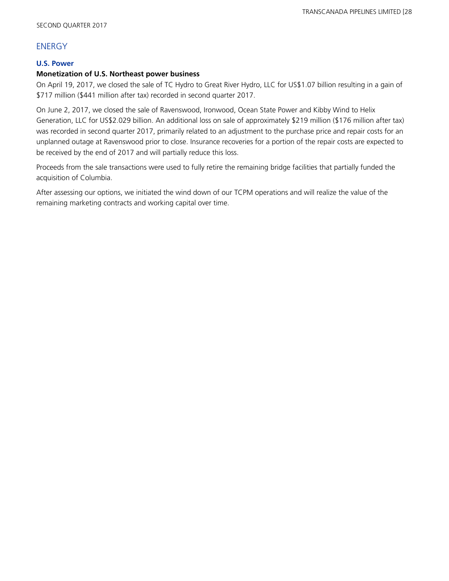## **ENERGY**

## **U.S. Power**

### **Monetization of U.S. Northeast power business**

On April 19, 2017, we closed the sale of TC Hydro to Great River Hydro, LLC for US\$1.07 billion resulting in a gain of \$717 million (\$441 million after tax) recorded in second quarter 2017.

On June 2, 2017, we closed the sale of Ravenswood, Ironwood, Ocean State Power and Kibby Wind to Helix Generation, LLC for US\$2.029 billion. An additional loss on sale of approximately \$219 million (\$176 million after tax) was recorded in second quarter 2017, primarily related to an adjustment to the purchase price and repair costs for an unplanned outage at Ravenswood prior to close. Insurance recoveries for a portion of the repair costs are expected to be received by the end of 2017 and will partially reduce this loss.

Proceeds from the sale transactions were used to fully retire the remaining bridge facilities that partially funded the acquisition of Columbia.

After assessing our options, we initiated the wind down of our TCPM operations and will realize the value of the remaining marketing contracts and working capital over time.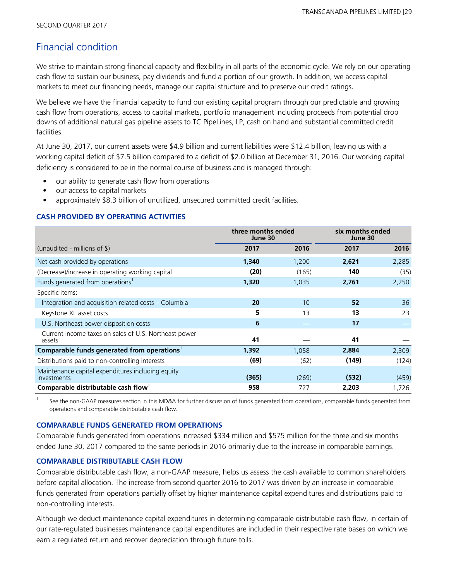# Financial condition

We strive to maintain strong financial capacity and flexibility in all parts of the economic cycle. We rely on our operating cash flow to sustain our business, pay dividends and fund a portion of our growth. In addition, we access capital markets to meet our financing needs, manage our capital structure and to preserve our credit ratings.

We believe we have the financial capacity to fund our existing capital program through our predictable and growing cash flow from operations, access to capital markets, portfolio management including proceeds from potential drop downs of additional natural gas pipeline assets to TC PipeLines, LP, cash on hand and substantial committed credit facilities.

At June 30, 2017, our current assets were \$4.9 billion and current liabilities were \$12.4 billion, leaving us with a working capital deficit of \$7.5 billion compared to a deficit of \$2.0 billion at December 31, 2016. Our working capital deficiency is considered to be in the normal course of business and is managed through:

- our ability to generate cash flow from operations
- our access to capital markets
- approximately \$8.3 billion of unutilized, unsecured committed credit facilities.

### **CASH PROVIDED BY OPERATING ACTIVITIES**

|                                                                         | three months ended<br>June 30 |       | six months ended<br>June 30 |       |  |
|-------------------------------------------------------------------------|-------------------------------|-------|-----------------------------|-------|--|
| (unaudited - millions of $\frac{1}{2}$ )                                | 2017                          | 2016  | 2017                        | 2016  |  |
| Net cash provided by operations                                         | 1,340                         | 1,200 | 2,621                       | 2,285 |  |
| (Decrease)/increase in operating working capital                        | (20)                          | (165) | 140                         | (35)  |  |
| Funds generated from operations <sup>1</sup>                            | 1,320                         | 1,035 | 2,761                       | 2,250 |  |
| Specific items:                                                         |                               |       |                             |       |  |
| Integration and acquisition related costs - Columbia                    | 20                            | 10    | 52                          | 36    |  |
| Keystone XL asset costs                                                 | 5.                            | 13    | 13                          | 23    |  |
| U.S. Northeast power disposition costs                                  | 6                             |       | 17                          |       |  |
| Current income taxes on sales of U.S. Northeast power<br>assets         | 41                            |       | 41                          |       |  |
| Comparable funds generated from operations <sup>1</sup>                 | 1,392                         | 1,058 | 2,884                       | 2,309 |  |
| Distributions paid to non-controlling interests                         | (69)                          | (62)  | (149)                       | (124) |  |
| Maintenance capital expenditures including equity<br><i>investments</i> | (365)                         | (269) | (532)                       | (459) |  |
| Comparable distributable cash flow                                      | 958                           | 727   | 2,203                       | 1,726 |  |

1 See the non-GAAP measures section in this MD&A for further discussion of funds generated from operations, comparable funds generated from operations and comparable distributable cash flow.

### **COMPARABLE FUNDS GENERATED FROM OPERATIONS**

Comparable funds generated from operations increased \$334 million and \$575 million for the three and six months ended June 30, 2017 compared to the same periods in 2016 primarily due to the increase in comparable earnings.

### **COMPARABLE DISTRIBUTABLE CASH FLOW**

Comparable distributable cash flow, a non-GAAP measure, helps us assess the cash available to common shareholders before capital allocation. The increase from second quarter 2016 to 2017 was driven by an increase in comparable funds generated from operations partially offset by higher maintenance capital expenditures and distributions paid to non-controlling interests.

Although we deduct maintenance capital expenditures in determining comparable distributable cash flow, in certain of our rate-regulated businesses maintenance capital expenditures are included in their respective rate bases on which we earn a regulated return and recover depreciation through future tolls.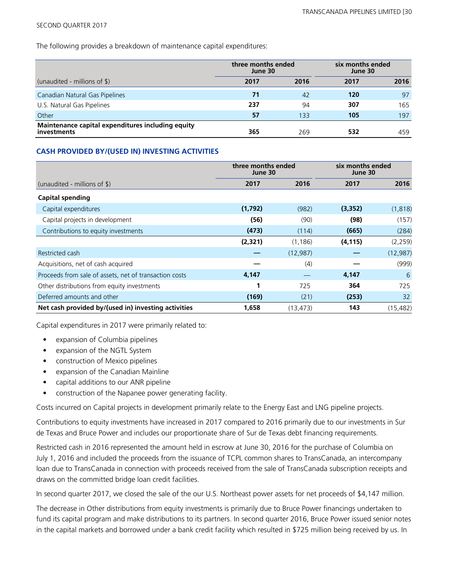#### SECOND QUARTER 2017

The following provides a breakdown of maintenance capital expenditures:

|                                                                         | three months ended<br>June 30 |      | six months ended<br>June 30 |      |
|-------------------------------------------------------------------------|-------------------------------|------|-----------------------------|------|
| (unaudited - millions of $\frac{1}{2}$ )                                | 2017                          | 2016 | 2017                        | 2016 |
| Canadian Natural Gas Pipelines                                          | 71                            | 42   | 120                         | 97   |
| U.S. Natural Gas Pipelines                                              | 237                           | 94   | 307                         | 165  |
| Other                                                                   | 57                            | 133  | 105                         | 197  |
| Maintenance capital expenditures including equity<br><i>investments</i> | 365                           | 269  | 532                         | 459  |

### **CASH PROVIDED BY/(USED IN) INVESTING ACTIVITIES**

|                                                        | three months ended<br>June 30 |           | six months ended<br>June 30 |           |
|--------------------------------------------------------|-------------------------------|-----------|-----------------------------|-----------|
| (unaudited - millions of $\frac{1}{2}$ )               | 2017                          | 2016      | 2017                        | 2016      |
| <b>Capital spending</b>                                |                               |           |                             |           |
| Capital expenditures                                   | (1,792)                       | (982)     | (3, 352)                    | (1, 818)  |
| Capital projects in development                        | (56)                          | (90)      | (98)                        | (157)     |
| Contributions to equity investments                    | (473)                         | (114)     | (665)                       | (284)     |
|                                                        | (2,321)                       | (1, 186)  | (4, 115)                    | (2, 259)  |
| Restricted cash                                        |                               | (12, 987) |                             | (12, 987) |
| Acquisitions, net of cash acquired                     |                               | (4)       |                             | (999)     |
| Proceeds from sale of assets, net of transaction costs | 4,147                         |           | 4,147                       | 6         |
| Other distributions from equity investments            | 1                             | 725       | 364                         | 725       |
| Deferred amounts and other                             | (169)                         | (21)      | (253)                       | 32        |
| Net cash provided by/(used in) investing activities    | 1,658                         | (13, 473) | 143                         | (15, 482) |

Capital expenditures in 2017 were primarily related to:

- expansion of Columbia pipelines
- expansion of the NGTL System
- construction of Mexico pipelines
- expansion of the Canadian Mainline
- capital additions to our ANR pipeline
- construction of the Napanee power generating facility.

Costs incurred on Capital projects in development primarily relate to the Energy East and LNG pipeline projects.

Contributions to equity investments have increased in 2017 compared to 2016 primarily due to our investments in Sur de Texas and Bruce Power and includes our proportionate share of Sur de Texas debt financing requirements.

Restricted cash in 2016 represented the amount held in escrow at June 30, 2016 for the purchase of Columbia on July 1, 2016 and included the proceeds from the issuance of TCPL common shares to TransCanada, an intercompany loan due to TransCanada in connection with proceeds received from the sale of TransCanada subscription receipts and draws on the committed bridge loan credit facilities.

In second quarter 2017, we closed the sale of the our U.S. Northeast power assets for net proceeds of \$4,147 million.

The decrease in Other distributions from equity investments is primarily due to Bruce Power financings undertaken to fund its capital program and make distributions to its partners. In second quarter 2016, Bruce Power issued senior notes in the capital markets and borrowed under a bank credit facility which resulted in \$725 million being received by us. In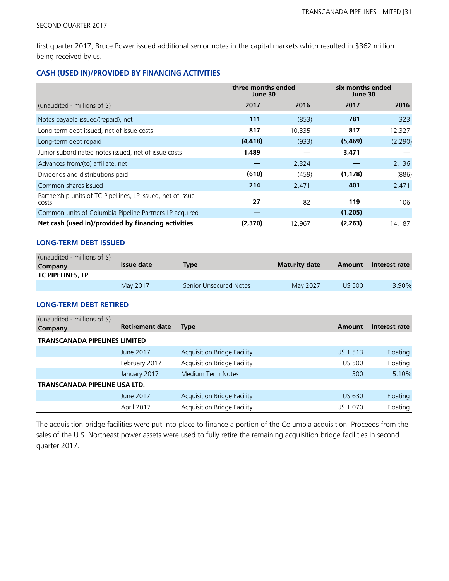first quarter 2017, Bruce Power issued additional senior notes in the capital markets which resulted in \$362 million being received by us.

## **CASH (USED IN)/PROVIDED BY FINANCING ACTIVITIES**

|                                                                     | three months ended<br>June 30 |        | six months ended<br>June 30 |          |  |
|---------------------------------------------------------------------|-------------------------------|--------|-----------------------------|----------|--|
| (unaudited - millions of \$)                                        | 2017                          | 2016   | 2017                        | 2016     |  |
| Notes payable issued/(repaid), net                                  | 111                           | (853)  | 781                         | 323      |  |
| Long-term debt issued, net of issue costs                           | 817                           | 10,335 | 817                         | 12,327   |  |
| Long-term debt repaid                                               | (4, 418)                      | (933)  | (5,469)                     | (2, 290) |  |
| Junior subordinated notes issued, net of issue costs                | 1,489                         |        | 3,471                       |          |  |
| Advances from/(to) affiliate, net                                   |                               | 2,324  |                             | 2,136    |  |
| Dividends and distributions paid                                    | (610)                         | (459)  | (1, 178)                    | (886)    |  |
| Common shares issued                                                | 214                           | 2,471  | 401                         | 2,471    |  |
| Partnership units of TC PipeLines, LP issued, net of issue<br>costs | 27                            | 82     | 119                         | 106      |  |
| Common units of Columbia Pipeline Partners LP acquired              |                               |        | (1,205)                     |          |  |
| Net cash (used in)/provided by financing activities                 | (2,370)                       | 12,967 | (2, 263)                    | 14,187   |  |

### **LONG-TERM DEBT ISSUED**

| (unaudited - millions of $\$\$ )<br>Company | Issue date | Type                   | <b>Maturity date</b> | Amount        | Interest rate |
|---------------------------------------------|------------|------------------------|----------------------|---------------|---------------|
| <b>TC PIPELINES, LP</b>                     |            |                        |                      |               |               |
|                                             | May 2017   | Senior Unsecured Notes | May 2027             | <b>US 500</b> | 3.90%         |

### **LONG-TERM DEBT RETIRED**

| (unaudited - millions of $\frac{1}{2}$ )<br>Company | <b>Retirement date</b> | <b>Type</b>                        | Amount        | Interest rate |
|-----------------------------------------------------|------------------------|------------------------------------|---------------|---------------|
| <b>TRANSCANADA PIPELINES LIMITED</b>                |                        |                                    |               |               |
|                                                     | June 2017              | <b>Acquisition Bridge Facility</b> | US 1,513      | Floating      |
|                                                     | February 2017          | <b>Acquisition Bridge Facility</b> | <b>US 500</b> | Floating      |
|                                                     | January 2017           | Medium Term Notes                  | 300           | 5.10%         |
| TRANSCANADA PIPELINE USA LTD.                       |                        |                                    |               |               |
|                                                     | June 2017              | <b>Acquisition Bridge Facility</b> | US 630        | Floating      |
|                                                     | April 2017             | <b>Acquisition Bridge Facility</b> | US 1,070      | Floating      |

The acquisition bridge facilities were put into place to finance a portion of the Columbia acquisition. Proceeds from the sales of the U.S. Northeast power assets were used to fully retire the remaining acquisition bridge facilities in second quarter 2017.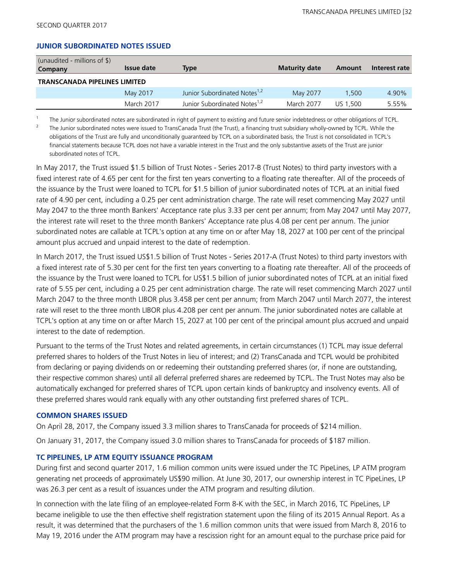#### **JUNIOR SUBORDINATED NOTES ISSUED**

| (unaudited - millions of $\$\$ )<br>Company | Issue date | <b>Type</b>                              | <b>Maturity date</b> | Amount   | Interest rate |
|---------------------------------------------|------------|------------------------------------------|----------------------|----------|---------------|
| <b>TRANSCANADA PIPELINES LIMITED</b>        |            |                                          |                      |          |               |
|                                             | May 2017   | Junior Subordinated Notes <sup>1,2</sup> | May 2077             | 1,500    | 4.90%         |
|                                             | March 2017 | Junior Subordinated Notes <sup>1,2</sup> | March 2077           | US 1.500 | 5.55%         |

1 The Junior subordinated notes are subordinated in right of payment to existing and future senior indebtedness or other obligations of TCPL.

2 The Junior subordinated notes were issued to TransCanada Trust (the Trust), a financing trust subsidiary wholly-owned by TCPL. While the obligations of the Trust are fully and unconditionally guaranteed by TCPL on a subordinated basis, the Trust is not consolidated in TCPL's financial statements because TCPL does not have a variable interest in the Trust and the only substantive assets of the Trust are junior subordinated notes of TCPL.

In May 2017, the Trust issued \$1.5 billion of Trust Notes - Series 2017-B (Trust Notes) to third party investors with a fixed interest rate of 4.65 per cent for the first ten years converting to a floating rate thereafter. All of the proceeds of the issuance by the Trust were loaned to TCPL for \$1.5 billion of junior subordinated notes of TCPL at an initial fixed rate of 4.90 per cent, including a 0.25 per cent administration charge. The rate will reset commencing May 2027 until May 2047 to the three month Bankers' Acceptance rate plus 3.33 per cent per annum; from May 2047 until May 2077, the interest rate will reset to the three month Bankers' Acceptance rate plus 4.08 per cent per annum. The junior subordinated notes are callable at TCPL's option at any time on or after May 18, 2027 at 100 per cent of the principal amount plus accrued and unpaid interest to the date of redemption.

In March 2017, the Trust issued US\$1.5 billion of Trust Notes - Series 2017-A (Trust Notes) to third party investors with a fixed interest rate of 5.30 per cent for the first ten years converting to a floating rate thereafter. All of the proceeds of the issuance by the Trust were loaned to TCPL for US\$1.5 billion of junior subordinated notes of TCPL at an initial fixed rate of 5.55 per cent, including a 0.25 per cent administration charge. The rate will reset commencing March 2027 until March 2047 to the three month LIBOR plus 3.458 per cent per annum; from March 2047 until March 2077, the interest rate will reset to the three month LIBOR plus 4.208 per cent per annum. The junior subordinated notes are callable at TCPL's option at any time on or after March 15, 2027 at 100 per cent of the principal amount plus accrued and unpaid interest to the date of redemption.

Pursuant to the terms of the Trust Notes and related agreements, in certain circumstances (1) TCPL may issue deferral preferred shares to holders of the Trust Notes in lieu of interest; and (2) TransCanada and TCPL would be prohibited from declaring or paying dividends on or redeeming their outstanding preferred shares (or, if none are outstanding, their respective common shares) until all deferral preferred shares are redeemed by TCPL. The Trust Notes may also be automatically exchanged for preferred shares of TCPL upon certain kinds of bankruptcy and insolvency events. All of these preferred shares would rank equally with any other outstanding first preferred shares of TCPL.

#### **COMMON SHARES ISSUED**

On April 28, 2017, the Company issued 3.3 million shares to TransCanada for proceeds of \$214 million.

On January 31, 2017, the Company issued 3.0 million shares to TransCanada for proceeds of \$187 million.

### **TC PIPELINES, LP ATM EQUITY ISSUANCE PROGRAM**

During first and second quarter 2017, 1.6 million common units were issued under the TC PipeLines, LP ATM program generating net proceeds of approximately US\$90 million. At June 30, 2017, our ownership interest in TC PipeLines, LP was 26.3 per cent as a result of issuances under the ATM program and resulting dilution.

In connection with the late filing of an employee-related Form 8-K with the SEC, in March 2016, TC PipeLines, LP became ineligible to use the then effective shelf registration statement upon the filing of its 2015 Annual Report. As a result, it was determined that the purchasers of the 1.6 million common units that were issued from March 8, 2016 to May 19, 2016 under the ATM program may have a rescission right for an amount equal to the purchase price paid for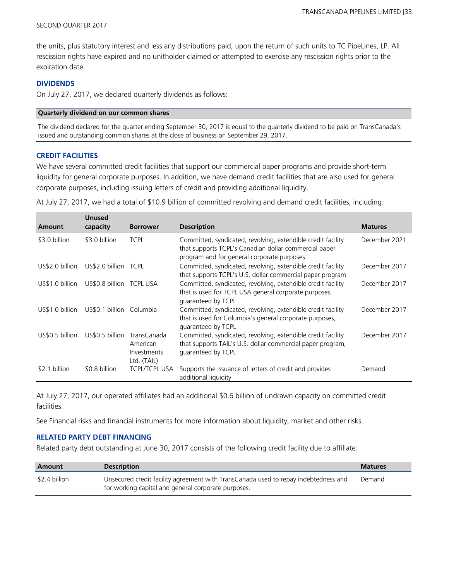the units, plus statutory interest and less any distributions paid, upon the return of such units to TC PipeLines, LP. All rescission rights have expired and no unitholder claimed or attempted to exercise any rescission rights prior to the expiration date.

#### **DIVIDENDS**

On July 27, 2017, we declared quarterly dividends as follows:

#### **Quarterly dividend on our common shares**

The dividend declared for the quarter ending September 30, 2017 is equal to the quarterly dividend to be paid on TransCanada's issued and outstanding common shares at the close of business on September 29, 2017.

#### **CREDIT FACILITIES**

We have several committed credit facilities that support our commercial paper programs and provide short-term liquidity for general corporate purposes. In addition, we have demand credit facilities that are also used for general corporate purposes, including issuing letters of credit and providing additional liquidity.

At July 27, 2017, we had a total of \$10.9 billion of committed revolving and demand credit facilities, including:

| Amount          | <b>Unused</b><br>capacity | <b>Borrower</b>                                       | <b>Description</b>                                                                                                                                                  | <b>Matures</b> |
|-----------------|---------------------------|-------------------------------------------------------|---------------------------------------------------------------------------------------------------------------------------------------------------------------------|----------------|
| \$3.0 billion   | \$3.0 billion             | <b>TCPL</b>                                           | Committed, syndicated, revolving, extendible credit facility<br>that supports TCPL's Canadian dollar commercial paper<br>program and for general corporate purposes | December 2021  |
| US\$2.0 billion | US\$2.0 billion TCPL      |                                                       | Committed, syndicated, revolving, extendible credit facility<br>that supports TCPL's U.S. dollar commercial paper program                                           | December 2017  |
| US\$1.0 billion | US\$0.8 billion TCPL USA  |                                                       | Committed, syndicated, revolving, extendible credit facility<br>that is used for TCPL USA general corporate purposes,<br>quaranteed by TCPL                         | December 2017  |
| US\$1.0 billion | US\$0.1 billion Columbia  |                                                       | Committed, syndicated, revolving, extendible credit facility<br>that is used for Columbia's general corporate purposes,<br>quaranteed by TCPL                       | December 2017  |
| US\$0.5 billion | US\$0.5 billion           | TransCanada<br>American<br>Investments<br>Ltd. (TAIL) | Committed, syndicated, revolving, extendible credit facility<br>that supports TAIL's U.S. dollar commercial paper program,<br>guaranteed by TCPL                    | December 2017  |
| \$2.1 billion   | \$0.8 billion             | <b>TCPL/TCPL USA</b>                                  | Supports the issuance of letters of credit and provides<br>additional liquidity                                                                                     | Demand         |

At July 27, 2017, our operated affiliates had an additional \$0.6 billion of undrawn capacity on committed credit facilities.

See Financial risks and financial instruments for more information about liquidity, market and other risks.

#### **RELATED PARTY DEBT FINANCING**

Related party debt outstanding at June 30, 2017 consists of the following credit facility due to affiliate:

| Amount        | <b>Description</b>                                                                                                                         | <b>Matures</b> |
|---------------|--------------------------------------------------------------------------------------------------------------------------------------------|----------------|
| \$2.4 billion | Unsecured credit facility agreement with TransCanada used to repay indebtedness and<br>for working capital and general corporate purposes. | Demand         |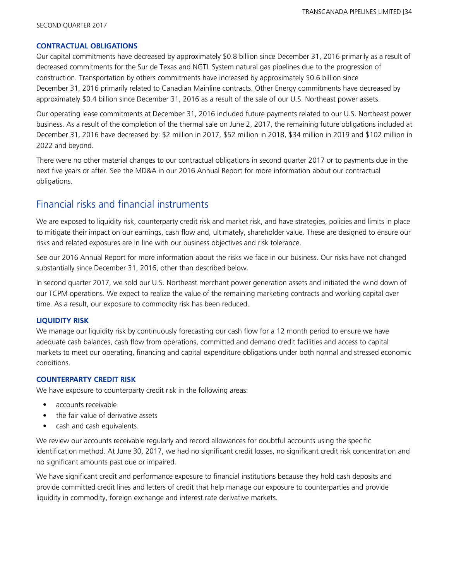#### **CONTRACTUAL OBLIGATIONS**

Our capital commitments have decreased by approximately \$0.8 billion since December 31, 2016 primarily as a result of decreased commitments for the Sur de Texas and NGTL System natural gas pipelines due to the progression of construction. Transportation by others commitments have increased by approximately \$0.6 billion since December 31, 2016 primarily related to Canadian Mainline contracts. Other Energy commitments have decreased by approximately \$0.4 billion since December 31, 2016 as a result of the sale of our U.S. Northeast power assets.

Our operating lease commitments at December 31, 2016 included future payments related to our U.S. Northeast power business. As a result of the completion of the thermal sale on June 2, 2017, the remaining future obligations included at December 31, 2016 have decreased by: \$2 million in 2017, \$52 million in 2018, \$34 million in 2019 and \$102 million in 2022 and beyond.

There were no other material changes to our contractual obligations in second quarter 2017 or to payments due in the next five years or after. See the MD&A in our 2016 Annual Report for more information about our contractual obligations.

# Financial risks and financial instruments

We are exposed to liquidity risk, counterparty credit risk and market risk, and have strategies, policies and limits in place to mitigate their impact on our earnings, cash flow and, ultimately, shareholder value. These are designed to ensure our risks and related exposures are in line with our business objectives and risk tolerance.

See our 2016 Annual Report for more information about the risks we face in our business. Our risks have not changed substantially since December 31, 2016, other than described below.

In second quarter 2017, we sold our U.S. Northeast merchant power generation assets and initiated the wind down of our TCPM operations. We expect to realize the value of the remaining marketing contracts and working capital over time. As a result, our exposure to commodity risk has been reduced.

### **LIQUIDITY RISK**

We manage our liquidity risk by continuously forecasting our cash flow for a 12 month period to ensure we have adequate cash balances, cash flow from operations, committed and demand credit facilities and access to capital markets to meet our operating, financing and capital expenditure obligations under both normal and stressed economic conditions.

### **COUNTERPARTY CREDIT RISK**

We have exposure to counterparty credit risk in the following areas:

- **•** accounts receivable
- **•** the fair value of derivative assets
- **•** cash and cash equivalents.

We review our accounts receivable regularly and record allowances for doubtful accounts using the specific identification method. At June 30, 2017, we had no significant credit losses, no significant credit risk concentration and no significant amounts past due or impaired.

We have significant credit and performance exposure to financial institutions because they hold cash deposits and provide committed credit lines and letters of credit that help manage our exposure to counterparties and provide liquidity in commodity, foreign exchange and interest rate derivative markets.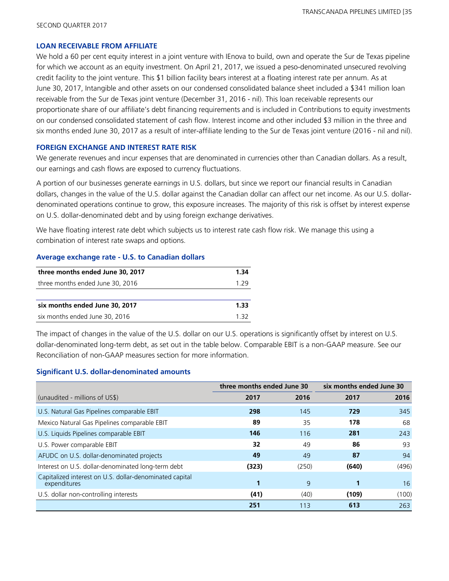#### **LOAN RECEIVABLE FROM AFFILIATE**

We hold a 60 per cent equity interest in a joint venture with IEnova to build, own and operate the Sur de Texas pipeline for which we account as an equity investment. On April 21, 2017, we issued a peso-denominated unsecured revolving credit facility to the joint venture. This \$1 billion facility bears interest at a floating interest rate per annum. As at June 30, 2017, Intangible and other assets on our condensed consolidated balance sheet included a \$341 million loan receivable from the Sur de Texas joint venture (December 31, 2016 - nil). This loan receivable represents our proportionate share of our affiliate's debt financing requirements and is included in Contributions to equity investments on our condensed consolidated statement of cash flow. Interest income and other included \$3 million in the three and six months ended June 30, 2017 as a result of inter-affiliate lending to the Sur de Texas joint venture (2016 - nil and nil).

#### **FOREIGN EXCHANGE AND INTEREST RATE RISK**

We generate revenues and incur expenses that are denominated in currencies other than Canadian dollars. As a result, our earnings and cash flows are exposed to currency fluctuations.

A portion of our businesses generate earnings in U.S. dollars, but since we report our financial results in Canadian dollars, changes in the value of the U.S. dollar against the Canadian dollar can affect our net income. As our U.S. dollardenominated operations continue to grow, this exposure increases. The majority of this risk is offset by interest expense on U.S. dollar-denominated debt and by using foreign exchange derivatives.

We have floating interest rate debt which subjects us to interest rate cash flow risk. We manage this using a combination of interest rate swaps and options.

#### **Average exchange rate - U.S. to Canadian dollars**

| three months ended June 30, 2017 | 1.34  |
|----------------------------------|-------|
| three months ended June 30, 2016 | 1 7 Q |
|                                  |       |
| six months ended June 30, 2017   | 1.33  |
| six months ended June 30, 2016   | 1 37  |

The impact of changes in the value of the U.S. dollar on our U.S. operations is significantly offset by interest on U.S. dollar-denominated long-term debt, as set out in the table below. Comparable EBIT is a non-GAAP measure. See our Reconciliation of non-GAAP measures section for more information.

#### **Significant U.S. dollar-denominated amounts**

|                                                                         | three months ended June 30 |       | six months ended June 30 |       |
|-------------------------------------------------------------------------|----------------------------|-------|--------------------------|-------|
| (unaudited - millions of US\$)                                          | 2017                       | 2016  | 2017                     | 2016  |
| U.S. Natural Gas Pipelines comparable EBIT                              | 298                        | 145   | 729                      | 345   |
| Mexico Natural Gas Pipelines comparable EBIT                            | 89                         | 35    | 178                      | 68    |
| U.S. Liquids Pipelines comparable EBIT                                  | 146                        | 116   | 281                      | 243   |
| U.S. Power comparable EBIT                                              | 32                         | 49    | 86                       | 93    |
| AFUDC on U.S. dollar-denominated projects                               | 49                         | 49    | 87                       | 94    |
| Interest on U.S. dollar-denominated long-term debt                      | (323)                      | (250) | (640)                    | (496) |
| Capitalized interest on U.S. dollar-denominated capital<br>expenditures |                            | 9     |                          | 16    |
| U.S. dollar non-controlling interests                                   | (41)                       | (40)  | (109)                    | (100) |
|                                                                         | 251                        | 113   | 613                      | 263   |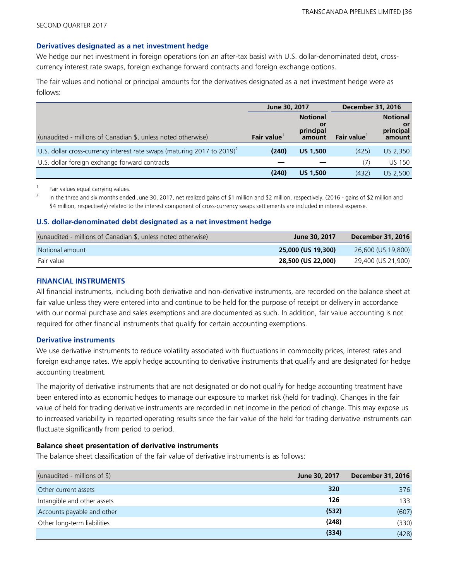#### **Derivatives designated as a net investment hedge**

We hedge our net investment in foreign operations (on an after-tax basis) with U.S. dollar-denominated debt, crosscurrency interest rate swaps, foreign exchange forward contracts and foreign exchange options.

The fair values and notional or principal amounts for the derivatives designated as a net investment hedge were as follows:

|                                                                                     | June 30, 2017 |                                              | <b>December 31, 2016</b> |                                              |
|-------------------------------------------------------------------------------------|---------------|----------------------------------------------|--------------------------|----------------------------------------------|
| (unaudited - millions of Canadian \$, unless noted otherwise)                       | Fair value    | <b>Notional</b><br>0ľ<br>principal<br>amount | Fair value               | <b>Notional</b><br>0ľ<br>principal<br>amount |
| U.S. dollar cross-currency interest rate swaps (maturing 2017 to 2019) <sup>2</sup> | (240)         | <b>US 1.500</b>                              | (425)                    | US 2,350                                     |
| U.S. dollar foreign exchange forward contracts                                      |               |                                              | (7)                      | <b>US 150</b>                                |
|                                                                                     | (240)         | <b>US 1.500</b>                              | (432)                    | US 2.500                                     |

1 Fair values equal carrying values.

2 In the three and six months ended June 30, 2017, net realized gains of \$1 million and \$2 million, respectively, (2016 - gains of \$2 million and \$4 million, respectively) related to the interest component of cross-currency swaps settlements are included in interest expense.

#### **U.S. dollar-denominated debt designated as a net investment hedge**

| (unaudited - millions of Canadian \$, unless noted otherwise) | June 30, 2017      | December 31, 2016  |
|---------------------------------------------------------------|--------------------|--------------------|
| Notional amount                                               | 25,000 (US 19,300) | 26,600 (US 19,800) |
| Fair value                                                    | 28,500 (US 22,000) | 29,400 (US 21,900) |

#### **FINANCIAL INSTRUMENTS**

All financial instruments, including both derivative and non-derivative instruments, are recorded on the balance sheet at fair value unless they were entered into and continue to be held for the purpose of receipt or delivery in accordance with our normal purchase and sales exemptions and are documented as such. In addition, fair value accounting is not required for other financial instruments that qualify for certain accounting exemptions.

#### **Derivative instruments**

We use derivative instruments to reduce volatility associated with fluctuations in commodity prices, interest rates and foreign exchange rates. We apply hedge accounting to derivative instruments that qualify and are designated for hedge accounting treatment.

The majority of derivative instruments that are not designated or do not qualify for hedge accounting treatment have been entered into as economic hedges to manage our exposure to market risk (held for trading). Changes in the fair value of held for trading derivative instruments are recorded in net income in the period of change. This may expose us to increased variability in reported operating results since the fair value of the held for trading derivative instruments can fluctuate significantly from period to period.

#### **Balance sheet presentation of derivative instruments**

The balance sheet classification of the fair value of derivative instruments is as follows:

| (unaudited - millions of $\$\$ ) | June 30, 2017 | <b>December 31, 2016</b> |
|----------------------------------|---------------|--------------------------|
| Other current assets             | 320           | 376                      |
| Intangible and other assets      | 126           | 133                      |
| Accounts payable and other       | (532)         | (607)                    |
| Other long-term liabilities      | (248)         | (330)                    |
|                                  | (334)         | (428)                    |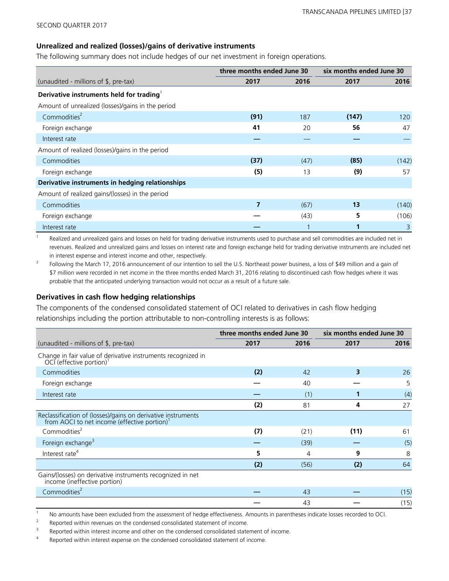#### **Unrealized and realized (losses)/gains of derivative instruments**

The following summary does not include hedges of our net investment in foreign operations.

|                                                      | three months ended June 30 |      | six months ended June 30 |       |  |
|------------------------------------------------------|----------------------------|------|--------------------------|-------|--|
| (unaudited - millions of \$, pre-tax)                | 2017                       | 2016 | 2017                     | 2016  |  |
| Derivative instruments held for trading <sup>1</sup> |                            |      |                          |       |  |
| Amount of unrealized (losses)/gains in the period    |                            |      |                          |       |  |
| Commodities <sup>2</sup>                             | (91)                       | 187  | (147)                    | 120   |  |
| Foreign exchange                                     | 41                         | 20   | 56                       | 47    |  |
| Interest rate                                        |                            |      |                          |       |  |
| Amount of realized (losses)/gains in the period      |                            |      |                          |       |  |
| Commodities                                          | (37)                       | (47) | (85)                     | (142) |  |
| Foreign exchange                                     | (5)                        | 13   | (9)                      | 57    |  |
| Derivative instruments in hedging relationships      |                            |      |                          |       |  |
| Amount of realized gains/(losses) in the period      |                            |      |                          |       |  |
| Commodities                                          | 7                          | (67) | 13                       | (140) |  |
| Foreign exchange                                     |                            | (43) | 5                        | (106) |  |
| Interest rate                                        |                            |      |                          | 3     |  |

1 Realized and unrealized gains and losses on held for trading derivative instruments used to purchase and sell commodities are included net in revenues. Realized and unrealized gains and losses on interest rate and foreign exchange held for trading derivative instruments are included net in interest expense and interest income and other, respectively.

2 Following the March 17, 2016 announcement of our intention to sell the U.S. Northeast power business, a loss of \$49 million and a gain of \$7 million were recorded in net income in the three months ended March 31, 2016 relating to discontinued cash flow hedges where it was probable that the anticipated underlying transaction would not occur as a result of a future sale.

#### **Derivatives in cash flow hedging relationships**

The components of the condensed consolidated statement of OCI related to derivatives in cash flow hedging relationships including the portion attributable to non-controlling interests is as follows:

|                                                                                                                          | three months ended June 30 |      | six months ended June 30 |      |  |  |
|--------------------------------------------------------------------------------------------------------------------------|----------------------------|------|--------------------------|------|--|--|
| (unaudited - millions of \$, pre-tax)                                                                                    | 2017                       | 2016 | 2017                     | 2016 |  |  |
| Change in fair value of derivative instruments recognized in<br>OCI (effective portion) <sup>1</sup>                     |                            |      |                          |      |  |  |
| Commodities                                                                                                              | (2)                        | 42   | 3                        | 26   |  |  |
| Foreign exchange                                                                                                         |                            | 40   |                          | 5    |  |  |
| Interest rate                                                                                                            |                            | (1)  |                          | (4)  |  |  |
|                                                                                                                          | (2)                        | 81   | 4                        | 27   |  |  |
| Reclassification of (losses)/gains on derivative instruments<br>from AOCI to net income (effective portion) <sup>1</sup> |                            |      |                          |      |  |  |
| Commodities <sup>2</sup>                                                                                                 | (7)                        | (21) | (11)                     | 61   |  |  |
| Foreign exchange <sup>3</sup>                                                                                            |                            | (39) |                          | (5)  |  |  |
| Interest rate <sup>4</sup>                                                                                               | 5                          | 4    | 9                        | 8    |  |  |
|                                                                                                                          | (2)                        | (56) | (2)                      | 64   |  |  |
| Gains/(losses) on derivative instruments recognized in net<br>income (ineffective portion)                               |                            |      |                          |      |  |  |
| Commodities <sup>2</sup>                                                                                                 |                            | 43   |                          | (15) |  |  |
|                                                                                                                          |                            | 43   |                          | (15) |  |  |

<sup>1</sup> No amounts have been excluded from the assessment of hedge effectiveness. Amounts in parentheses indicate losses recorded to OCI.

2 Reported within revenues on the condensed consolidated statement of income.

3 Reported within interest income and other on the condensed consolidated statement of income.

4 Reported within interest expense on the condensed consolidated statement of income.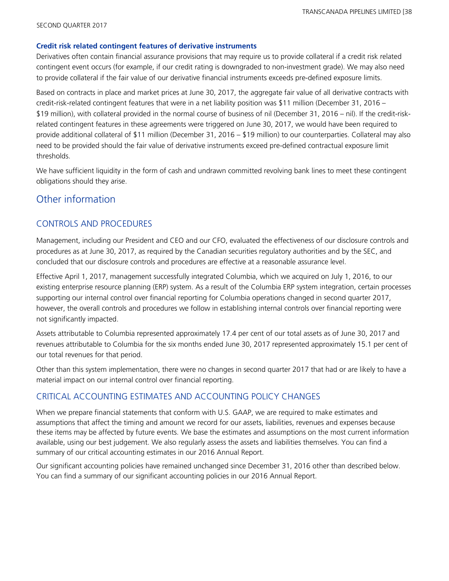#### **Credit risk related contingent features of derivative instruments**

Derivatives often contain financial assurance provisions that may require us to provide collateral if a credit risk related contingent event occurs (for example, if our credit rating is downgraded to non-investment grade). We may also need to provide collateral if the fair value of our derivative financial instruments exceeds pre-defined exposure limits.

Based on contracts in place and market prices at June 30, 2017, the aggregate fair value of all derivative contracts with credit-risk-related contingent features that were in a net liability position was \$11 million (December 31, 2016 – \$19 million), with collateral provided in the normal course of business of nil (December 31, 2016 – nil). If the credit-riskrelated contingent features in these agreements were triggered on June 30, 2017, we would have been required to provide additional collateral of \$11 million (December 31, 2016 – \$19 million) to our counterparties. Collateral may also need to be provided should the fair value of derivative instruments exceed pre-defined contractual exposure limit thresholds.

We have sufficient liquidity in the form of cash and undrawn committed revolving bank lines to meet these contingent obligations should they arise.

### Other information

### CONTROLS AND PROCEDURES

Management, including our President and CEO and our CFO, evaluated the effectiveness of our disclosure controls and procedures as at June 30, 2017, as required by the Canadian securities regulatory authorities and by the SEC, and concluded that our disclosure controls and procedures are effective at a reasonable assurance level.

Effective April 1, 2017, management successfully integrated Columbia, which we acquired on July 1, 2016, to our existing enterprise resource planning (ERP) system. As a result of the Columbia ERP system integration, certain processes supporting our internal control over financial reporting for Columbia operations changed in second quarter 2017, however, the overall controls and procedures we follow in establishing internal controls over financial reporting were not significantly impacted.

Assets attributable to Columbia represented approximately 17.4 per cent of our total assets as of June 30, 2017 and revenues attributable to Columbia for the six months ended June 30, 2017 represented approximately 15.1 per cent of our total revenues for that period.

Other than this system implementation, there were no changes in second quarter 2017 that had or are likely to have a material impact on our internal control over financial reporting.

### CRITICAL ACCOUNTING ESTIMATES AND ACCOUNTING POLICY CHANGES

When we prepare financial statements that conform with U.S. GAAP, we are required to make estimates and assumptions that affect the timing and amount we record for our assets, liabilities, revenues and expenses because these items may be affected by future events. We base the estimates and assumptions on the most current information available, using our best judgement. We also regularly assess the assets and liabilities themselves. You can find a summary of our critical accounting estimates in our 2016 Annual Report.

Our significant accounting policies have remained unchanged since December 31, 2016 other than described below. You can find a summary of our significant accounting policies in our 2016 Annual Report.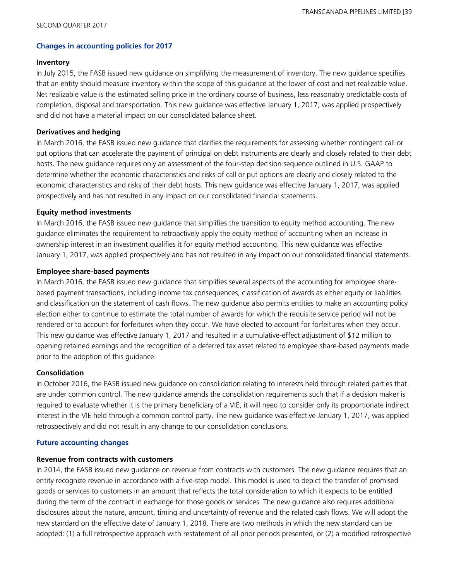#### **Changes in accounting policies for 2017**

#### **Inventory**

In July 2015, the FASB issued new guidance on simplifying the measurement of inventory. The new guidance specifies that an entity should measure inventory within the scope of this guidance at the lower of cost and net realizable value. Net realizable value is the estimated selling price in the ordinary course of business, less reasonably predictable costs of completion, disposal and transportation. This new guidance was effective January 1, 2017, was applied prospectively and did not have a material impact on our consolidated balance sheet.

#### **Derivatives and hedging**

In March 2016, the FASB issued new guidance that clarifies the requirements for assessing whether contingent call or put options that can accelerate the payment of principal on debt instruments are clearly and closely related to their debt hosts. The new guidance requires only an assessment of the four-step decision sequence outlined in U.S. GAAP to determine whether the economic characteristics and risks of call or put options are clearly and closely related to the economic characteristics and risks of their debt hosts. This new guidance was effective January 1, 2017, was applied prospectively and has not resulted in any impact on our consolidated financial statements.

#### **Equity method investments**

In March 2016, the FASB issued new guidance that simplifies the transition to equity method accounting. The new guidance eliminates the requirement to retroactively apply the equity method of accounting when an increase in ownership interest in an investment qualifies it for equity method accounting. This new guidance was effective January 1, 2017, was applied prospectively and has not resulted in any impact on our consolidated financial statements.

#### **Employee share-based payments**

In March 2016, the FASB issued new guidance that simplifies several aspects of the accounting for employee sharebased payment transactions, including income tax consequences, classification of awards as either equity or liabilities and classification on the statement of cash flows. The new guidance also permits entities to make an accounting policy election either to continue to estimate the total number of awards for which the requisite service period will not be rendered or to account for forfeitures when they occur. We have elected to account for forfeitures when they occur. This new guidance was effective January 1, 2017 and resulted in a cumulative-effect adjustment of \$12 million to opening retained earnings and the recognition of a deferred tax asset related to employee share-based payments made prior to the adoption of this guidance.

#### **Consolidation**

In October 2016, the FASB issued new guidance on consolidation relating to interests held through related parties that are under common control. The new guidance amends the consolidation requirements such that if a decision maker is required to evaluate whether it is the primary beneficiary of a VIE, it will need to consider only its proportionate indirect interest in the VIE held through a common control party. The new guidance was effective January 1, 2017, was applied retrospectively and did not result in any change to our consolidation conclusions.

#### **Future accounting changes**

#### **Revenue from contracts with customers**

In 2014, the FASB issued new guidance on revenue from contracts with customers. The new guidance requires that an entity recognize revenue in accordance with a five-step model. This model is used to depict the transfer of promised goods or services to customers in an amount that reflects the total consideration to which it expects to be entitled during the term of the contract in exchange for those goods or services. The new guidance also requires additional disclosures about the nature, amount, timing and uncertainty of revenue and the related cash flows. We will adopt the new standard on the effective date of January 1, 2018. There are two methods in which the new standard can be adopted: (1) a full retrospective approach with restatement of all prior periods presented, or (2) a modified retrospective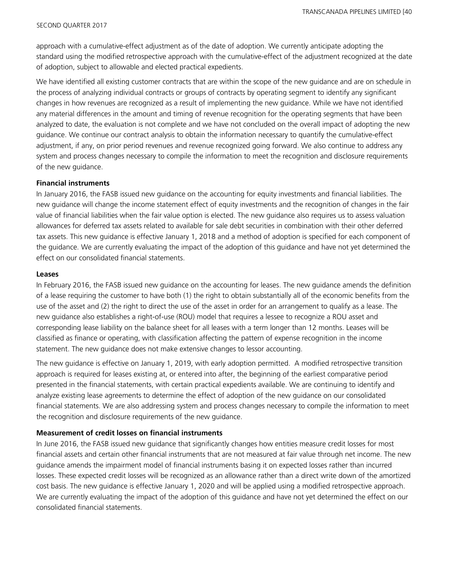approach with a cumulative-effect adjustment as of the date of adoption. We currently anticipate adopting the standard using the modified retrospective approach with the cumulative-effect of the adjustment recognized at the date of adoption, subject to allowable and elected practical expedients.

We have identified all existing customer contracts that are within the scope of the new guidance and are on schedule in the process of analyzing individual contracts or groups of contracts by operating segment to identify any significant changes in how revenues are recognized as a result of implementing the new guidance. While we have not identified any material differences in the amount and timing of revenue recognition for the operating segments that have been analyzed to date, the evaluation is not complete and we have not concluded on the overall impact of adopting the new guidance. We continue our contract analysis to obtain the information necessary to quantify the cumulative-effect adjustment, if any, on prior period revenues and revenue recognized going forward. We also continue to address any system and process changes necessary to compile the information to meet the recognition and disclosure requirements of the new guidance.

#### **Financial instruments**

In January 2016, the FASB issued new guidance on the accounting for equity investments and financial liabilities. The new guidance will change the income statement effect of equity investments and the recognition of changes in the fair value of financial liabilities when the fair value option is elected. The new guidance also requires us to assess valuation allowances for deferred tax assets related to available for sale debt securities in combination with their other deferred tax assets. This new guidance is effective January 1, 2018 and a method of adoption is specified for each component of the guidance. We are currently evaluating the impact of the adoption of this guidance and have not yet determined the effect on our consolidated financial statements.

#### **Leases**

In February 2016, the FASB issued new guidance on the accounting for leases. The new guidance amends the definition of a lease requiring the customer to have both (1) the right to obtain substantially all of the economic benefits from the use of the asset and (2) the right to direct the use of the asset in order for an arrangement to qualify as a lease. The new guidance also establishes a right-of-use (ROU) model that requires a lessee to recognize a ROU asset and corresponding lease liability on the balance sheet for all leases with a term longer than 12 months. Leases will be classified as finance or operating, with classification affecting the pattern of expense recognition in the income statement. The new guidance does not make extensive changes to lessor accounting.

The new guidance is effective on January 1, 2019, with early adoption permitted. A modified retrospective transition approach is required for leases existing at, or entered into after, the beginning of the earliest comparative period presented in the financial statements, with certain practical expedients available. We are continuing to identify and analyze existing lease agreements to determine the effect of adoption of the new guidance on our consolidated financial statements. We are also addressing system and process changes necessary to compile the information to meet the recognition and disclosure requirements of the new guidance.

#### **Measurement of credit losses on financial instruments**

In June 2016, the FASB issued new guidance that significantly changes how entities measure credit losses for most financial assets and certain other financial instruments that are not measured at fair value through net income. The new guidance amends the impairment model of financial instruments basing it on expected losses rather than incurred losses. These expected credit losses will be recognized as an allowance rather than a direct write down of the amortized cost basis. The new guidance is effective January 1, 2020 and will be applied using a modified retrospective approach. We are currently evaluating the impact of the adoption of this guidance and have not yet determined the effect on our consolidated financial statements.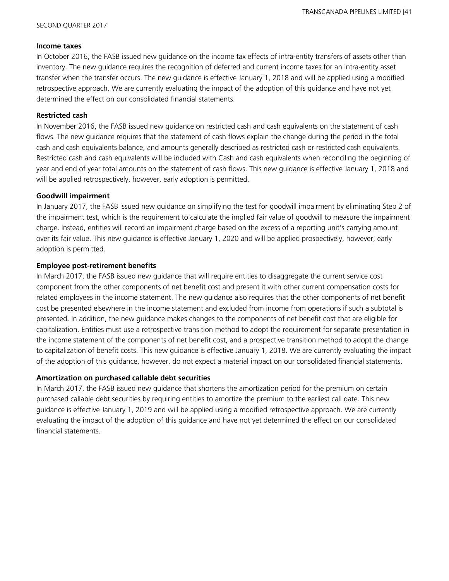#### **Income taxes**

In October 2016, the FASB issued new guidance on the income tax effects of intra-entity transfers of assets other than inventory. The new guidance requires the recognition of deferred and current income taxes for an intra-entity asset transfer when the transfer occurs. The new guidance is effective January 1, 2018 and will be applied using a modified retrospective approach. We are currently evaluating the impact of the adoption of this guidance and have not yet determined the effect on our consolidated financial statements.

#### **Restricted cash**

In November 2016, the FASB issued new guidance on restricted cash and cash equivalents on the statement of cash flows. The new guidance requires that the statement of cash flows explain the change during the period in the total cash and cash equivalents balance, and amounts generally described as restricted cash or restricted cash equivalents. Restricted cash and cash equivalents will be included with Cash and cash equivalents when reconciling the beginning of year and end of year total amounts on the statement of cash flows. This new guidance is effective January 1, 2018 and will be applied retrospectively, however, early adoption is permitted.

#### **Goodwill impairment**

In January 2017, the FASB issued new guidance on simplifying the test for goodwill impairment by eliminating Step 2 of the impairment test, which is the requirement to calculate the implied fair value of goodwill to measure the impairment charge. Instead, entities will record an impairment charge based on the excess of a reporting unit's carrying amount over its fair value. This new guidance is effective January 1, 2020 and will be applied prospectively, however, early adoption is permitted.

#### **Employee post-retirement benefits**

In March 2017, the FASB issued new guidance that will require entities to disaggregate the current service cost component from the other components of net benefit cost and present it with other current compensation costs for related employees in the income statement. The new guidance also requires that the other components of net benefit cost be presented elsewhere in the income statement and excluded from income from operations if such a subtotal is presented. In addition, the new guidance makes changes to the components of net benefit cost that are eligible for capitalization. Entities must use a retrospective transition method to adopt the requirement for separate presentation in the income statement of the components of net benefit cost, and a prospective transition method to adopt the change to capitalization of benefit costs. This new guidance is effective January 1, 2018. We are currently evaluating the impact of the adoption of this guidance, however, do not expect a material impact on our consolidated financial statements.

#### **Amortization on purchased callable debt securities**

In March 2017, the FASB issued new guidance that shortens the amortization period for the premium on certain purchased callable debt securities by requiring entities to amortize the premium to the earliest call date. This new guidance is effective January 1, 2019 and will be applied using a modified retrospective approach. We are currently evaluating the impact of the adoption of this guidance and have not yet determined the effect on our consolidated financial statements.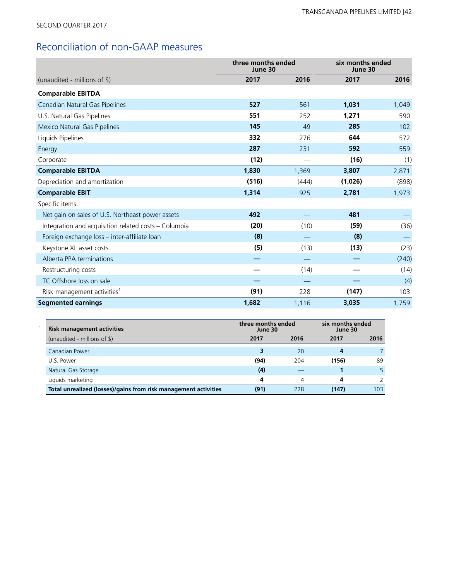# Reconciliation of non-GAAP measures

|                                                      | three months ended<br>June 30 |       | six months ended<br>June 30 |       |
|------------------------------------------------------|-------------------------------|-------|-----------------------------|-------|
| (unaudited - millions of $\frac{1}{2}$ )             | 2017                          | 2016  | 2017                        | 2016  |
| <b>Comparable EBITDA</b>                             |                               |       |                             |       |
| Canadian Natural Gas Pipelines                       | 527                           | 561   | 1,031                       | 1,049 |
| U.S. Natural Gas Pipelines                           | 551                           | 252   | 1,271                       | 590   |
| Mexico Natural Gas Pipelines                         | 145                           | 49    | 285                         | 102   |
| Liquids Pipelines                                    | 332                           | 276   | 644                         | 572   |
| Energy                                               | 287                           | 231   | 592                         | 559   |
| Corporate                                            | (12)                          |       | (16)                        | (1)   |
| <b>Comparable EBITDA</b>                             | 1,830                         | 1,369 | 3,807                       | 2,871 |
| Depreciation and amortization                        | (516)                         | (444) | (1,026)                     | (898) |
| <b>Comparable EBIT</b>                               | 1,314                         | 925   | 2,781                       | 1,973 |
| Specific items:                                      |                               |       |                             |       |
| Net gain on sales of U.S. Northeast power assets     | 492                           |       | 481                         |       |
| Integration and acquisition related costs - Columbia | (20)                          | (10)  | (59)                        | (36)  |
| Foreign exchange loss - inter-affiliate loan         | (8)                           |       | (8)                         |       |
| Keystone XL asset costs                              | (5)                           | (13)  | (13)                        | (23)  |
| Alberta PPA terminations                             |                               |       |                             | (240) |
| Restructuring costs                                  |                               | (14)  |                             | (14)  |
| TC Offshore loss on sale                             |                               |       |                             | (4)   |
| Risk management activities <sup>1</sup>              | (91)                          | 228   | (147)                       | 103   |
| <b>Segmented earnings</b>                            | 1,682                         | 1,116 | 3,035                       | 1,759 |

| <b>Risk management activities</b>                               | three months ended<br>June 30 |      | six months ended<br>June 30 |      |  |
|-----------------------------------------------------------------|-------------------------------|------|-----------------------------|------|--|
| (unaudited - millions of \$)                                    | 2017                          | 2016 | 2017                        | 2016 |  |
| Canadian Power                                                  |                               | 20   |                             |      |  |
| U.S. Power                                                      | (94)                          | 204  | (156)                       | 89   |  |
| Natural Gas Storage                                             | (4)                           |      |                             |      |  |
| Liquids marketing                                               | 4                             | Δ    |                             |      |  |
| Total unrealized (losses)/gains from risk management activities | (91)                          | 228  | (147)                       | 103  |  |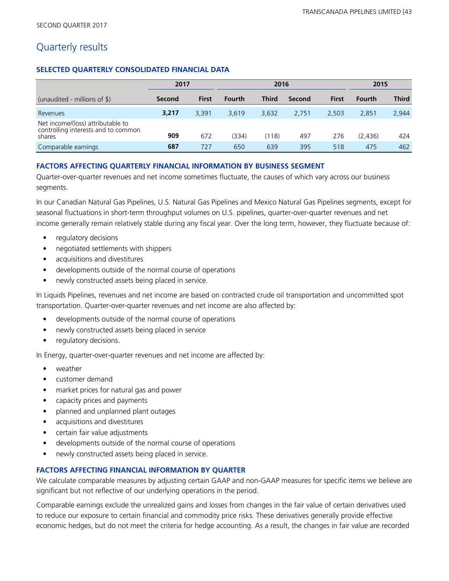### Quarterly results

#### **SELECTED QUARTERLY CONSOLIDATED FINANCIAL DATA**

|                                                                                    | 2017   |       | 2016          |              |        |              |               |              |  |  | 2015 |  |  |
|------------------------------------------------------------------------------------|--------|-------|---------------|--------------|--------|--------------|---------------|--------------|--|--|------|--|--|
| (unaudited - millions of \$)                                                       | Second | First | <b>Fourth</b> | <b>Third</b> | Second | <b>First</b> | <b>Fourth</b> | <b>Third</b> |  |  |      |  |  |
| Revenues                                                                           | 3,217  | 3.391 | 3.619         | 3.632        | 2.751  | 2.503        | 2.851         | 2,944        |  |  |      |  |  |
| Net income/(loss) attributable to<br>controlling interests and to common<br>shares | 909    | 672   | (334)         | (118)        | 497    | 276          | (2.436)       | 424          |  |  |      |  |  |
| Comparable earnings                                                                | 687    | 727   | 650           | 639          | 395    | 518          | 475           | 462          |  |  |      |  |  |

#### **FACTORS AFFECTING QUARTERLY FINANCIAL INFORMATION BY BUSINESS SEGMENT**

Quarter-over-quarter revenues and net income sometimes fluctuate, the causes of which vary across our business segments.

In our Canadian Natural Gas Pipelines, U.S. Natural Gas Pipelines and Mexico Natural Gas Pipelines segments, except for seasonal fluctuations in short-term throughput volumes on U.S. pipelines, quarter-over-quarter revenues and net income generally remain relatively stable during any fiscal year. Over the long term, however, they fluctuate because of:

- regulatory decisions
- negotiated settlements with shippers
- **•** acquisitions and divestitures
- **•** developments outside of the normal course of operations
- **•** newly constructed assets being placed in service.

In Liquids Pipelines, revenues and net income are based on contracted crude oil transportation and uncommitted spot transportation. Quarter-over-quarter revenues and net income are also affected by:

- **•** developments outside of the normal course of operations
- **•** newly constructed assets being placed in service
- regulatory decisions.

In Energy, quarter-over-quarter revenues and net income are affected by:

- **•** weather
- **•** customer demand
- **•** market prices for natural gas and power
- **•** capacity prices and payments
- **•** planned and unplanned plant outages
- **•** acquisitions and divestitures
- **•** certain fair value adjustments
- **•** developments outside of the normal course of operations
- **•** newly constructed assets being placed in service.

#### **FACTORS AFFECTING FINANCIAL INFORMATION BY QUARTER**

We calculate comparable measures by adjusting certain GAAP and non-GAAP measures for specific items we believe are significant but not reflective of our underlying operations in the period.

Comparable earnings exclude the unrealized gains and losses from changes in the fair value of certain derivatives used to reduce our exposure to certain financial and commodity price risks. These derivatives generally provide effective economic hedges, but do not meet the criteria for hedge accounting. As a result, the changes in fair value are recorded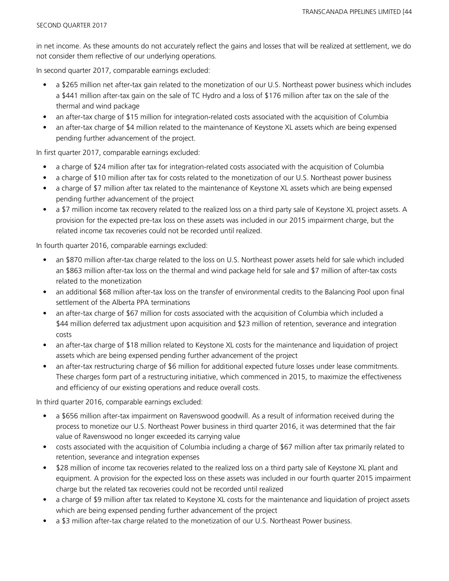in net income. As these amounts do not accurately reflect the gains and losses that will be realized at settlement, we do not consider them reflective of our underlying operations.

In second quarter 2017, comparable earnings excluded:

- a \$265 million net after-tax gain related to the monetization of our U.S. Northeast power business which includes a \$441 million after-tax gain on the sale of TC Hydro and a loss of \$176 million after tax on the sale of the thermal and wind package
- an after-tax charge of \$15 million for integration-related costs associated with the acquisition of Columbia
- an after-tax charge of \$4 million related to the maintenance of Keystone XL assets which are being expensed pending further advancement of the project.

In first quarter 2017, comparable earnings excluded:

- a charge of \$24 million after tax for integration-related costs associated with the acquisition of Columbia
- a charge of \$10 million after tax for costs related to the monetization of our U.S. Northeast power business
- a charge of \$7 million after tax related to the maintenance of Keystone XL assets which are being expensed pending further advancement of the project
- a \$7 million income tax recovery related to the realized loss on a third party sale of Keystone XL project assets. A provision for the expected pre-tax loss on these assets was included in our 2015 impairment charge, but the related income tax recoveries could not be recorded until realized.

In fourth quarter 2016, comparable earnings excluded:

- an \$870 million after-tax charge related to the loss on U.S. Northeast power assets held for sale which included an \$863 million after-tax loss on the thermal and wind package held for sale and \$7 million of after-tax costs related to the monetization
- an additional \$68 million after-tax loss on the transfer of environmental credits to the Balancing Pool upon final settlement of the Alberta PPA terminations
- an after-tax charge of \$67 million for costs associated with the acquisition of Columbia which included a \$44 million deferred tax adjustment upon acquisition and \$23 million of retention, severance and integration costs
- an after-tax charge of \$18 million related to Keystone XL costs for the maintenance and liquidation of project assets which are being expensed pending further advancement of the project
- an after-tax restructuring charge of \$6 million for additional expected future losses under lease commitments. These charges form part of a restructuring initiative, which commenced in 2015, to maximize the effectiveness and efficiency of our existing operations and reduce overall costs.

In third quarter 2016, comparable earnings excluded:

- a \$656 million after-tax impairment on Ravenswood goodwill. As a result of information received during the process to monetize our U.S. Northeast Power business in third quarter 2016, it was determined that the fair value of Ravenswood no longer exceeded its carrying value
- costs associated with the acquisition of Columbia including a charge of \$67 million after tax primarily related to retention, severance and integration expenses
- \$28 million of income tax recoveries related to the realized loss on a third party sale of Keystone XL plant and equipment. A provision for the expected loss on these assets was included in our fourth quarter 2015 impairment charge but the related tax recoveries could not be recorded until realized
- a charge of \$9 million after tax related to Keystone XL costs for the maintenance and liquidation of project assets which are being expensed pending further advancement of the project
- a \$3 million after-tax charge related to the monetization of our U.S. Northeast Power business.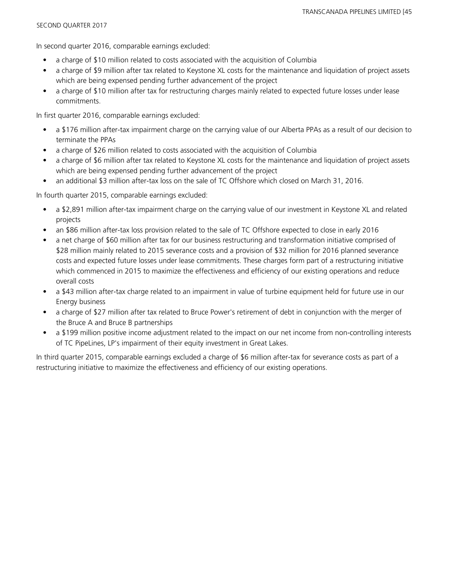In second quarter 2016, comparable earnings excluded:

- a charge of \$10 million related to costs associated with the acquisition of Columbia
- a charge of \$9 million after tax related to Keystone XL costs for the maintenance and liquidation of project assets which are being expensed pending further advancement of the project
- a charge of \$10 million after tax for restructuring charges mainly related to expected future losses under lease commitments.

In first quarter 2016, comparable earnings excluded:

- a \$176 million after-tax impairment charge on the carrying value of our Alberta PPAs as a result of our decision to terminate the PPAs
- a charge of \$26 million related to costs associated with the acquisition of Columbia
- a charge of \$6 million after tax related to Keystone XL costs for the maintenance and liquidation of project assets which are being expensed pending further advancement of the project
- an additional \$3 million after-tax loss on the sale of TC Offshore which closed on March 31, 2016.

In fourth quarter 2015, comparable earnings excluded:

- a \$2,891 million after-tax impairment charge on the carrying value of our investment in Keystone XL and related projects
- an \$86 million after-tax loss provision related to the sale of TC Offshore expected to close in early 2016
- a net charge of \$60 million after tax for our business restructuring and transformation initiative comprised of \$28 million mainly related to 2015 severance costs and a provision of \$32 million for 2016 planned severance costs and expected future losses under lease commitments. These charges form part of a restructuring initiative which commenced in 2015 to maximize the effectiveness and efficiency of our existing operations and reduce overall costs
- a \$43 million after-tax charge related to an impairment in value of turbine equipment held for future use in our Energy business
- a charge of \$27 million after tax related to Bruce Power's retirement of debt in conjunction with the merger of the Bruce A and Bruce B partnerships
- a \$199 million positive income adjustment related to the impact on our net income from non-controlling interests of TC PipeLines, LP's impairment of their equity investment in Great Lakes.

In third quarter 2015, comparable earnings excluded a charge of \$6 million after-tax for severance costs as part of a restructuring initiative to maximize the effectiveness and efficiency of our existing operations.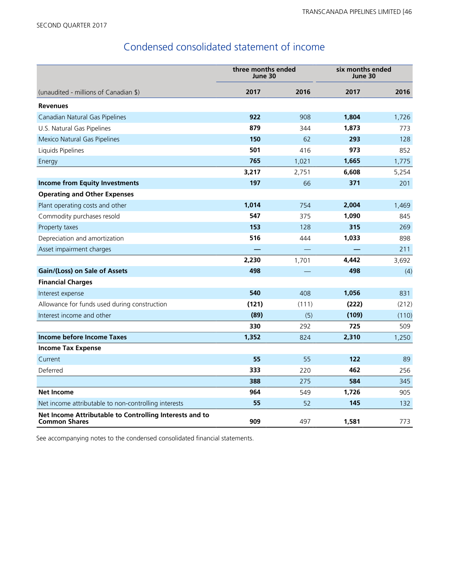# Condensed consolidated statement of income

|                                                                                 | three months ended<br>June 30 |       | six months ended<br>June 30 |       |
|---------------------------------------------------------------------------------|-------------------------------|-------|-----------------------------|-------|
| (unaudited - millions of Canadian \$)                                           | 2017                          | 2016  | 2017                        | 2016  |
| <b>Revenues</b>                                                                 |                               |       |                             |       |
| Canadian Natural Gas Pipelines                                                  | 922                           | 908   | 1,804                       | 1,726 |
| U.S. Natural Gas Pipelines                                                      | 879                           | 344   | 1,873                       | 773   |
| Mexico Natural Gas Pipelines                                                    | 150                           | 62    | 293                         | 128   |
| Liquids Pipelines                                                               | 501                           | 416   | 973                         | 852   |
| Energy                                                                          | 765                           | 1,021 | 1,665                       | 1,775 |
|                                                                                 | 3,217                         | 2,751 | 6,608                       | 5,254 |
| <b>Income from Equity Investments</b>                                           | 197                           | 66    | 371                         | 201   |
| <b>Operating and Other Expenses</b>                                             |                               |       |                             |       |
| Plant operating costs and other                                                 | 1,014                         | 754   | 2,004                       | 1,469 |
| Commodity purchases resold                                                      | 547                           | 375   | 1,090                       | 845   |
| Property taxes                                                                  | 153                           | 128   | 315                         | 269   |
| Depreciation and amortization                                                   | 516                           | 444   | 1,033                       | 898   |
| Asset impairment charges                                                        |                               |       |                             | 211   |
|                                                                                 | 2,230                         | 1,701 | 4,442                       | 3,692 |
| Gain/(Loss) on Sale of Assets                                                   | 498                           |       | 498                         | (4)   |
| <b>Financial Charges</b>                                                        |                               |       |                             |       |
| Interest expense                                                                | 540                           | 408   | 1,056                       | 831   |
| Allowance for funds used during construction                                    | (121)                         | (111) | (222)                       | (212) |
| Interest income and other                                                       | (89)                          | (5)   | (109)                       | (110) |
|                                                                                 | 330                           | 292   | 725                         | 509   |
| <b>Income before Income Taxes</b>                                               | 1,352                         | 824   | 2,310                       | 1,250 |
| <b>Income Tax Expense</b>                                                       |                               |       |                             |       |
| Current                                                                         | 55                            | 55    | 122                         | 89    |
| Deferred                                                                        | 333                           | 220   | 462                         | 256   |
|                                                                                 | 388                           | 275   | 584                         | 345   |
| <b>Net Income</b>                                                               | 964                           | 549   | 1,726                       | 905   |
| Net income attributable to non-controlling interests                            | 55                            | 52    | 145                         | 132   |
| Net Income Attributable to Controlling Interests and to<br><b>Common Shares</b> | 909                           | 497   | 1,581                       | 773   |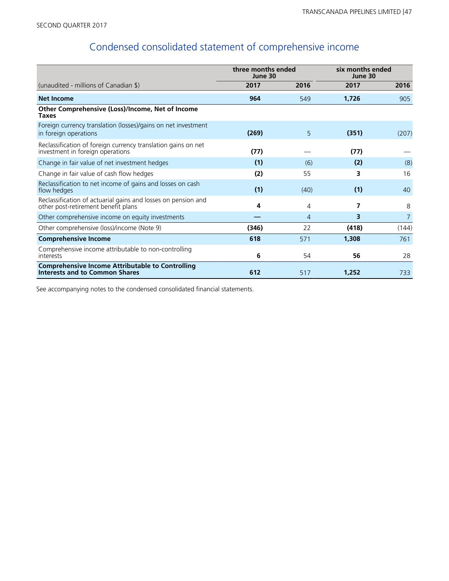# Condensed consolidated statement of comprehensive income

|                                                                                                      | three months ended<br>June 30 |      | six months ended<br>June 30 |       |  |
|------------------------------------------------------------------------------------------------------|-------------------------------|------|-----------------------------|-------|--|
| (unaudited - millions of Canadian \$)                                                                | 2017                          | 2016 | 2017                        | 2016  |  |
| <b>Net Income</b>                                                                                    | 964                           | 549  | 1,726                       | 905   |  |
| Other Comprehensive (Loss)/Income, Net of Income<br><b>Taxes</b>                                     |                               |      |                             |       |  |
| Foreign currency translation (losses)/gains on net investment<br>in foreign operations               | (269)                         | 5    | (351)                       | (207) |  |
| Reclassification of foreign currency translation gains on net<br>investment in foreign operations    | (77)                          |      | (77)                        |       |  |
| Change in fair value of net investment hedges                                                        | (1)                           | (6)  | (2)                         | (8)   |  |
| Change in fair value of cash flow hedges                                                             | (2)                           | 55   | 3                           | 16    |  |
| Reclassification to net income of gains and losses on cash<br>flow hedges                            | (1)                           | (40) | (1)                         | 40    |  |
| Reclassification of actuarial gains and losses on pension and<br>other post-retirement benefit plans | 4                             | 4    | 7                           | 8     |  |
| Other comprehensive income on equity investments                                                     |                               | 4    | 3                           | 7     |  |
| Other comprehensive (loss)/income (Note 9)                                                           | (346)                         | 22   | (418)                       | (144) |  |
| <b>Comprehensive Income</b>                                                                          | 618                           | 571  | 1,308                       | 761   |  |
| Comprehensive income attributable to non-controlling<br>interests                                    | 6                             | 54   | 56                          | 28    |  |
| <b>Comprehensive Income Attributable to Controlling</b><br><b>Interests and to Common Shares</b>     | 612                           | 517  | 1,252                       | 733   |  |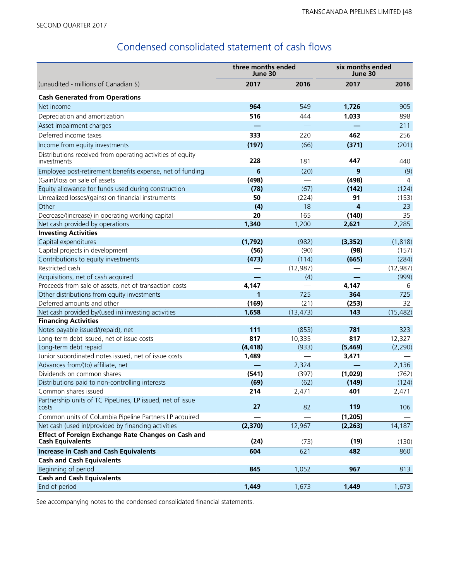# Condensed consolidated statement of cash flows

|                                                                                | three months ended<br>June 30 |           | six months ended<br>June 30 |           |  |
|--------------------------------------------------------------------------------|-------------------------------|-----------|-----------------------------|-----------|--|
| (unaudited - millions of Canadian \$)                                          | 2017                          | 2016      | 2017                        | 2016      |  |
| <b>Cash Generated from Operations</b>                                          |                               |           |                             |           |  |
| Net income                                                                     | 964                           | 549       | 1,726                       | 905       |  |
| Depreciation and amortization                                                  | 516                           | 444       | 1,033                       | 898       |  |
| Asset impairment charges                                                       |                               |           |                             | 211       |  |
| Deferred income taxes                                                          | 333                           | 220       | 462                         | 256       |  |
| Income from equity investments                                                 | (197)                         | (66)      | (371)                       | (201)     |  |
| Distributions received from operating activities of equity<br>investments      | 228                           | 181       | 447                         | 440       |  |
| Employee post-retirement benefits expense, net of funding                      | 6                             | (20)      | 9                           | (9)       |  |
| (Gain)/loss on sale of assets                                                  | (498)                         |           | (498)                       | 4         |  |
| Equity allowance for funds used during construction                            | (78)                          | (67)      | (142)                       | (124)     |  |
| Unrealized losses/(gains) on financial instruments                             | 50                            | (224)     | 91                          | (153)     |  |
| Other                                                                          | (4)                           | 18        | 4                           | 23        |  |
| Decrease/(increase) in operating working capital                               | 20                            | 165       | (140)                       | 35        |  |
| Net cash provided by operations                                                | 1,340                         | 1,200     | 2,621                       | 2,285     |  |
| <b>Investing Activities</b>                                                    |                               |           |                             |           |  |
| Capital expenditures                                                           | (1,792)                       | (982)     | (3, 352)                    | (1, 818)  |  |
| Capital projects in development                                                | (56)                          | (90)      | (98)                        | (157)     |  |
| Contributions to equity investments                                            | (473)                         | (114)     | (665)                       | (284)     |  |
| Restricted cash                                                                |                               | (12, 987) |                             | (12, 987) |  |
| Acquisitions, net of cash acquired                                             |                               | (4)       |                             | (999)     |  |
| Proceeds from sale of assets, net of transaction costs                         | 4,147                         |           | 4,147                       | 6         |  |
| Other distributions from equity investments                                    | 1                             | 725       | 364                         | 725       |  |
| Deferred amounts and other                                                     | (169)                         | (21)      | (253)                       | 32        |  |
| Net cash provided by/(used in) investing activities                            | 1,658                         | (13, 473) | 143                         | (15, 482) |  |
| <b>Financing Activities</b>                                                    |                               |           |                             |           |  |
| Notes payable issued/(repaid), net                                             | 111                           | (853)     | 781                         | 323       |  |
| Long-term debt issued, net of issue costs                                      | 817                           | 10,335    | 817                         | 12,327    |  |
| Long-term debt repaid                                                          | (4, 418)                      | (933)     | (5, 469)                    | (2, 290)  |  |
| Junior subordinated notes issued, net of issue costs                           | 1,489                         |           | 3,471                       |           |  |
| Advances from/(to) affiliate, net                                              |                               | 2,324     |                             | 2,136     |  |
| Dividends on common shares                                                     | (541)                         | (397)     | (1,029)                     | (762)     |  |
| Distributions paid to non-controlling interests                                | (69)                          | (62)      | (149)                       | (124)     |  |
| Common shares issued                                                           | 214                           | 2,471     | 401                         | 2,471     |  |
| Partnership units of TC PipeLines, LP issued, net of issue<br>costs            | 27                            | 82        | 119                         | 106       |  |
| Common units of Columbia Pipeline Partners LP acquired                         |                               |           | (1, 205)                    |           |  |
| Net cash (used in)/provided by financing activities                            | (2,370)                       | 12,967    | (2, 263)                    | 14,187    |  |
| Effect of Foreign Exchange Rate Changes on Cash and<br><b>Cash Equivalents</b> | (24)                          | (73)      | (19)                        | (130)     |  |
| <b>Increase in Cash and Cash Equivalents</b>                                   | 604                           | 621       | 482                         | 860       |  |
| <b>Cash and Cash Equivalents</b>                                               |                               |           |                             |           |  |
| Beginning of period                                                            | 845                           | 1,052     | 967                         | 813       |  |
| <b>Cash and Cash Equivalents</b>                                               |                               |           |                             |           |  |
| End of period                                                                  | 1,449                         | 1,673     | 1,449                       | 1,673     |  |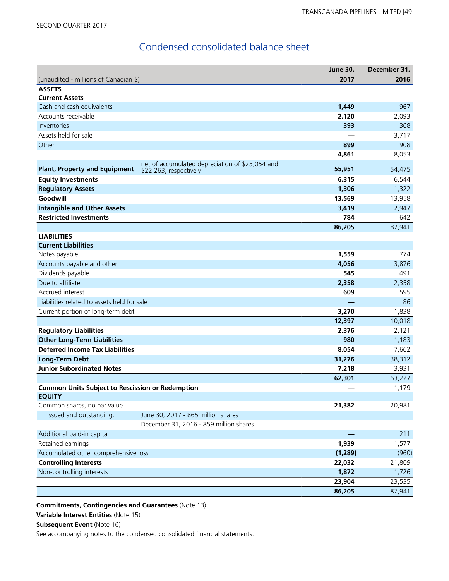# Condensed consolidated balance sheet

|                                                         |                                                                           | <b>June 30,</b> | December 31, |
|---------------------------------------------------------|---------------------------------------------------------------------------|-----------------|--------------|
| (unaudited - millions of Canadian \$)                   |                                                                           | 2017            | 2016         |
| <b>ASSETS</b>                                           |                                                                           |                 |              |
| <b>Current Assets</b>                                   |                                                                           |                 |              |
| Cash and cash equivalents                               |                                                                           | 1,449           | 967          |
| Accounts receivable                                     |                                                                           | 2,120           | 2,093        |
| Inventories                                             |                                                                           | 393             | 368          |
| Assets held for sale                                    |                                                                           |                 | 3,717        |
| Other                                                   |                                                                           | 899             | 908          |
|                                                         |                                                                           | 4,861           | 8,053        |
| <b>Plant, Property and Equipment</b>                    | net of accumulated depreciation of \$23,054 and<br>\$22,263, respectively | 55,951          | 54,475       |
| <b>Equity Investments</b>                               |                                                                           | 6,315           | 6,544        |
| <b>Regulatory Assets</b>                                |                                                                           | 1,306           | 1,322        |
| Goodwill                                                |                                                                           | 13,569          | 13,958       |
| <b>Intangible and Other Assets</b>                      |                                                                           | 3,419           | 2,947        |
| <b>Restricted Investments</b>                           |                                                                           | 784             | 642          |
|                                                         |                                                                           | 86,205          | 87,941       |
| <b>LIABILITIES</b>                                      |                                                                           |                 |              |
| <b>Current Liabilities</b>                              |                                                                           |                 |              |
| Notes payable                                           |                                                                           | 1,559           | 774          |
| Accounts payable and other                              |                                                                           | 4,056           | 3,876        |
| Dividends payable                                       |                                                                           | 545             | 491          |
| Due to affiliate                                        |                                                                           | 2,358           | 2,358        |
| Accrued interest                                        |                                                                           | 609             | 595          |
| Liabilities related to assets held for sale             |                                                                           |                 | 86           |
| Current portion of long-term debt                       |                                                                           | 3,270           | 1,838        |
|                                                         |                                                                           | 12,397          | 10,018       |
| <b>Regulatory Liabilities</b>                           |                                                                           | 2,376           | 2,121        |
| <b>Other Long-Term Liabilities</b>                      |                                                                           | 980             | 1,183        |
| <b>Deferred Income Tax Liabilities</b>                  |                                                                           | 8,054           | 7,662        |
| <b>Long-Term Debt</b>                                   |                                                                           | 31,276          | 38,312       |
| <b>Junior Subordinated Notes</b>                        |                                                                           | 7,218           | 3,931        |
|                                                         |                                                                           | 62,301          | 63,227       |
| <b>Common Units Subject to Rescission or Redemption</b> |                                                                           |                 | 1,179        |
| <b>EQUITY</b>                                           |                                                                           |                 |              |
| Common shares, no par value                             |                                                                           | 21,382          | 20,981       |
| Issued and outstanding:                                 | June 30, 2017 - 865 million shares                                        |                 |              |
|                                                         | December 31, 2016 - 859 million shares                                    |                 |              |
| Additional paid-in capital                              |                                                                           |                 | 211          |
| Retained earnings                                       |                                                                           | 1,939           | 1,577        |
| Accumulated other comprehensive loss                    |                                                                           | (1, 289)        | (960)        |
| <b>Controlling Interests</b>                            |                                                                           | 22,032          | 21,809       |
| Non-controlling interests                               |                                                                           | 1,872           | 1,726        |
|                                                         |                                                                           | 23,904          | 23,535       |
|                                                         |                                                                           | 86,205          | 87,941       |

**Commitments, Contingencies and Guarantees** (Note 13)

**Variable Interest Entities** (Note 15)

**Subsequent Event (Note 16)**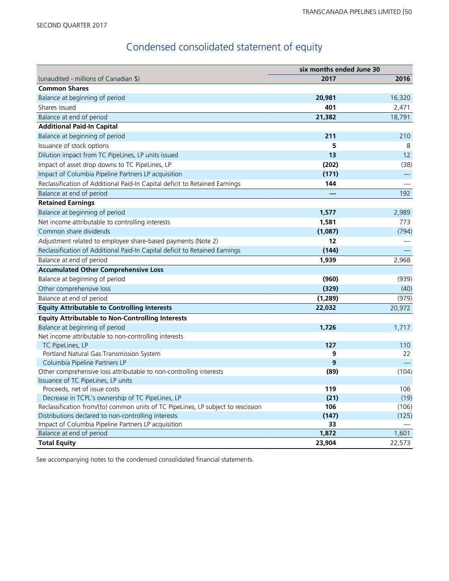# Condensed consolidated statement of equity

|                                                                                   | six months ended June 30 |        |  |  |
|-----------------------------------------------------------------------------------|--------------------------|--------|--|--|
| (unaudited - millions of Canadian \$)                                             | 2017                     | 2016   |  |  |
| <b>Common Shares</b>                                                              |                          |        |  |  |
| Balance at beginning of period                                                    | 20,981                   | 16,320 |  |  |
| Shares issued                                                                     | 401                      | 2,471  |  |  |
| Balance at end of period                                                          | 21,382                   | 18,791 |  |  |
| <b>Additional Paid-In Capital</b>                                                 |                          |        |  |  |
| Balance at beginning of period                                                    | 211                      | 210    |  |  |
| Issuance of stock options                                                         | 5                        | 8      |  |  |
| Dilution impact from TC PipeLines, LP units issued                                | 13                       | 12     |  |  |
| Impact of asset drop downs to TC PipeLines, LP                                    | (202)                    | (38)   |  |  |
| Impact of Columbia Pipeline Partners LP acquisition                               | (171)                    |        |  |  |
| Reclassification of Additional Paid-In Capital deficit to Retained Earnings       | 144                      |        |  |  |
| Balance at end of period                                                          |                          | 192    |  |  |
| <b>Retained Earnings</b>                                                          |                          |        |  |  |
| Balance at beginning of period                                                    | 1,577                    | 2,989  |  |  |
| Net income attributable to controlling interests                                  | 1,581                    | 773    |  |  |
| Common share dividends                                                            | (1,087)                  | (794)  |  |  |
| Adjustment related to employee share-based payments (Note 2)                      | 12                       |        |  |  |
| Reclassification of Additional Paid-In Capital deficit to Retained Earnings       | (144)                    |        |  |  |
| Balance at end of period                                                          | 1,939                    | 2,968  |  |  |
| <b>Accumulated Other Comprehensive Loss</b>                                       |                          |        |  |  |
| Balance at beginning of period                                                    | (960)                    | (939)  |  |  |
| Other comprehensive loss                                                          | (329)                    | (40)   |  |  |
| Balance at end of period                                                          | (1, 289)                 | (979)  |  |  |
| <b>Equity Attributable to Controlling Interests</b>                               | 22,032                   | 20,972 |  |  |
| <b>Equity Attributable to Non-Controlling Interests</b>                           |                          |        |  |  |
| Balance at beginning of period                                                    | 1,726                    | 1,717  |  |  |
| Net income attributable to non-controlling interests                              |                          |        |  |  |
| TC PipeLines, LP                                                                  | 127                      | 110    |  |  |
| Portland Natural Gas Transmission System                                          | 9                        | 22     |  |  |
| Columbia Pipeline Partners LP                                                     | 9                        |        |  |  |
| Other comprehensive loss attributable to non-controlling interests                | (89)                     | (104)  |  |  |
| Issuance of TC PipeLines, LP units                                                |                          |        |  |  |
| Proceeds, net of issue costs                                                      | 119                      | 106    |  |  |
| Decrease in TCPL's ownership of TC PipeLines, LP                                  | (21)                     | (19)   |  |  |
| Reclassification from/(to) common units of TC PipeLines, LP subject to rescission | 106                      | (106)  |  |  |
| Distributions declared to non-controlling interests                               | (147)                    | (125)  |  |  |
| Impact of Columbia Pipeline Partners LP acquisition                               | 33                       |        |  |  |
| Balance at end of period                                                          | 1,872                    | 1,601  |  |  |
| <b>Total Equity</b>                                                               | 23,904                   | 22,573 |  |  |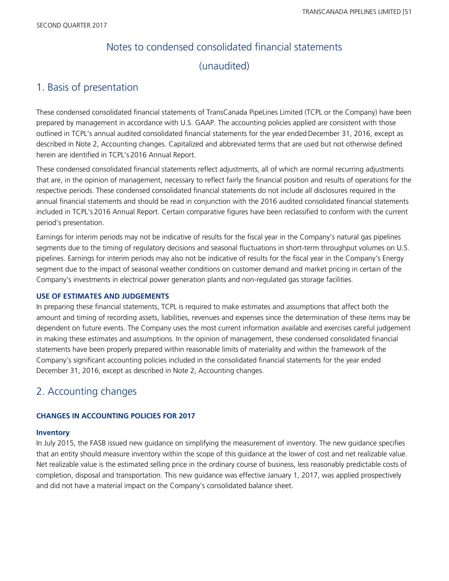# Notes to condensed consolidated financial statements (unaudited)

### 1. Basis of presentation

These condensed consolidated financial statements of TransCanada PipeLines Limited (TCPL or the Company) have been prepared by management in accordance with U.S. GAAP. The accounting policies applied are consistent with those outlined in TCPL's annual audited consolidated financial statements for the year ended December 31, 2016, except as described in Note 2, Accounting changes. Capitalized and abbreviated terms that are used but not otherwise defined herein are identified in TCPL's 2016 Annual Report.

These condensed consolidated financial statements reflect adjustments, all of which are normal recurring adjustments that are, in the opinion of management, necessary to reflect fairly the financial position and results of operations for the respective periods. These condensed consolidated financial statements do not include all disclosures required in the annual financial statements and should be read in conjunction with the 2016 audited consolidated financial statements included in TCPL's 2016 Annual Report. Certain comparative figures have been reclassified to conform with the current period's presentation.

Earnings for interim periods may not be indicative of results for the fiscal year in the Company's natural gas pipelines segments due to the timing of regulatory decisions and seasonal fluctuations in short-term throughput volumes on U.S. pipelines. Earnings for interim periods may also not be indicative of results for the fiscal year in the Company's Energy segment due to the impact of seasonal weather conditions on customer demand and market pricing in certain of the Company's investments in electrical power generation plants and non-regulated gas storage facilities.

#### **USE OF ESTIMATES AND JUDGEMENTS**

In preparing these financial statements, TCPL is required to make estimates and assumptions that affect both the amount and timing of recording assets, liabilities, revenues and expenses since the determination of these items may be dependent on future events. The Company uses the most current information available and exercises careful judgement in making these estimates and assumptions. In the opinion of management, these condensed consolidated financial statements have been properly prepared within reasonable limits of materiality and within the framework of the Company's significant accounting policies included in the consolidated financial statements for the year ended December 31, 2016, except as described in Note 2, Accounting changes.

### 2. Accounting changes

#### **CHANGES IN ACCOUNTING POLICIES FOR 2017**

#### **Inventory**

In July 2015, the FASB issued new guidance on simplifying the measurement of inventory. The new guidance specifies that an entity should measure inventory within the scope of this guidance at the lower of cost and net realizable value. Net realizable value is the estimated selling price in the ordinary course of business, less reasonably predictable costs of completion, disposal and transportation. This new guidance was effective January 1, 2017, was applied prospectively and did not have a material impact on the Company's consolidated balance sheet.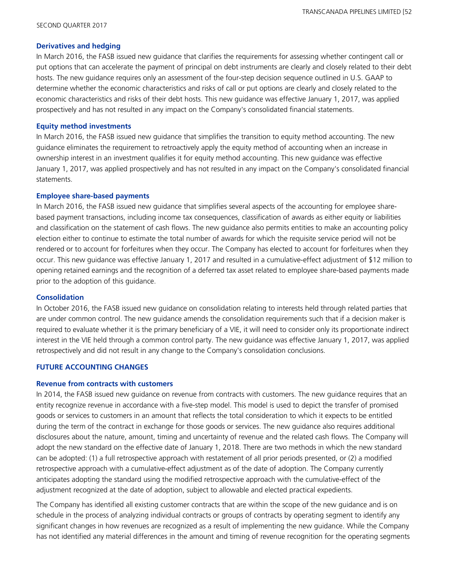#### **Derivatives and hedging**

In March 2016, the FASB issued new guidance that clarifies the requirements for assessing whether contingent call or put options that can accelerate the payment of principal on debt instruments are clearly and closely related to their debt hosts. The new guidance requires only an assessment of the four-step decision sequence outlined in U.S. GAAP to determine whether the economic characteristics and risks of call or put options are clearly and closely related to the economic characteristics and risks of their debt hosts. This new guidance was effective January 1, 2017, was applied prospectively and has not resulted in any impact on the Company's consolidated financial statements.

#### **Equity method investments**

In March 2016, the FASB issued new guidance that simplifies the transition to equity method accounting. The new guidance eliminates the requirement to retroactively apply the equity method of accounting when an increase in ownership interest in an investment qualifies it for equity method accounting. This new guidance was effective January 1, 2017, was applied prospectively and has not resulted in any impact on the Company's consolidated financial statements.

#### **Employee share-based payments**

In March 2016, the FASB issued new guidance that simplifies several aspects of the accounting for employee sharebased payment transactions, including income tax consequences, classification of awards as either equity or liabilities and classification on the statement of cash flows. The new guidance also permits entities to make an accounting policy election either to continue to estimate the total number of awards for which the requisite service period will not be rendered or to account for forfeitures when they occur. The Company has elected to account for forfeitures when they occur. This new guidance was effective January 1, 2017 and resulted in a cumulative-effect adjustment of \$12 million to opening retained earnings and the recognition of a deferred tax asset related to employee share-based payments made prior to the adoption of this guidance.

#### **Consolidation**

In October 2016, the FASB issued new guidance on consolidation relating to interests held through related parties that are under common control. The new guidance amends the consolidation requirements such that if a decision maker is required to evaluate whether it is the primary beneficiary of a VIE, it will need to consider only its proportionate indirect interest in the VIE held through a common control party. The new guidance was effective January 1, 2017, was applied retrospectively and did not result in any change to the Company's consolidation conclusions.

#### **FUTURE ACCOUNTING CHANGES**

#### **Revenue from contracts with customers**

In 2014, the FASB issued new guidance on revenue from contracts with customers. The new guidance requires that an entity recognize revenue in accordance with a five-step model. This model is used to depict the transfer of promised goods or services to customers in an amount that reflects the total consideration to which it expects to be entitled during the term of the contract in exchange for those goods or services. The new guidance also requires additional disclosures about the nature, amount, timing and uncertainty of revenue and the related cash flows. The Company will adopt the new standard on the effective date of January 1, 2018. There are two methods in which the new standard can be adopted: (1) a full retrospective approach with restatement of all prior periods presented, or (2) a modified retrospective approach with a cumulative-effect adjustment as of the date of adoption. The Company currently anticipates adopting the standard using the modified retrospective approach with the cumulative-effect of the adjustment recognized at the date of adoption, subject to allowable and elected practical expedients.

The Company has identified all existing customer contracts that are within the scope of the new guidance and is on schedule in the process of analyzing individual contracts or groups of contracts by operating segment to identify any significant changes in how revenues are recognized as a result of implementing the new guidance. While the Company has not identified any material differences in the amount and timing of revenue recognition for the operating segments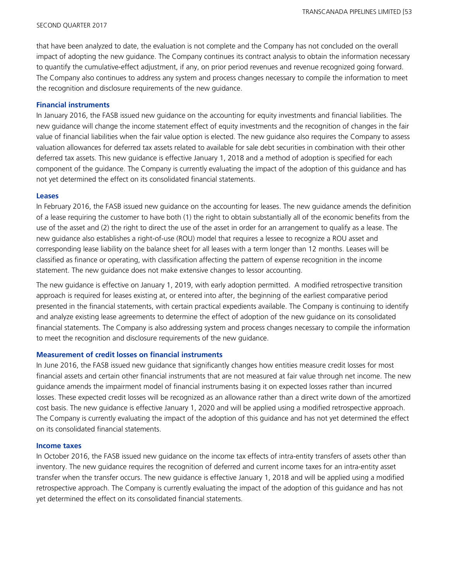that have been analyzed to date, the evaluation is not complete and the Company has not concluded on the overall impact of adopting the new guidance. The Company continues its contract analysis to obtain the information necessary to quantify the cumulative-effect adjustment, if any, on prior period revenues and revenue recognized going forward. The Company also continues to address any system and process changes necessary to compile the information to meet the recognition and disclosure requirements of the new guidance.

#### **Financial instruments**

In January 2016, the FASB issued new guidance on the accounting for equity investments and financial liabilities. The new guidance will change the income statement effect of equity investments and the recognition of changes in the fair value of financial liabilities when the fair value option is elected. The new guidance also requires the Company to assess valuation allowances for deferred tax assets related to available for sale debt securities in combination with their other deferred tax assets. This new guidance is effective January 1, 2018 and a method of adoption is specified for each component of the guidance. The Company is currently evaluating the impact of the adoption of this guidance and has not yet determined the effect on its consolidated financial statements.

#### **Leases**

In February 2016, the FASB issued new guidance on the accounting for leases. The new guidance amends the definition of a lease requiring the customer to have both (1) the right to obtain substantially all of the economic benefits from the use of the asset and (2) the right to direct the use of the asset in order for an arrangement to qualify as a lease. The new guidance also establishes a right-of-use (ROU) model that requires a lessee to recognize a ROU asset and corresponding lease liability on the balance sheet for all leases with a term longer than 12 months. Leases will be classified as finance or operating, with classification affecting the pattern of expense recognition in the income statement. The new guidance does not make extensive changes to lessor accounting.

The new guidance is effective on January 1, 2019, with early adoption permitted. A modified retrospective transition approach is required for leases existing at, or entered into after, the beginning of the earliest comparative period presented in the financial statements, with certain practical expedients available. The Company is continuing to identify and analyze existing lease agreements to determine the effect of adoption of the new guidance on its consolidated financial statements. The Company is also addressing system and process changes necessary to compile the information to meet the recognition and disclosure requirements of the new guidance.

#### **Measurement of credit losses on financial instruments**

In June 2016, the FASB issued new guidance that significantly changes how entities measure credit losses for most financial assets and certain other financial instruments that are not measured at fair value through net income. The new guidance amends the impairment model of financial instruments basing it on expected losses rather than incurred losses. These expected credit losses will be recognized as an allowance rather than a direct write down of the amortized cost basis. The new guidance is effective January 1, 2020 and will be applied using a modified retrospective approach. The Company is currently evaluating the impact of the adoption of this guidance and has not yet determined the effect on its consolidated financial statements.

#### **Income taxes**

In October 2016, the FASB issued new guidance on the income tax effects of intra-entity transfers of assets other than inventory. The new guidance requires the recognition of deferred and current income taxes for an intra-entity asset transfer when the transfer occurs. The new guidance is effective January 1, 2018 and will be applied using a modified retrospective approach. The Company is currently evaluating the impact of the adoption of this guidance and has not yet determined the effect on its consolidated financial statements.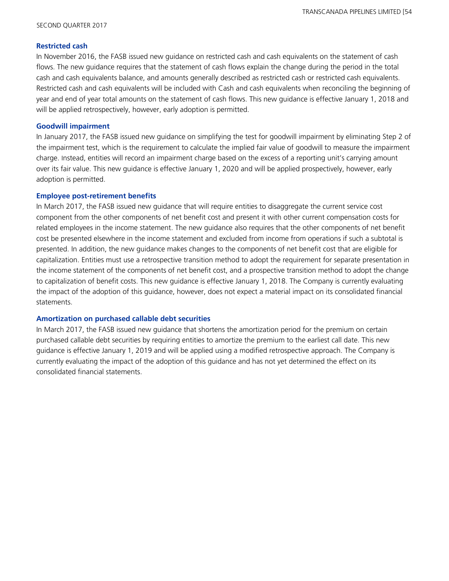#### **Restricted cash**

In November 2016, the FASB issued new guidance on restricted cash and cash equivalents on the statement of cash flows. The new guidance requires that the statement of cash flows explain the change during the period in the total cash and cash equivalents balance, and amounts generally described as restricted cash or restricted cash equivalents. Restricted cash and cash equivalents will be included with Cash and cash equivalents when reconciling the beginning of year and end of year total amounts on the statement of cash flows. This new guidance is effective January 1, 2018 and will be applied retrospectively, however, early adoption is permitted.

#### **Goodwill impairment**

In January 2017, the FASB issued new guidance on simplifying the test for goodwill impairment by eliminating Step 2 of the impairment test, which is the requirement to calculate the implied fair value of goodwill to measure the impairment charge. Instead, entities will record an impairment charge based on the excess of a reporting unit's carrying amount over its fair value. This new guidance is effective January 1, 2020 and will be applied prospectively, however, early adoption is permitted.

#### **Employee post-retirement benefits**

In March 2017, the FASB issued new guidance that will require entities to disaggregate the current service cost component from the other components of net benefit cost and present it with other current compensation costs for related employees in the income statement. The new guidance also requires that the other components of net benefit cost be presented elsewhere in the income statement and excluded from income from operations if such a subtotal is presented. In addition, the new guidance makes changes to the components of net benefit cost that are eligible for capitalization. Entities must use a retrospective transition method to adopt the requirement for separate presentation in the income statement of the components of net benefit cost, and a prospective transition method to adopt the change to capitalization of benefit costs. This new guidance is effective January 1, 2018. The Company is currently evaluating the impact of the adoption of this guidance, however, does not expect a material impact on its consolidated financial statements.

#### **Amortization on purchased callable debt securities**

In March 2017, the FASB issued new guidance that shortens the amortization period for the premium on certain purchased callable debt securities by requiring entities to amortize the premium to the earliest call date. This new guidance is effective January 1, 2019 and will be applied using a modified retrospective approach. The Company is currently evaluating the impact of the adoption of this guidance and has not yet determined the effect on its consolidated financial statements.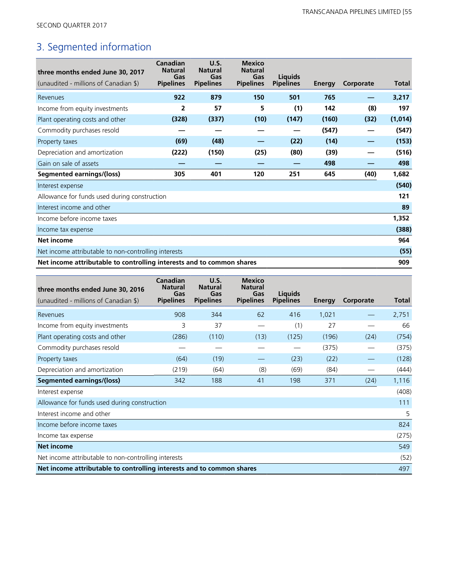# 3. Segmented information

| three months ended June 30, 2017                                      | Canadian<br><b>Natural</b><br>Gas | U.S.<br><b>Natural</b><br>Gas | <b>Mexico</b><br><b>Natural</b><br>Gas | <b>Liquids</b>   |               |           |              |
|-----------------------------------------------------------------------|-----------------------------------|-------------------------------|----------------------------------------|------------------|---------------|-----------|--------------|
| (unaudited - millions of Canadian \$)                                 | <b>Pipelines</b>                  | <b>Pipelines</b>              | <b>Pipelines</b>                       | <b>Pipelines</b> | <b>Energy</b> | Corporate | <b>Total</b> |
| Revenues                                                              | 922                               | 879                           | 150                                    | 501              | 765           |           | 3,217        |
| Income from equity investments                                        | $\overline{2}$                    | 57                            | 5                                      | (1)              | 142           | (8)       | 197          |
| Plant operating costs and other                                       | (328)                             | (337)                         | (10)                                   | (147)            | (160)         | (32)      | (1,014)      |
| Commodity purchases resold                                            |                                   |                               |                                        |                  | (547)         |           | (547)        |
| Property taxes                                                        | (69)                              | (48)                          |                                        | (22)             | (14)          |           | (153)        |
| Depreciation and amortization                                         | (222)                             | (150)                         | (25)                                   | (80)             | (39)          |           | (516)        |
| Gain on sale of assets                                                |                                   |                               |                                        |                  | 498           |           | 498          |
| <b>Segmented earnings/(loss)</b>                                      | 305                               | 401                           | 120                                    | 251              | 645           | (40)      | 1,682        |
| Interest expense                                                      |                                   |                               |                                        |                  |               |           | (540)        |
| Allowance for funds used during construction                          |                                   |                               |                                        |                  |               |           | 121          |
| Interest income and other                                             |                                   |                               |                                        |                  |               |           | 89           |
| Income before income taxes                                            |                                   |                               |                                        |                  |               |           | 1,352        |
| Income tax expense                                                    |                                   |                               |                                        |                  |               |           | (388)        |
| <b>Net income</b>                                                     |                                   |                               |                                        |                  |               |           | 964          |
| Net income attributable to non-controlling interests                  |                                   |                               |                                        |                  |               |           | (55)         |
| Net income attributable to controlling interests and to common shares |                                   |                               |                                        |                  |               |           |              |

| three months ended June 30, 2016                                             | Canadian<br><b>Natural</b><br>Gas | U.S.<br><b>Natural</b><br>Gas | <b>Mexico</b><br><b>Natural</b><br>Gas | Liquids          |               |           |       |  |
|------------------------------------------------------------------------------|-----------------------------------|-------------------------------|----------------------------------------|------------------|---------------|-----------|-------|--|
| (unaudited - millions of Canadian \$)                                        | <b>Pipelines</b>                  | <b>Pipelines</b>              | <b>Pipelines</b>                       | <b>Pipelines</b> | <b>Energy</b> | Corporate | Total |  |
| Revenues                                                                     | 908                               | 344                           | 62                                     | 416              | 1,021         |           | 2,751 |  |
| Income from equity investments                                               | 3                                 | 37                            |                                        | (1)              | 27            |           | 66    |  |
| Plant operating costs and other                                              | (286)                             | (110)                         | (13)                                   | (125)            | (196)         | (24)      | (754) |  |
| Commodity purchases resold                                                   |                                   |                               |                                        |                  | (375)         |           | (375) |  |
| Property taxes                                                               | (64)                              | (19)                          |                                        | (23)             | (22)          |           | (128) |  |
| Depreciation and amortization                                                | (219)                             | (64)                          | (8)                                    | (69)             | (84)          |           | (444) |  |
| <b>Segmented earnings/(loss)</b>                                             | 342                               | 188                           | 41                                     | 198              | 371           | (24)      | 1,116 |  |
| Interest expense                                                             |                                   |                               |                                        |                  |               |           | (408) |  |
| Allowance for funds used during construction                                 |                                   |                               |                                        |                  |               |           | 111   |  |
| Interest income and other                                                    |                                   |                               |                                        |                  |               |           | 5     |  |
| Income before income taxes                                                   |                                   |                               |                                        |                  |               |           | 824   |  |
| Income tax expense                                                           |                                   |                               |                                        |                  |               |           | (275) |  |
| <b>Net income</b>                                                            |                                   |                               |                                        |                  |               |           | 549   |  |
| Net income attributable to non-controlling interests                         |                                   |                               |                                        |                  |               |           | (52)  |  |
| Net income attributable to controlling interests and to common shares<br>497 |                                   |                               |                                        |                  |               |           |       |  |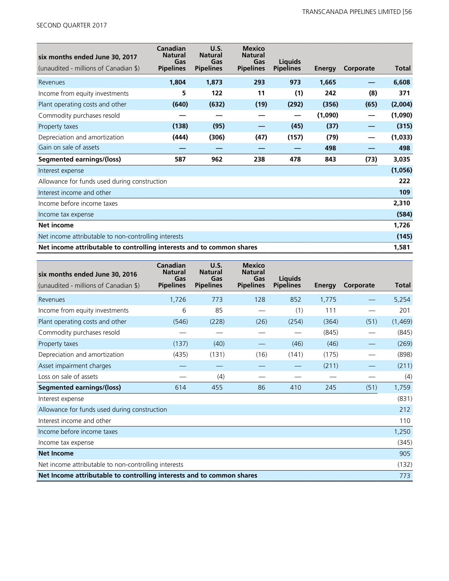| six months ended June 30, 2017<br>(unaudited - millions of Canadian \$) | Canadian<br><b>Natural</b><br>Gas<br><b>Pipelines</b> | U.S.<br><b>Natural</b><br>Gas<br><b>Pipelines</b> | <b>Mexico</b><br><b>Natural</b><br>Gas<br><b>Pipelines</b> | Liquids<br><b>Pipelines</b> | <b>Energy</b> | Corporate | Total   |
|-------------------------------------------------------------------------|-------------------------------------------------------|---------------------------------------------------|------------------------------------------------------------|-----------------------------|---------------|-----------|---------|
|                                                                         |                                                       |                                                   | 293                                                        |                             |               |           |         |
| Revenues                                                                | 1,804                                                 | 1,873                                             |                                                            | 973                         | 1,665         |           | 6,608   |
| Income from equity investments                                          | 5                                                     | 122                                               | 11                                                         | (1)                         | 242           | (8)       | 371     |
| Plant operating costs and other                                         | (640)                                                 | (632)                                             | (19)                                                       | (292)                       | (356)         | (65)      | (2,004) |
| Commodity purchases resold                                              |                                                       |                                                   |                                                            | —                           | (1,090)       | —         | (1,090) |
| Property taxes                                                          | (138)                                                 | (95)                                              |                                                            | (45)                        | (37)          |           | (315)   |
| Depreciation and amortization                                           | (444)                                                 | (306)                                             | (47)                                                       | (157)                       | (79)          |           | (1,033) |
| Gain on sale of assets                                                  |                                                       |                                                   |                                                            |                             | 498           |           | 498     |
| <b>Segmented earnings/(loss)</b>                                        | 587                                                   | 962                                               | 238                                                        | 478                         | 843           | (73)      | 3,035   |
| Interest expense                                                        |                                                       |                                                   |                                                            |                             |               |           | (1,056) |
| Allowance for funds used during construction                            |                                                       |                                                   |                                                            |                             |               |           | 222     |
| Interest income and other                                               |                                                       |                                                   |                                                            |                             |               |           | 109     |
| Income before income taxes                                              |                                                       |                                                   |                                                            |                             |               |           | 2,310   |
| Income tax expense                                                      |                                                       |                                                   |                                                            |                             |               |           | (584)   |
| <b>Net income</b>                                                       |                                                       |                                                   |                                                            |                             |               |           | 1,726   |
| Net income attributable to non-controlling interests                    |                                                       |                                                   |                                                            |                             |               | (145)     |         |
| Net income attributable to controlling interests and to common shares   |                                                       |                                                   |                                                            |                             |               | 1,581     |         |

| six months ended June 30, 2016                                        | Canadian<br><b>Natural</b><br>Gas | U.S.<br><b>Natural</b><br>Gas | <b>Mexico</b><br><b>Natural</b><br>Gas | Liquids          |               |           |              |
|-----------------------------------------------------------------------|-----------------------------------|-------------------------------|----------------------------------------|------------------|---------------|-----------|--------------|
| (unaudited - millions of Canadian \$)                                 | <b>Pipelines</b>                  | <b>Pipelines</b>              | <b>Pipelines</b>                       | <b>Pipelines</b> | <b>Energy</b> | Corporate | <b>Total</b> |
| Revenues                                                              | 1,726                             | 773                           | 128                                    | 852              | 1,775         |           | 5,254        |
| Income from equity investments                                        | 6                                 | 85                            | $\qquad \qquad \longleftarrow$         | (1)              | 111           |           | 201          |
| Plant operating costs and other                                       | (546)                             | (228)                         | (26)                                   | (254)            | (364)         | (51)      | (1,469)      |
| Commodity purchases resold                                            |                                   |                               |                                        |                  | (845)         |           | (845)        |
| Property taxes                                                        | (137)                             | (40)                          |                                        | (46)             | (46)          |           | (269)        |
| Depreciation and amortization                                         | (435)                             | (131)                         | (16)                                   | (141)            | (175)         |           | (898)        |
| Asset impairment charges                                              |                                   |                               |                                        |                  | (211)         |           | (211)        |
| Loss on sale of assets                                                |                                   | (4)                           |                                        |                  |               |           | (4)          |
| <b>Segmented earnings/(loss)</b>                                      | 614                               | 455                           | 86                                     | 410              | 245           | (51)      | 1,759        |
| Interest expense                                                      |                                   |                               |                                        |                  |               |           | (831)        |
| Allowance for funds used during construction                          |                                   |                               |                                        |                  |               |           | 212          |
| Interest income and other                                             |                                   |                               |                                        |                  |               |           | 110          |
| Income before income taxes                                            |                                   |                               |                                        |                  |               |           | 1,250        |
| Income tax expense                                                    |                                   |                               |                                        |                  |               |           | (345)        |
| <b>Net Income</b>                                                     |                                   |                               |                                        |                  |               |           | 905          |
| Net income attributable to non-controlling interests                  |                                   |                               |                                        |                  |               |           | (132)        |
| Net Income attributable to controlling interests and to common shares |                                   |                               |                                        |                  |               |           | 773          |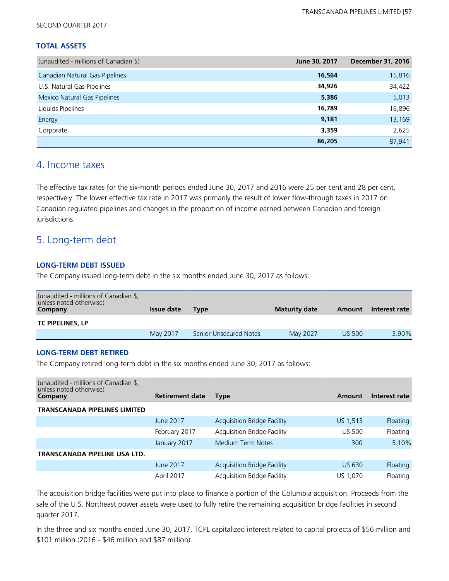#### **TOTAL ASSETS**

| (unaudited - millions of Canadian \$) | June 30, 2017 | <b>December 31, 2016</b> |
|---------------------------------------|---------------|--------------------------|
| Canadian Natural Gas Pipelines        | 16,564        | 15,816                   |
| U.S. Natural Gas Pipelines            | 34,926        | 34,422                   |
| Mexico Natural Gas Pipelines          | 5,386         | 5,013                    |
| Liquids Pipelines                     | 16,789        | 16,896                   |
| Energy                                | 9,181         | 13,169                   |
| Corporate                             | 3,359         | 2,625                    |
|                                       | 86,205        | 87,941                   |

### 4. Income taxes

The effective tax rates for the six-month periods ended June 30, 2017 and 2016 were 25 per cent and 28 per cent, respectively. The lower effective tax rate in 2017 was primarily the result of lower flow-through taxes in 2017 on Canadian regulated pipelines and changes in the proportion of income earned between Canadian and foreign jurisdictions.

### 5. Long-term debt

#### **LONG-TERM DEBT ISSUED**

The Company issued long-term debt in the six months ended June 30, 2017 as follows:

| (unaudited - millions of Canadian \$,<br>unless noted otherwise)<br>Company | <b>Issue date</b> | <b>Type</b>            | <b>Maturity date</b> | Amount        | Interest rate |
|-----------------------------------------------------------------------------|-------------------|------------------------|----------------------|---------------|---------------|
| <b>TC PIPELINES, LP</b>                                                     |                   |                        |                      |               |               |
|                                                                             | May 2017          | Senior Unsecured Notes | May 2027             | <b>US 500</b> | $3.90\%$      |

#### **LONG-TERM DEBT RETIRED**

The Company retired long-term debt in the six months ended June 30, 2017 as follows:

| (unaudited - millions of Canadian \$,<br>unless noted otherwise)<br>Company | <b>Retirement date</b> | Type                               | Amount        | Interest rate   |
|-----------------------------------------------------------------------------|------------------------|------------------------------------|---------------|-----------------|
| <b>TRANSCANADA PIPELINES LIMITED</b>                                        |                        |                                    |               |                 |
|                                                                             | June 2017              | <b>Acquisition Bridge Facility</b> | US 1,513      | <b>Floating</b> |
|                                                                             | February 2017          | <b>Acquisition Bridge Facility</b> | <b>US 500</b> | Floating        |
|                                                                             | January 2017           | Medium Term Notes                  | 300           | 5.10%           |
| TRANSCANADA PIPELINE USA LTD.                                               |                        |                                    |               |                 |
|                                                                             | June 2017              | <b>Acquisition Bridge Facility</b> | <b>US 630</b> | Floating        |
|                                                                             | April 2017             | <b>Acquisition Bridge Facility</b> | US 1,070      | Floating        |

The acquisition bridge facilities were put into place to finance a portion of the Columbia acquisition. Proceeds from the sale of the U.S. Northeast power assets were used to fully retire the remaining acquisition bridge facilities in second quarter 2017.

In the three and six months ended June 30, 2017, TCPL capitalized interest related to capital projects of \$56 million and \$101 million (2016 - \$46 million and \$87 million).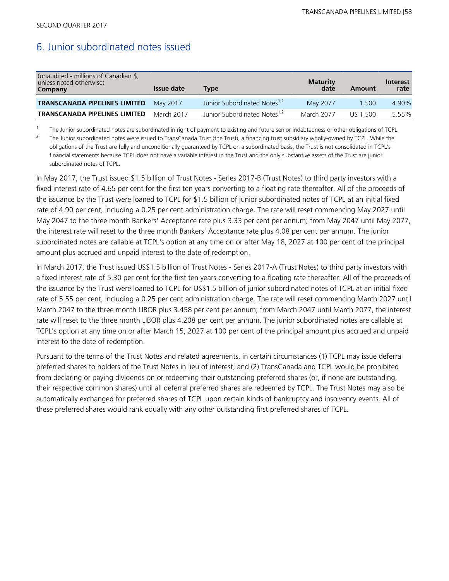### 6. Junior subordinated notes issued

| (unaudited - millions of Canadian \$,<br>unless noted otherwise)<br>Company | Issue date | Tvpe                                     | <b>Maturity</b><br>date | Amount   | <b>Interest</b><br>rate |
|-----------------------------------------------------------------------------|------------|------------------------------------------|-------------------------|----------|-------------------------|
| <b>TRANSCANADA PIPELINES LIMITED</b>                                        | May 2017   | Junior Subordinated Notes <sup>1,2</sup> | May 2077                | 1.500    | 4.90%                   |
| <b>TRANSCANADA PIPELINES LIMITED</b>                                        | March 2017 | Junior Subordinated Notes <sup>1,2</sup> | March 2077              | US 1.500 | 5.55%                   |

<sup>1</sup> The Junior subordinated notes are subordinated in right of payment to existing and future senior indebtedness or other obligations of TCPL.

<sup>2</sup>The Junior subordinated notes were issued to TransCanada Trust (the Trust), a financing trust subsidiary wholly-owned by TCPL. While the obligations of the Trust are fully and unconditionally guaranteed by TCPL on a subordinated basis, the Trust is not consolidated in TCPL's financial statements because TCPL does not have a variable interest in the Trust and the only substantive assets of the Trust are junior subordinated notes of TCPL.

In May 2017, the Trust issued \$1.5 billion of Trust Notes - Series 2017-B (Trust Notes) to third party investors with a fixed interest rate of 4.65 per cent for the first ten years converting to a floating rate thereafter. All of the proceeds of the issuance by the Trust were loaned to TCPL for \$1.5 billion of junior subordinated notes of TCPL at an initial fixed rate of 4.90 per cent, including a 0.25 per cent administration charge. The rate will reset commencing May 2027 until May 2047 to the three month Bankers' Acceptance rate plus 3.33 per cent per annum; from May 2047 until May 2077, the interest rate will reset to the three month Bankers' Acceptance rate plus 4.08 per cent per annum. The junior subordinated notes are callable at TCPL's option at any time on or after May 18, 2027 at 100 per cent of the principal amount plus accrued and unpaid interest to the date of redemption.

In March 2017, the Trust issued US\$1.5 billion of Trust Notes - Series 2017-A (Trust Notes) to third party investors with a fixed interest rate of 5.30 per cent for the first ten years converting to a floating rate thereafter. All of the proceeds of the issuance by the Trust were loaned to TCPL for US\$1.5 billion of junior subordinated notes of TCPL at an initial fixed rate of 5.55 per cent, including a 0.25 per cent administration charge. The rate will reset commencing March 2027 until March 2047 to the three month LIBOR plus 3.458 per cent per annum; from March 2047 until March 2077, the interest rate will reset to the three month LIBOR plus 4.208 per cent per annum. The junior subordinated notes are callable at TCPL's option at any time on or after March 15, 2027 at 100 per cent of the principal amount plus accrued and unpaid interest to the date of redemption.

Pursuant to the terms of the Trust Notes and related agreements, in certain circumstances (1) TCPL may issue deferral preferred shares to holders of the Trust Notes in lieu of interest; and (2) TransCanada and TCPL would be prohibited from declaring or paying dividends on or redeeming their outstanding preferred shares (or, if none are outstanding, their respective common shares) until all deferral preferred shares are redeemed by TCPL. The Trust Notes may also be automatically exchanged for preferred shares of TCPL upon certain kinds of bankruptcy and insolvency events. All of these preferred shares would rank equally with any other outstanding first preferred shares of TCPL.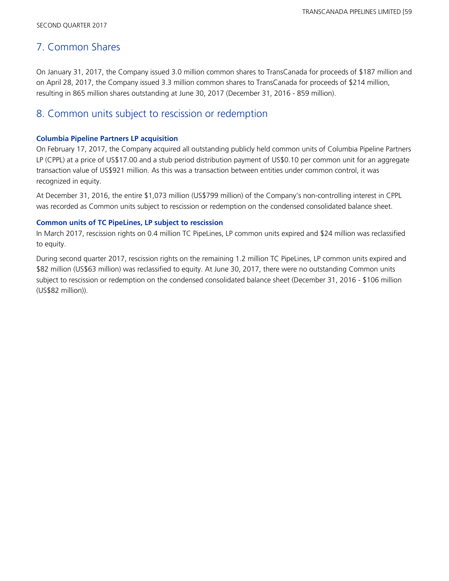### 7. Common Shares

On January 31, 2017, the Company issued 3.0 million common shares to TransCanada for proceeds of \$187 million and on April 28, 2017, the Company issued 3.3 million common shares to TransCanada for proceeds of \$214 million, resulting in 865 million shares outstanding at June 30, 2017 (December 31, 2016 - 859 million).

### 8. Common units subject to rescission or redemption

#### **Columbia Pipeline Partners LP acquisition**

On February 17, 2017, the Company acquired all outstanding publicly held common units of Columbia Pipeline Partners LP (CPPL) at a price of US\$17.00 and a stub period distribution payment of US\$0.10 per common unit for an aggregate transaction value of US\$921 million. As this was a transaction between entities under common control, it was recognized in equity.

At December 31, 2016, the entire \$1,073 million (US\$799 million) of the Company's non-controlling interest in CPPL was recorded as Common units subject to rescission or redemption on the condensed consolidated balance sheet.

#### **Common units of TC PipeLines, LP subject to rescission**

In March 2017, rescission rights on 0.4 million TC PipeLines, LP common units expired and \$24 million was reclassified to equity.

During second quarter 2017, rescission rights on the remaining 1.2 million TC PipeLines, LP common units expired and \$82 million (US\$63 million) was reclassified to equity. At June 30, 2017, there were no outstanding Common units subject to rescission or redemption on the condensed consolidated balance sheet (December 31, 2016 - \$106 million (US\$82 million)).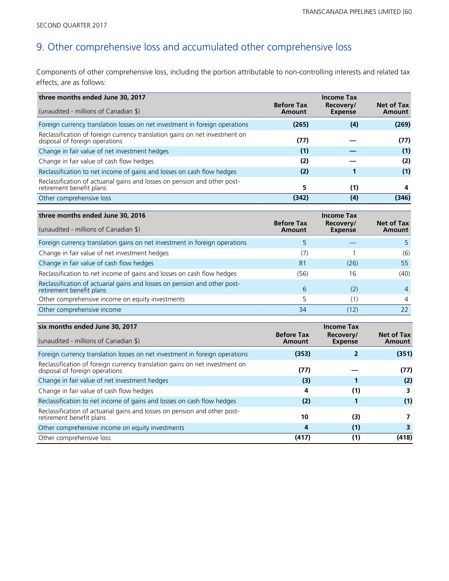# 9. Other comprehensive loss and accumulated other comprehensive loss

Components of other comprehensive loss, including the portion attributable to non-controlling interests and related tax effects, are as follows:

| three months ended June 30, 2017                                                                              |                             | <b>Income Tax</b>           |                      |
|---------------------------------------------------------------------------------------------------------------|-----------------------------|-----------------------------|----------------------|
| (unaudited - millions of Canadian \$)                                                                         | <b>Before Tax</b><br>Amount | Recovery/<br><b>Expense</b> | Net of Tax<br>Amount |
| Foreign currency translation losses on net investment in foreign operations                                   | (265)                       | (4)                         | (269)                |
| Reclassification of foreign currency translation gains on net investment on<br>disposal of foreign operations | (77)                        |                             | (77)                 |
| Change in fair value of net investment hedges                                                                 | (1)                         |                             | (1)                  |
| Change in fair value of cash flow hedges                                                                      | (2)                         |                             | (2)                  |
| Reclassification to net income of gains and losses on cash flow hedges                                        | (2)                         |                             | (1)                  |
| Reclassification of actuarial gains and losses on pension and other post-<br>retirement benefit plans         | 5                           | (1)                         | 4                    |
| Other comprehensive loss                                                                                      | (342)                       | (4)                         | (346)                |

| three months ended June 30, 2016                                                                      |                             | <b>Income Tax</b>           |                      |
|-------------------------------------------------------------------------------------------------------|-----------------------------|-----------------------------|----------------------|
| (unaudited - millions of Canadian \$)                                                                 | <b>Before Tax</b><br>Amount | Recovery/<br><b>Expense</b> | Net of Tax<br>Amount |
| Foreign currency translation gains on net investment in foreign operations                            |                             |                             |                      |
| Change in fair value of net investment hedges                                                         | (7)                         |                             | (6)                  |
| Change in fair value of cash flow hedges                                                              | 81                          | (26)                        | 55                   |
| Reclassification to net income of gains and losses on cash flow hedges                                | (56)                        | 16                          | (40)                 |
| Reclassification of actuarial gains and losses on pension and other post-<br>retirement benefit plans | 6                           | (2)                         | 4                    |
| Other comprehensive income on equity investments                                                      | 5                           | (1)                         | $\overline{4}$       |
| Other comprehensive income                                                                            | 34                          | (12)                        | 22                   |

| six months ended June 30, 2017                                                                                |                             | <b>Income Tax</b>           |                      |
|---------------------------------------------------------------------------------------------------------------|-----------------------------|-----------------------------|----------------------|
| (unaudited - millions of Canadian \$)                                                                         | <b>Before Tax</b><br>Amount | Recovery/<br><b>Expense</b> | Net of Tax<br>Amount |
| Foreign currency translation losses on net investment in foreign operations                                   | (353)                       |                             | (351)                |
| Reclassification of foreign currency translation gains on net investment on<br>disposal of foreign operations | (77)                        |                             | (77)                 |
| Change in fair value of net investment hedges                                                                 | (3)                         |                             | (2)                  |
| Change in fair value of cash flow hedges                                                                      | 4                           | (1)                         | 3                    |
| Reclassification to net income of gains and losses on cash flow hedges                                        | (2)                         |                             | (1)                  |
| Reclassification of actuarial gains and losses on pension and other post-<br>retirement benefit plans         | 10                          | (3)                         |                      |
| Other comprehensive income on equity investments                                                              | 4                           | (1)                         |                      |
| Other comprehensive loss                                                                                      | (417)                       | (1)                         | (418)                |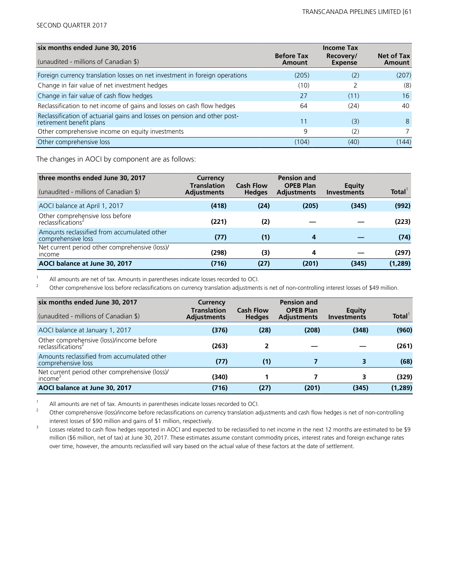| six months ended June 30, 2016                                                                        |                             | <b>Income Tax</b>           |                             |
|-------------------------------------------------------------------------------------------------------|-----------------------------|-----------------------------|-----------------------------|
| (unaudited - millions of Canadian \$)                                                                 | <b>Before Tax</b><br>Amount | Recovery/<br><b>Expense</b> | <b>Net of Tax</b><br>Amount |
| Foreign currency translation losses on net investment in foreign operations                           | (205)                       | (2)                         | (207)                       |
| Change in fair value of net investment hedges                                                         | (10)                        |                             | (8)                         |
| Change in fair value of cash flow hedges                                                              | 27                          | (11)                        | 16                          |
| Reclassification to net income of gains and losses on cash flow hedges                                | 64                          | (24)                        | 40                          |
| Reclassification of actuarial gains and losses on pension and other post-<br>retirement benefit plans | 11                          | (3)                         | 8                           |
| Other comprehensive income on equity investments                                                      | 9                           | (2)                         |                             |
| Other comprehensive loss                                                                              | (104)                       | (40)                        | (144)                       |

The changes in AOCI by component are as follows:

| three months ended June 30, 2017                                  | Currency                                 |                                   | <b>Pension and</b>                     |                              |                    |
|-------------------------------------------------------------------|------------------------------------------|-----------------------------------|----------------------------------------|------------------------------|--------------------|
| (unaudited - millions of Canadian \$)                             | <b>Translation</b><br><b>Adjustments</b> | <b>Cash Flow</b><br><b>Hedges</b> | <b>OPEB Plan</b><br><b>Adjustments</b> | Equity<br><b>Investments</b> | Total <sup>1</sup> |
| AOCI balance at April 1, 2017                                     | (418)                                    | (24)                              | (205)                                  | (345)                        | (992)              |
| Other comprehensive loss before<br>reclassifications <sup>2</sup> | (221)                                    | (2)                               |                                        |                              | (223)              |
| Amounts reclassified from accumulated other<br>comprehensive loss | (77)                                     | (1)                               | 4                                      |                              | (74)               |
| Net current period other comprehensive (loss)/<br><i>income</i>   | (298)                                    | (3)                               | 4                                      |                              | (297)              |
| AOCI balance at June 30, 2017                                     | (716)                                    | (27)                              | (201)                                  | (345)                        | (1, 289)           |

<sup>1</sup> All amounts are net of tax. Amounts in parentheses indicate losses recorded to OCI.<br><sup>2</sup> Other comprehensive loss before reclassifications on currency translation adjustment

<sup>2</sup>Other comprehensive loss before reclassifications on currency translation adjustments is net of non-controlling interest losses of \$49 million.

| six months ended June 30, 2017<br>(unaudited - millions of Canadian \$)    | Currency<br><b>Translation</b><br><b>Adjustments</b> | <b>Cash Flow</b><br><b>Hedges</b> | <b>Pension and</b><br><b>OPEB Plan</b><br><b>Adjustments</b> | Equity<br><b>Investments</b> | Total <sup>'</sup> |
|----------------------------------------------------------------------------|------------------------------------------------------|-----------------------------------|--------------------------------------------------------------|------------------------------|--------------------|
| AOCI balance at January 1, 2017                                            | (376)                                                | (28)                              | (208)                                                        | (348)                        | (960)              |
| Other comprehensive (loss)/income before<br>reclassifications <sup>2</sup> | (263)                                                | 2                                 |                                                              |                              | (261)              |
| Amounts reclassified from accumulated other<br>comprehensive loss          | (77)                                                 | (1)                               |                                                              | 3                            | (68)               |
| Net current period other comprehensive (loss)/<br>income <sup>3</sup>      | (340)                                                |                                   |                                                              |                              | (329)              |
| AOCI balance at June 30, 2017                                              | (716)                                                | (27)                              | (201)                                                        | (345)                        | (1, 289)           |

<sup>1</sup> All amounts are net of tax. Amounts in parentheses indicate losses recorded to OCI.<br>
<sup>2</sup> Other comprehensive (loss) income before reclassifications on currency translation as

<sup>2</sup>Other comprehensive (loss)/income before reclassifications on currency translation adjustments and cash flow hedges is net of non-controlling interest losses of \$90 million and gains of \$1 million, respectively.

<sup>3</sup> Losses related to cash flow hedges reported in AOCI and expected to be reclassified to net income in the next 12 months are estimated to be \$9 million (\$6 million, net of tax) at June 30, 2017. These estimates assume constant commodity prices, interest rates and foreign exchange rates over time, however, the amounts reclassified will vary based on the actual value of these factors at the date of settlement.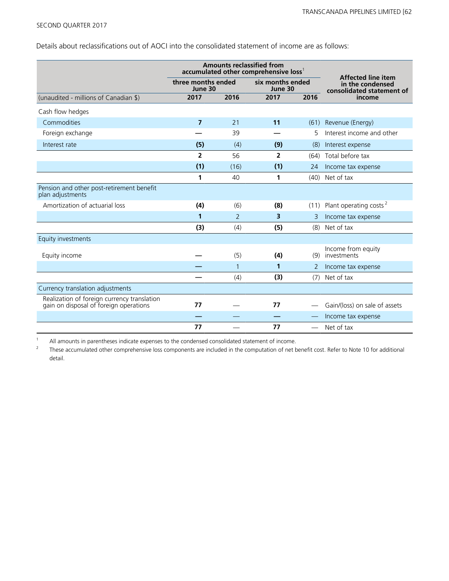Details about reclassifications out of AOCI into the consolidated statement of income are as follows:

|                                                                                       | <b>Amounts reclassified from</b><br>accumulated other comprehensive loss <sup>1</sup> |                               |      |                  |                                                                            |  |
|---------------------------------------------------------------------------------------|---------------------------------------------------------------------------------------|-------------------------------|------|------------------|----------------------------------------------------------------------------|--|
|                                                                                       |                                                                                       | three months ended<br>June 30 |      | six months ended | <b>Affected line item</b><br>in the condensed<br>consolidated statement of |  |
| (unaudited - millions of Canadian \$)                                                 | 2017                                                                                  | 2016                          | 2017 | 2016             | income                                                                     |  |
| Cash flow hedges                                                                      |                                                                                       |                               |      |                  |                                                                            |  |
| Commodities                                                                           | $\overline{7}$                                                                        | 21                            | 11   |                  | (61) Revenue (Energy)                                                      |  |
| Foreign exchange                                                                      |                                                                                       | 39                            |      | 5                | Interest income and other                                                  |  |
| Interest rate                                                                         | (5)                                                                                   | (4)                           | (9)  | (8)              | Interest expense                                                           |  |
|                                                                                       | 2                                                                                     | 56                            | 2    |                  | (64) Total before tax                                                      |  |
|                                                                                       | (1)                                                                                   | (16)                          | (1)  | 24               | Income tax expense                                                         |  |
|                                                                                       | 1                                                                                     | 40                            | 1    |                  | (40) Net of tax                                                            |  |
| Pension and other post-retirement benefit<br>plan adjustments                         |                                                                                       |                               |      |                  |                                                                            |  |
| Amortization of actuarial loss                                                        | (4)                                                                                   | (6)                           | (8)  | (11)             | Plant operating costs <sup>2</sup>                                         |  |
|                                                                                       | 1                                                                                     | 2                             | 3    | 3                | Income tax expense                                                         |  |
|                                                                                       | (3)                                                                                   | (4)                           | (5)  | (8)              | Net of tax                                                                 |  |
| Equity investments                                                                    |                                                                                       |                               |      |                  |                                                                            |  |
| Equity income                                                                         |                                                                                       | (5)                           | (4)  | (9)              | Income from equity<br>investments                                          |  |
|                                                                                       |                                                                                       | $\mathbf{1}$                  | 1    | 2                | Income tax expense                                                         |  |
|                                                                                       |                                                                                       | (4)                           | (3)  | (7)              | Net of tax                                                                 |  |
| Currency translation adjustments                                                      |                                                                                       |                               |      |                  |                                                                            |  |
| Realization of foreign currency translation<br>gain on disposal of foreign operations | 77                                                                                    |                               | 77   |                  | Gain/(loss) on sale of assets                                              |  |
|                                                                                       |                                                                                       |                               |      |                  | Income tax expense                                                         |  |
|                                                                                       | 77                                                                                    |                               | 77   |                  | Net of tax                                                                 |  |

<sup>1</sup> All amounts in parentheses indicate expenses to the condensed consolidated statement of income.<br><sup>2</sup> These accumulated other comprehensive loss components are included in the computation of net b

<sup>2</sup>These accumulated other comprehensive loss components are included in the computation of net benefit cost. Refer to Note 10 for additional detail.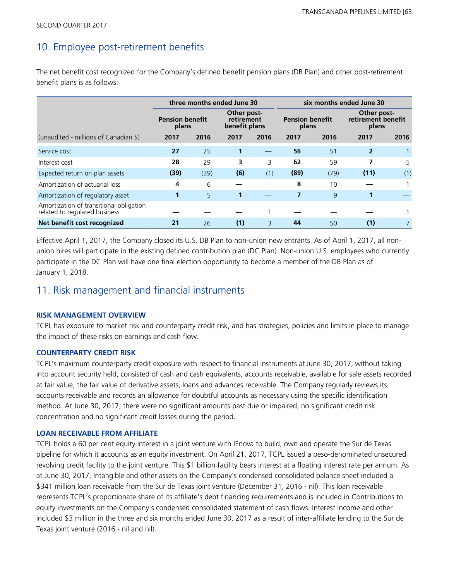### 10. Employee post-retirement benefits

The net benefit cost recognized for the Company's defined benefit pension plans (DB Plan) and other post-retirement benefit plans is as follows:

|                                                                          | three months ended June 30                                                    |      |                                 |      | six months ended June 30                   |      |                |      |
|--------------------------------------------------------------------------|-------------------------------------------------------------------------------|------|---------------------------------|------|--------------------------------------------|------|----------------|------|
|                                                                          | Other post-<br><b>Pension benefit</b><br>retirement<br>benefit plans<br>plans |      | <b>Pension benefit</b><br>plans |      | Other post-<br>retirement benefit<br>plans |      |                |      |
| (unaudited - millions of Canadian \$)                                    | 2017                                                                          | 2016 | 2017                            | 2016 | 2017                                       | 2016 | 2017           | 2016 |
| Service cost                                                             | 27                                                                            | 25   | 1                               |      | 56                                         | 51   | $\overline{2}$ |      |
| Interest cost                                                            | 28                                                                            | 29   | 3                               | 3    | 62                                         | 59   | 7              | 5    |
| Expected return on plan assets                                           | (39)                                                                          | (39) | (6)                             | (1)  | (89)                                       | (79) | (11)           | (1)  |
| Amortization of actuarial loss                                           | 4                                                                             | 6    |                                 |      | 8                                          | 10   |                |      |
| Amortization of regulatory asset                                         |                                                                               | 5    | 1                               |      |                                            | 9    |                |      |
| Amortization of transitional obligation<br>related to regulated business |                                                                               |      |                                 |      |                                            |      |                |      |
| Net benefit cost recognized                                              | 21                                                                            | 26   | (1)                             | 3    | 44                                         | 50   | (1)            |      |

Effective April 1, 2017, the Company closed its U.S. DB Plan to non-union new entrants. As of April 1, 2017, all nonunion hires will participate in the existing defined contribution plan (DC Plan). Non-union U.S. employees who currently participate in the DC Plan will have one final election opportunity to become a member of the DB Plan as of January 1, 2018.

### 11. Risk management and financial instruments

#### **RISK MANAGEMENT OVERVIEW**

TCPL has exposure to market risk and counterparty credit risk, and has strategies, policies and limits in place to manage the impact of these risks on earnings and cash flow.

#### **COUNTERPARTY CREDIT RISK**

TCPL's maximum counterparty credit exposure with respect to financial instruments at June 30, 2017, without taking into account security held, consisted of cash and cash equivalents, accounts receivable, available for sale assets recorded at fair value, the fair value of derivative assets, loans and advances receivable. The Company regularly reviews its accounts receivable and records an allowance for doubtful accounts as necessary using the specific identification method. At June 30, 2017, there were no significant amounts past due or impaired, no significant credit risk concentration and no significant credit losses during the period.

#### **LOAN RECEIVABLE FROM AFFILIATE**

TCPL holds a 60 per cent equity interest in a joint venture with IEnova to build, own and operate the Sur de Texas pipeline for which it accounts as an equity investment. On April 21, 2017, TCPL issued a peso-denominated unsecured revolving credit facility to the joint venture. This \$1 billion facility bears interest at a floating interest rate per annum. As at June 30, 2017, Intangible and other assets on the Company's condensed consolidated balance sheet included a \$341 million loan receivable from the Sur de Texas joint venture (December 31, 2016 - nil). This loan receivable represents TCPL's proportionate share of its affiliate's debt financing requirements and is included in Contributions to equity investments on the Company's condensed consolidated statement of cash flows. Interest income and other included \$3 million in the three and six months ended June 30, 2017 as a result of inter-affiliate lending to the Sur de Texas joint venture (2016 - nil and nil).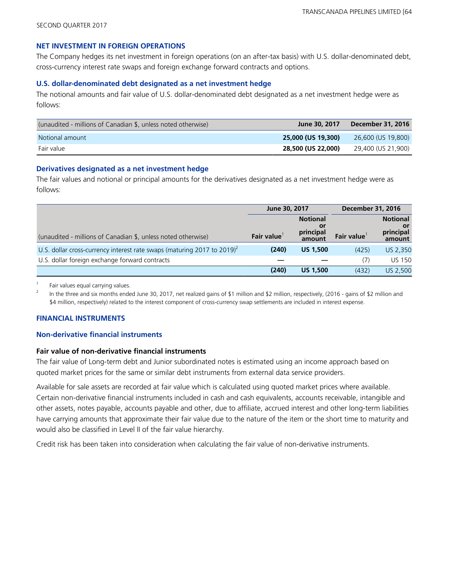#### **NET INVESTMENT IN FOREIGN OPERATIONS**

The Company hedges its net investment in foreign operations (on an after-tax basis) with U.S. dollar-denominated debt, cross-currency interest rate swaps and foreign exchange forward contracts and options.

#### **U.S. dollar-denominated debt designated as a net investment hedge**

The notional amounts and fair value of U.S. dollar-denominated debt designated as a net investment hedge were as follows:

| (unaudited - millions of Canadian \$, unless noted otherwise) | June 30, 2017      | December 31, 2016  |
|---------------------------------------------------------------|--------------------|--------------------|
| Notional amount                                               | 25,000 (US 19,300) | 26,600 (US 19,800) |
| Fair value                                                    | 28,500 (US 22,000) | 29,400 (US 21,900) |

#### **Derivatives designated as a net investment hedge**

The fair values and notional or principal amounts for the derivatives designated as a net investment hedge were as follows:

|                                                                             | June 30, 2017     |                                              | <b>December 31, 2016</b> |                                               |
|-----------------------------------------------------------------------------|-------------------|----------------------------------------------|--------------------------|-----------------------------------------------|
| (unaudited - millions of Canadian \$, unless noted otherwise)               | <b>Fair value</b> | <b>Notional</b><br>0ľ<br>principal<br>amount | Fair value               | <b>Notional</b><br>.or<br>principal<br>amount |
| U.S. dollar cross-currency interest rate swaps (maturing 2017 to 2019) $^2$ | (240)             | <b>US 1,500</b>                              | (425)                    | US 2,350                                      |
| U.S. dollar foreign exchange forward contracts                              |                   |                                              | (7)                      | <b>US 150</b>                                 |
|                                                                             | (240)             | <b>US 1,500</b>                              | (432)                    | US 2,500                                      |

 $1$  Fair values equal carrying values.

<sup>2</sup> In the three and six months ended June 30, 2017, net realized gains of \$1 million and \$2 million, respectively, (2016 - gains of \$2 million and \$4 million, respectively) related to the interest component of cross-currency swap settlements are included in interest expense.

#### **FINANCIAL INSTRUMENTS**

#### **Non-derivative financial instruments**

#### **Fair value of non-derivative financial instruments**

The fair value of Long-term debt and Junior subordinated notes is estimated using an income approach based on quoted market prices for the same or similar debt instruments from external data service providers.

Available for sale assets are recorded at fair value which is calculated using quoted market prices where available. Certain non-derivative financial instruments included in cash and cash equivalents, accounts receivable, intangible and other assets, notes payable, accounts payable and other, due to affiliate, accrued interest and other long-term liabilities have carrying amounts that approximate their fair value due to the nature of the item or the short time to maturity and would also be classified in Level II of the fair value hierarchy.

Credit risk has been taken into consideration when calculating the fair value of non-derivative instruments.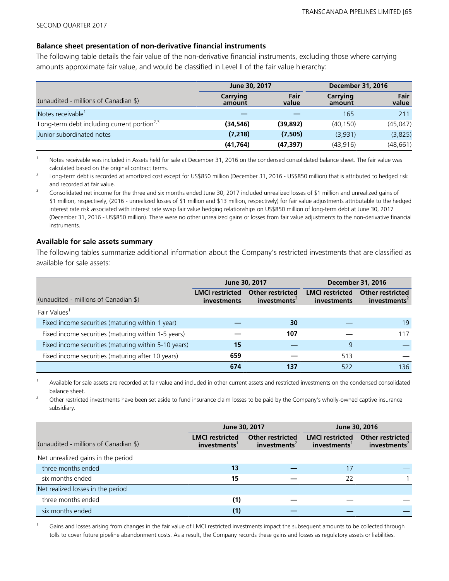#### **Balance sheet presentation of non-derivative financial instruments**

The following table details the fair value of the non-derivative financial instruments, excluding those where carrying amounts approximate fair value, and would be classified in Level II of the fair value hierarchy:

|                                                         | June 30, 2017      |               | <b>December 31, 2016</b> |               |  |
|---------------------------------------------------------|--------------------|---------------|--------------------------|---------------|--|
| (unaudited - millions of Canadian \$)                   | Carrying<br>amount | Fair<br>value | Carrying<br>amount       | Fair<br>value |  |
| Notes receivable <sup>1</sup>                           |                    |               | 165                      | 211           |  |
| Long-term debt including current portion <sup>2,3</sup> | (34,546)           | (39, 892)     | (40, 150)                | (45, 047)     |  |
| Junior subordinated notes                               | (7, 218)           | (7,505)       | (3,931)                  | (3,825)       |  |
|                                                         | (41, 764)          | (47, 397)     | (43, 916)                | (48, 661)     |  |

<sup>1</sup>Notes receivable was included in Assets held for sale at December 31, 2016 on the condensed consolidated balance sheet. The fair value was calculated based on the original contract terms.

<sup>2</sup> Long-term debt is recorded at amortized cost except for US\$850 million (December 31, 2016 - US\$850 million) that is attributed to hedged risk and recorded at fair value.

<sup>3</sup> Consolidated net income for the three and six months ended June 30, 2017 included unrealized losses of \$1 million and unrealized gains of \$1 million, respectively, (2016 - unrealized losses of \$1 million and \$13 million, respectively) for fair value adjustments attributable to the hedged interest rate risk associated with interest rate swap fair value hedging relationships on US\$850 million of long-term debt at June 30, 2017 (December 31, 2016 - US\$850 million). There were no other unrealized gains or losses from fair value adjustments to the non-derivative financial instruments.

#### **Available for sale assets summary**

The following tables summarize additional information about the Company's restricted investments that are classified as available for sale assets:

|                                                      |                                              | June 30, 2017                                       | <b>December 31, 2016</b>              |                                                     |  |
|------------------------------------------------------|----------------------------------------------|-----------------------------------------------------|---------------------------------------|-----------------------------------------------------|--|
| (unaudited - millions of Canadian \$)                | <b>LMCI</b> restricted<br><i>investments</i> | <b>Other restricted</b><br>investments <sup>2</sup> | <b>LMCI</b> restricted<br>investments | <b>Other restricted</b><br>investments <sup>2</sup> |  |
| Fair Values <sup>1</sup>                             |                                              |                                                     |                                       |                                                     |  |
| Fixed income securities (maturing within 1 year)     |                                              | 30                                                  |                                       | 19                                                  |  |
| Fixed income securities (maturing within 1-5 years)  |                                              | 107                                                 |                                       | 117                                                 |  |
| Fixed income securities (maturing within 5-10 years) | 15                                           |                                                     | 9                                     |                                                     |  |
| Fixed income securities (maturing after 10 years)    | 659                                          |                                                     | 513                                   |                                                     |  |
|                                                      | 674                                          | 137                                                 | 522                                   | 136                                                 |  |

<sup>1</sup>Available for sale assets are recorded at fair value and included in other current assets and restricted investments on the condensed consolidated balance sheet.

<sup>2</sup>Other restricted investments have been set aside to fund insurance claim losses to be paid by the Company's wholly-owned captive insurance subsidiary.

|                                       | June 30, 2017                         |                                                     | June 30, 2016                         |                                                     |  |
|---------------------------------------|---------------------------------------|-----------------------------------------------------|---------------------------------------|-----------------------------------------------------|--|
| (unaudited - millions of Canadian \$) | <b>LMCI</b> restricted<br>investments | <b>Other restricted</b><br>investments <sup>2</sup> | <b>LMCI</b> restricted<br>investments | <b>Other restricted</b><br>investments <sup>2</sup> |  |
| Net unrealized gains in the period    |                                       |                                                     |                                       |                                                     |  |
| three months ended                    | 13                                    |                                                     | 17                                    |                                                     |  |
| six months ended                      | 15                                    |                                                     | 22                                    |                                                     |  |
| Net realized losses in the period     |                                       |                                                     |                                       |                                                     |  |
| three months ended                    | (1)                                   |                                                     |                                       |                                                     |  |
| six months ended                      | (1)                                   |                                                     |                                       |                                                     |  |

Gains and losses arising from changes in the fair value of LMCI restricted investments impact the subsequent amounts to be collected through tolls to cover future pipeline abandonment costs. As a result, the Company records these gains and losses as regulatory assets or liabilities.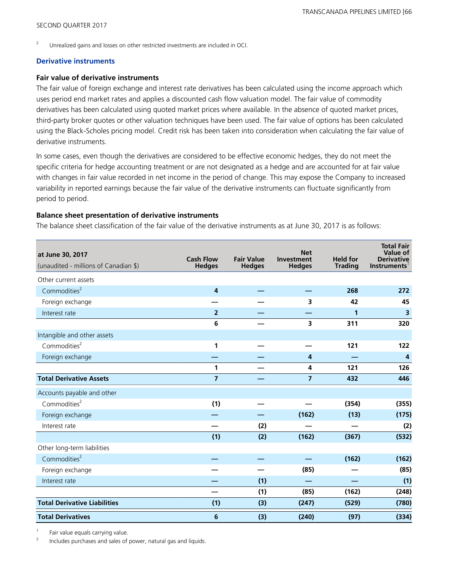<sup>2</sup> Unrealized gains and losses on other restricted investments are included in OCI.

#### **Derivative instruments**

#### **Fair value of derivative instruments**

The fair value of foreign exchange and interest rate derivatives has been calculated using the income approach which uses period end market rates and applies a discounted cash flow valuation model. The fair value of commodity derivatives has been calculated using quoted market prices where available. In the absence of quoted market prices, third-party broker quotes or other valuation techniques have been used. The fair value of options has been calculated using the Black-Scholes pricing model. Credit risk has been taken into consideration when calculating the fair value of derivative instruments.

In some cases, even though the derivatives are considered to be effective economic hedges, they do not meet the specific criteria for hedge accounting treatment or are not designated as a hedge and are accounted for at fair value with changes in fair value recorded in net income in the period of change. This may expose the Company to increased variability in reported earnings because the fair value of the derivative instruments can fluctuate significantly from period to period.

#### **Balance sheet presentation of derivative instruments**

The balance sheet classification of the fair value of the derivative instruments as at June 30, 2017 is as follows:

| at June 30, 2017<br>(unaudited - millions of Canadian \$) | <b>Cash Flow</b><br><b>Hedges</b> | <b>Fair Value</b><br><b>Hedges</b> | <b>Net</b><br>Investment<br><b>Hedges</b> | <b>Held for</b><br><b>Trading</b> | <b>Total Fair</b><br>Value of<br><b>Derivative</b><br><b>Instruments</b> |
|-----------------------------------------------------------|-----------------------------------|------------------------------------|-------------------------------------------|-----------------------------------|--------------------------------------------------------------------------|
| Other current assets                                      |                                   |                                    |                                           |                                   |                                                                          |
| Commodities <sup>2</sup>                                  | $\overline{4}$                    |                                    |                                           | 268                               | 272                                                                      |
| Foreign exchange                                          |                                   |                                    | 3                                         | 42                                | 45                                                                       |
| Interest rate                                             | $\overline{2}$                    |                                    |                                           | 1                                 | $\overline{\mathbf{3}}$                                                  |
|                                                           | 6                                 |                                    | 3                                         | 311                               | 320                                                                      |
| Intangible and other assets                               |                                   |                                    |                                           |                                   |                                                                          |
| Commodities <sup>2</sup>                                  | 1                                 |                                    |                                           | 121                               | 122                                                                      |
| Foreign exchange                                          |                                   |                                    | 4                                         |                                   | 4                                                                        |
|                                                           | $\mathbf{1}$                      |                                    | 4                                         | 121                               | 126                                                                      |
| <b>Total Derivative Assets</b>                            | $\overline{\mathbf{z}}$           |                                    | $\overline{7}$                            | 432                               | 446                                                                      |
| Accounts payable and other                                |                                   |                                    |                                           |                                   |                                                                          |
| Commodities <sup>2</sup>                                  | (1)                               |                                    |                                           | (354)                             | (355)                                                                    |
| Foreign exchange                                          |                                   |                                    | (162)                                     | (13)                              | (175)                                                                    |
| Interest rate                                             |                                   | (2)                                |                                           |                                   | (2)                                                                      |
|                                                           | (1)                               | (2)                                | (162)                                     | (367)                             | (532)                                                                    |
| Other long-term liabilities                               |                                   |                                    |                                           |                                   |                                                                          |
| Commodities <sup>2</sup>                                  |                                   |                                    |                                           | (162)                             | (162)                                                                    |
| Foreign exchange                                          |                                   |                                    | (85)                                      |                                   | (85)                                                                     |
| Interest rate                                             |                                   | (1)                                |                                           |                                   | (1)                                                                      |
|                                                           |                                   | (1)                                | (85)                                      | (162)                             | (248)                                                                    |
| <b>Total Derivative Liabilities</b>                       | (1)                               | (3)                                | (247)                                     | (529)                             | (780)                                                                    |
| <b>Total Derivatives</b>                                  | 6                                 | (3)                                | (240)                                     | (97)                              | (334)                                                                    |

<sup>1</sup> Fair value equals carrying value.

<sup>2</sup>Includes purchases and sales of power, natural gas and liquids.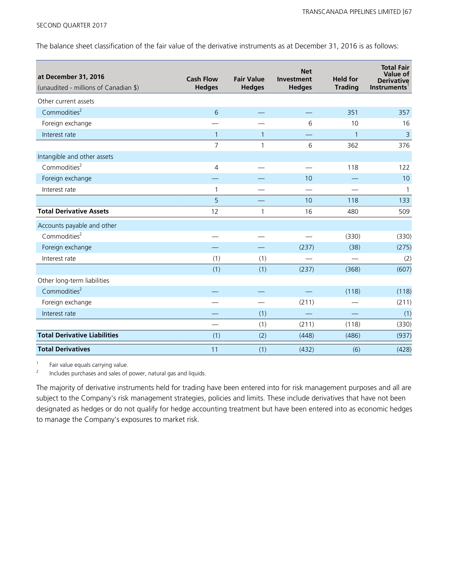The balance sheet classification of the fair value of the derivative instruments as at December 31, 2016 is as follows:

| at December 31, 2016<br>(unaudited - millions of Canadian \$) | <b>Cash Flow</b><br><b>Hedges</b> | <b>Fair Value</b><br><b>Hedges</b> | <b>Net</b><br>Investment<br><b>Hedges</b> | <b>Held for</b><br><b>Trading</b> | <b>Total Fair</b><br>Value of<br><b>Derivative</b><br><b>Instruments</b> |
|---------------------------------------------------------------|-----------------------------------|------------------------------------|-------------------------------------------|-----------------------------------|--------------------------------------------------------------------------|
| Other current assets                                          |                                   |                                    |                                           |                                   |                                                                          |
| Commodities <sup>2</sup>                                      | 6                                 |                                    |                                           | 351                               | 357                                                                      |
| Foreign exchange                                              |                                   |                                    | 6                                         | 10                                | 16                                                                       |
| Interest rate                                                 | $\mathbf{1}$                      | 1                                  |                                           | $\mathbf{1}$                      | 3                                                                        |
|                                                               | 7                                 | 1                                  | 6                                         | 362                               | 376                                                                      |
| Intangible and other assets                                   |                                   |                                    |                                           |                                   |                                                                          |
| Commodities <sup>2</sup>                                      | 4                                 |                                    |                                           | 118                               | 122                                                                      |
| Foreign exchange                                              |                                   |                                    | 10                                        |                                   | 10                                                                       |
| Interest rate                                                 | 1                                 |                                    |                                           |                                   | -1                                                                       |
|                                                               | 5                                 |                                    | 10                                        | 118                               | 133                                                                      |
| <b>Total Derivative Assets</b>                                | 12                                | 1                                  | 16                                        | 480                               | 509                                                                      |
| Accounts payable and other                                    |                                   |                                    |                                           |                                   |                                                                          |
| Commodities <sup>2</sup>                                      |                                   |                                    |                                           | (330)                             | (330)                                                                    |
| Foreign exchange                                              |                                   |                                    | (237)                                     | (38)                              | (275)                                                                    |
| Interest rate                                                 | (1)                               | (1)                                |                                           |                                   | (2)                                                                      |
|                                                               | (1)                               | (1)                                | (237)                                     | (368)                             | (607)                                                                    |
| Other long-term liabilities                                   |                                   |                                    |                                           |                                   |                                                                          |
| Commodities <sup>2</sup>                                      |                                   |                                    |                                           | (118)                             | (118)                                                                    |
| Foreign exchange                                              |                                   |                                    | (211)                                     |                                   | (211)                                                                    |
| Interest rate                                                 |                                   | (1)                                |                                           |                                   | (1)                                                                      |
|                                                               |                                   | (1)                                | (211)                                     | (118)                             | (330)                                                                    |
| <b>Total Derivative Liabilities</b>                           | (1)                               | (2)                                | (448)                                     | (486)                             | (937)                                                                    |
| <b>Total Derivatives</b>                                      | 11                                | (1)                                | (432)                                     | (6)                               | (428)                                                                    |

 $\frac{1}{2}$  Fair value equals carrying value.

<sup>2</sup>Includes purchases and sales of power, natural gas and liquids.

The majority of derivative instruments held for trading have been entered into for risk management purposes and all are subject to the Company's risk management strategies, policies and limits. These include derivatives that have not been designated as hedges or do not qualify for hedge accounting treatment but have been entered into as economic hedges to manage the Company's exposures to market risk.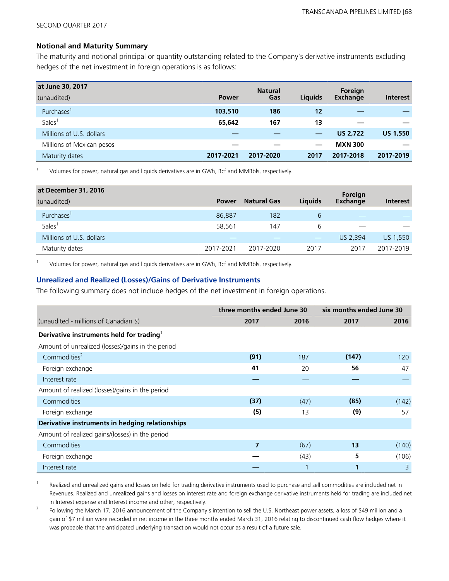#### **Notional and Maturity Summary**

The maturity and notional principal or quantity outstanding related to the Company's derivative instruments excluding hedges of the net investment in foreign operations is as follows:

| at June 30, 2017          |              | <b>Natural</b> |         | Foreign         |                 |
|---------------------------|--------------|----------------|---------|-----------------|-----------------|
| (unaudited)               | <b>Power</b> | Gas            | Liquids | <b>Exchange</b> | <b>Interest</b> |
| Purchases <sup>1</sup>    | 103,510      | 186            | 12      |                 |                 |
| Sales <sup>®</sup>        | 65,642       | 167            | 13      |                 |                 |
| Millions of U.S. dollars  |              |                |         | <b>US 2,722</b> | <b>US 1,550</b> |
| Millions of Mexican pesos |              |                |         | <b>MXN 300</b>  |                 |
| Maturity dates            | 2017-2021    | 2017-2020      | 2017    | 2017-2018       | 2017-2019       |

<sup>1</sup>Volumes for power, natural gas and liquids derivatives are in GWh, Bcf and MMBbls, respectively.

| at December 31, 2016     |              |                    |                                           | Foreign  |                 |
|--------------------------|--------------|--------------------|-------------------------------------------|----------|-----------------|
| (unaudited)              | <b>Power</b> | <b>Natural Gas</b> | <b>Liquids</b>                            | Exchange | <b>Interest</b> |
| Purchases <sup>1</sup>   | 86,887       | 182                | 6                                         |          |                 |
| Sales <sup>1</sup>       | 58,561       | 147                | 6                                         |          |                 |
| Millions of U.S. dollars |              |                    | $\qquad \qquad \overline{\qquad \qquad }$ | US 2,394 | US 1,550        |
| Maturity dates           | 2017-2021    | 2017-2020          | 2017                                      | 2017     | 2017-2019       |

<sup>1</sup>Volumes for power, natural gas and liquids derivatives are in GWh, Bcf and MMBbls, respectively.

#### **Unrealized and Realized (Losses)/Gains of Derivative Instruments**

The following summary does not include hedges of the net investment in foreign operations.

|                                                      | three months ended June 30 |      | six months ended June 30 |       |
|------------------------------------------------------|----------------------------|------|--------------------------|-------|
| (unaudited - millions of Canadian \$)                | 2017                       | 2016 | 2017                     | 2016  |
| Derivative instruments held for trading <sup>1</sup> |                            |      |                          |       |
| Amount of unrealized (losses)/gains in the period    |                            |      |                          |       |
| Commodities <sup>2</sup>                             | (91)                       | 187  | (147)                    | 120   |
| Foreign exchange                                     | 41                         | 20   | 56                       | 47    |
| Interest rate                                        |                            |      |                          |       |
| Amount of realized (losses)/gains in the period      |                            |      |                          |       |
| Commodities                                          | (37)                       | (47) | (85)                     | (142) |
| Foreign exchange                                     | (5)                        | 13   | (9)                      | 57    |
| Derivative instruments in hedging relationships      |                            |      |                          |       |
| Amount of realized gains/(losses) in the period      |                            |      |                          |       |
| Commodities                                          | 7                          | (67) | 13                       | (140) |
| Foreign exchange                                     |                            | (43) | 5                        | (106) |
| Interest rate                                        |                            |      | 1                        | 3     |

Realized and unrealized gains and losses on held for trading derivative instruments used to purchase and sell commodities are included net in Revenues. Realized and unrealized gains and losses on interest rate and foreign exchange derivative instruments held for trading are included net in Interest expense and Interest income and other, respectively.

<sup>2</sup> Following the March 17, 2016 announcement of the Company's intention to sell the U.S. Northeast power assets, a loss of \$49 million and a gain of \$7 million were recorded in net income in the three months ended March 31, 2016 relating to discontinued cash flow hedges where it was probable that the anticipated underlying transaction would not occur as a result of a future sale.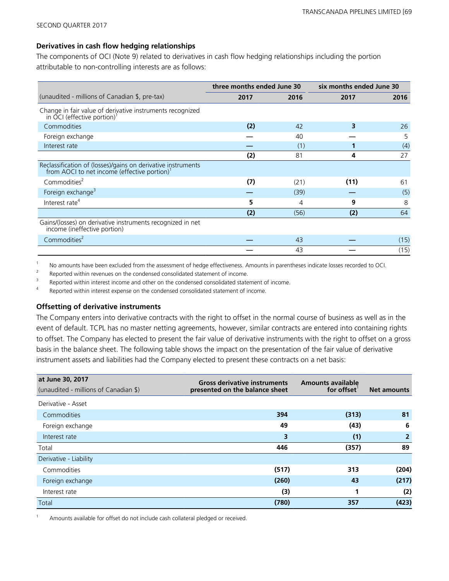#### **Derivatives in cash flow hedging relationships**

The components of OCI (Note 9) related to derivatives in cash flow hedging relationships including the portion attributable to non-controlling interests are as follows:

|                                                                                                                          | three months ended June 30 |      | six months ended June 30 |      |
|--------------------------------------------------------------------------------------------------------------------------|----------------------------|------|--------------------------|------|
| (unaudited - millions of Canadian \$, pre-tax)                                                                           | 2017                       | 2016 | 2017                     | 2016 |
| Change in fair value of derivative instruments recognized<br>in $\text{OCl}$ (effective portion) <sup>1</sup>            |                            |      |                          |      |
| Commodities                                                                                                              | (2)                        | 42   | 3                        | 26   |
| Foreign exchange                                                                                                         |                            | 40   |                          | 5    |
| Interest rate                                                                                                            |                            | (1)  |                          | (4)  |
|                                                                                                                          | (2)                        | 81   | 4                        | 27   |
| Reclassification of (losses)/gains on derivative instruments<br>from AOCI to net income (effective portion) <sup>1</sup> |                            |      |                          |      |
| Commodities <sup>2</sup>                                                                                                 | (7)                        | (21) | (11)                     | 61   |
| Foreign exchange <sup>3</sup>                                                                                            |                            | (39) |                          | (5)  |
| Interest rate <sup>4</sup>                                                                                               | 5                          | 4    | 9                        | 8    |
|                                                                                                                          | (2)                        | (56) | (2)                      | 64   |
| Gains/(losses) on derivative instruments recognized in net<br>income (ineffective portion)                               |                            |      |                          |      |
| Commodities <sup>2</sup>                                                                                                 |                            | 43   |                          | (15) |
|                                                                                                                          |                            | 43   |                          | (15) |

1 No amounts have been excluded from the assessment of hedge effectiveness. Amounts in parentheses indicate losses recorded to OCI.

Reported within revenues on the condensed consolidated statement of income.

 $3$  Reported within interest income and other on the condensed consolidated statement of income.

Reported within interest expense on the condensed consolidated statement of income.

#### **Offsetting of derivative instruments**

The Company enters into derivative contracts with the right to offset in the normal course of business as well as in the event of default. TCPL has no master netting agreements, however, similar contracts are entered into containing rights to offset. The Company has elected to present the fair value of derivative instruments with the right to offset on a gross basis in the balance sheet. The following table shows the impact on the presentation of the fair value of derivative instrument assets and liabilities had the Company elected to present these contracts on a net basis:

| at June 30, 2017<br>(unaudited - millions of Canadian \$) | <b>Gross derivative instruments</b><br>presented on the balance sheet | <b>Amounts available</b><br>for offset | <b>Net amounts</b> |
|-----------------------------------------------------------|-----------------------------------------------------------------------|----------------------------------------|--------------------|
| Derivative - Asset                                        |                                                                       |                                        |                    |
| Commodities                                               | 394                                                                   | (313)                                  | 81                 |
| Foreign exchange                                          | 49                                                                    | (43)                                   | 6                  |
| Interest rate                                             | 3                                                                     | (1)                                    | 2                  |
| Total                                                     | 446                                                                   | (357)                                  | 89                 |
| Derivative - Liability                                    |                                                                       |                                        |                    |
| Commodities                                               | (517)                                                                 | 313                                    | (204)              |
| Foreign exchange                                          | (260)                                                                 | 43                                     | (217)              |
| Interest rate                                             | (3)                                                                   |                                        | (2)                |
| Total                                                     | (780)                                                                 | 357                                    | (423)              |

Amounts available for offset do not include cash collateral pledged or received.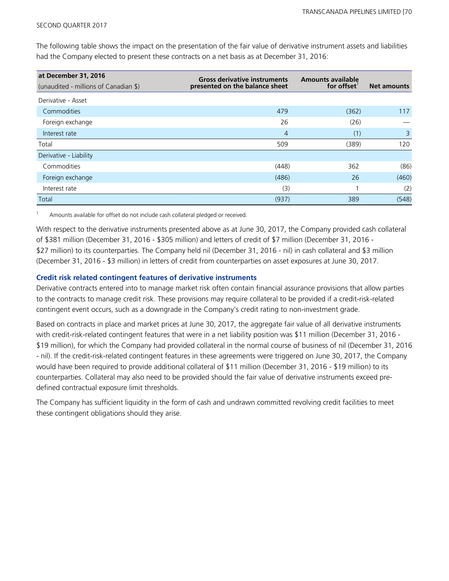The following table shows the impact on the presentation of the fair value of derivative instrument assets and liabilities had the Company elected to present these contracts on a net basis as at December 31, 2016:

| at December 31, 2016                  | <b>Gross derivative instruments</b> | <b>Amounts available</b> |                    |
|---------------------------------------|-------------------------------------|--------------------------|--------------------|
| (unaudited - millions of Canadian \$) | presented on the balance sheet      | for offset               | <b>Net amounts</b> |
| Derivative - Asset                    |                                     |                          |                    |
| Commodities                           | 479                                 | (362)                    | 117                |
| Foreign exchange                      | 26                                  | (26)                     |                    |
| Interest rate                         | $\overline{4}$                      | (1)                      | 3                  |
| Total                                 | 509                                 | (389)                    | 120                |
| Derivative - Liability                |                                     |                          |                    |
| Commodities                           | (448)                               | 362                      | (86)               |
| Foreign exchange                      | (486)                               | 26                       | (460)              |
| Interest rate                         | (3)                                 |                          | (2)                |
| Total                                 | (937)                               | 389                      | (548)              |

Amounts available for offset do not include cash collateral pledged or received.

With respect to the derivative instruments presented above as at June 30, 2017, the Company provided cash collateral of \$381 million (December 31, 2016 - \$305 million) and letters of credit of \$7 million (December 31, 2016 - \$27 million) to its counterparties. The Company held nil (December 31, 2016 - nil) in cash collateral and \$3 million (December 31, 2016 - \$3 million) in letters of credit from counterparties on asset exposures at June 30, 2017.

#### **Credit risk related contingent features of derivative instruments**

Derivative contracts entered into to manage market risk often contain financial assurance provisions that allow parties to the contracts to manage credit risk. These provisions may require collateral to be provided if a credit-risk-related contingent event occurs, such as a downgrade in the Company's credit rating to non-investment grade.

Based on contracts in place and market prices at June 30, 2017, the aggregate fair value of all derivative instruments with credit-risk-related contingent features that were in a net liability position was \$11 million (December 31, 2016 - \$19 million), for which the Company had provided collateral in the normal course of business of nil (December 31, 2016 - nil). If the credit-risk-related contingent features in these agreements were triggered on June 30, 2017, the Company would have been required to provide additional collateral of \$11 million (December 31, 2016 - \$19 million) to its counterparties. Collateral may also need to be provided should the fair value of derivative instruments exceed predefined contractual exposure limit thresholds.

The Company has sufficient liquidity in the form of cash and undrawn committed revolving credit facilities to meet these contingent obligations should they arise.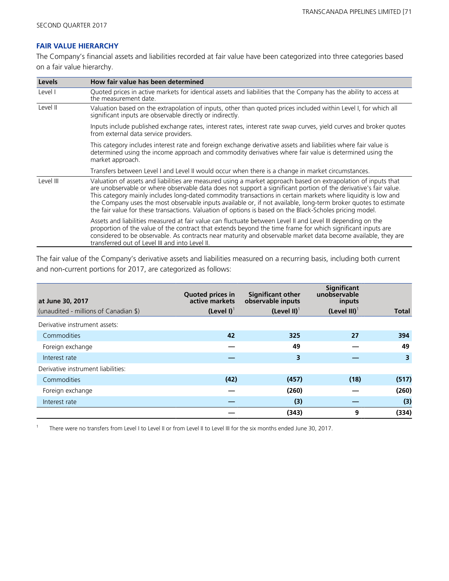#### **FAIR VALUE HIERARCHY**

The Company's financial assets and liabilities recorded at fair value have been categorized into three categories based on a fair value hierarchy.

| <b>Levels</b> | How fair value has been determined                                                                                                                                                                                                                                                                                                                                                                                                                                                                                                                                                 |
|---------------|------------------------------------------------------------------------------------------------------------------------------------------------------------------------------------------------------------------------------------------------------------------------------------------------------------------------------------------------------------------------------------------------------------------------------------------------------------------------------------------------------------------------------------------------------------------------------------|
| Level I       | Quoted prices in active markets for identical assets and liabilities that the Company has the ability to access at<br>the measurement date.                                                                                                                                                                                                                                                                                                                                                                                                                                        |
| Level II      | Valuation based on the extrapolation of inputs, other than quoted prices included within Level I, for which all<br>significant inputs are observable directly or indirectly.                                                                                                                                                                                                                                                                                                                                                                                                       |
|               | Inputs include published exchange rates, interest rates, interest rate swap curves, yield curves and broker quotes<br>from external data service providers.                                                                                                                                                                                                                                                                                                                                                                                                                        |
|               | This category includes interest rate and foreign exchange derivative assets and liabilities where fair value is<br>determined using the income approach and commodity derivatives where fair value is determined using the<br>market approach.                                                                                                                                                                                                                                                                                                                                     |
|               | Transfers between Level I and Level II would occur when there is a change in market circumstances.                                                                                                                                                                                                                                                                                                                                                                                                                                                                                 |
| Level III     | Valuation of assets and liabilities are measured using a market approach based on extrapolation of inputs that<br>are unobservable or where observable data does not support a significant portion of the derivative's fair value.<br>This category mainly includes long-dated commodity transactions in certain markets where liguidity is low and<br>the Company uses the most observable inputs available or, if not available, long-term broker quotes to estimate<br>the fair value for these transactions. Valuation of options is based on the Black-Scholes pricing model. |
|               | Assets and liabilities measured at fair value can fluctuate between Level II and Level III depending on the<br>proportion of the value of the contract that extends beyond the time frame for which significant inputs are<br>considered to be observable. As contracts near maturity and observable market data become available, they are<br>transferred out of Level III and into Level II.                                                                                                                                                                                     |

The fair value of the Company's derivative assets and liabilities measured on a recurring basis, including both current and non-current portions for 2017, are categorized as follows:

| at June 30, 2017                      | Quoted prices in<br>active markets | <b>Significant other</b><br>observable inputs | Significant<br>unobservable<br>inputs |       |
|---------------------------------------|------------------------------------|-----------------------------------------------|---------------------------------------|-------|
| (unaudited - millions of Canadian \$) | $(Level I)^T$                      | (Level II) $^{\dagger}$                       | $(Level III)^T$                       | Total |
| Derivative instrument assets:         |                                    |                                               |                                       |       |
| Commodities                           | 42                                 | 325                                           | 27                                    | 394   |
| Foreign exchange                      |                                    | 49                                            |                                       | 49    |
| Interest rate                         |                                    | 3                                             |                                       | 3     |
| Derivative instrument liabilities:    |                                    |                                               |                                       |       |
| Commodities                           | (42)                               | (457)                                         | (18)                                  | (517) |
| Foreign exchange                      |                                    | (260)                                         |                                       | (260) |
| Interest rate                         |                                    | (3)                                           |                                       | (3)   |
|                                       |                                    | (343)                                         | 9                                     | (334) |

<sup>1</sup> There were no transfers from Level I to Level II or from Level II to Level III for the six months ended June 30, 2017.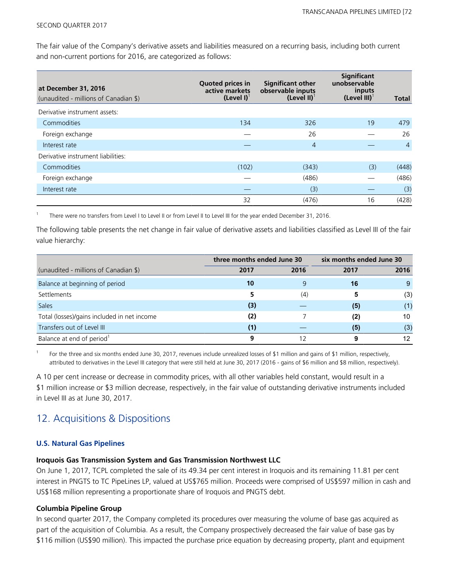The fair value of the Company's derivative assets and liabilities measured on a recurring basis, including both current and non-current portions for 2016, are categorized as follows:

| at December 31, 2016<br>(unaudited - millions of Canadian \$) | <b>Quoted prices in</b><br>active markets<br>$(Level I)^T$ | <b>Significant other</b><br>observable inputs<br>(Level II) <sup>1</sup> | <b>Significant</b><br>unobservable<br>inputs<br>$(Level III)^T$ | Total          |
|---------------------------------------------------------------|------------------------------------------------------------|--------------------------------------------------------------------------|-----------------------------------------------------------------|----------------|
| Derivative instrument assets:                                 |                                                            |                                                                          |                                                                 |                |
| Commodities                                                   | 134                                                        | 326                                                                      | 19                                                              | 479            |
| Foreign exchange                                              |                                                            | 26                                                                       |                                                                 | 26             |
| Interest rate                                                 |                                                            | 4                                                                        |                                                                 | $\overline{4}$ |
| Derivative instrument liabilities:                            |                                                            |                                                                          |                                                                 |                |
| Commodities                                                   | (102)                                                      | (343)                                                                    | (3)                                                             | (448)          |
| Foreign exchange                                              |                                                            | (486)                                                                    |                                                                 | (486)          |
| Interest rate                                                 |                                                            | (3)                                                                      |                                                                 | (3)            |
|                                                               | 32                                                         | (476)                                                                    | 16                                                              | (428)          |

<sup>1</sup>There were no transfers from Level I to Level II or from Level II to Level III for the year ended December 31, 2016.

The following table presents the net change in fair value of derivative assets and liabilities classified as Level III of the fair value hierarchy:

|                                             | three months ended June 30 |      | six months ended June 30 |      |
|---------------------------------------------|----------------------------|------|--------------------------|------|
| (unaudited - millions of Canadian \$)       | 2017                       | 2016 | 2017                     | 2016 |
| Balance at beginning of period              | 10                         |      | 16                       | 9    |
| Settlements                                 |                            | (4)  | 5                        | (3)  |
| <b>Sales</b>                                | (3)                        |      | (5)                      | (1)  |
| Total (losses)/gains included in net income | (2)                        |      | (2)                      | 10   |
| Transfers out of Level III                  | (1)                        |      | (5)                      | (3)  |
| Balance at end of period <sup>1</sup>       | 9                          |      |                          | 12   |

For the three and six months ended June 30, 2017, revenues include unrealized losses of \$1 million and gains of \$1 million, respectively, attributed to derivatives in the Level III category that were still held at June 30, 2017 (2016 - gains of \$6 million and \$8 million, respectively).

A 10 per cent increase or decrease in commodity prices, with all other variables held constant, would result in a \$1 million increase or \$3 million decrease, respectively, in the fair value of outstanding derivative instruments included in Level III as at June 30, 2017.

### 12. Acquisitions & Dispositions

#### **U.S. Natural Gas Pipelines**

#### **Iroquois Gas Transmission System and Gas Transmission Northwest LLC**

On June 1, 2017, TCPL completed the sale of its 49.34 per cent interest in Iroquois and its remaining 11.81 per cent interest in PNGTS to TC PipeLines LP, valued at US\$765 million. Proceeds were comprised of US\$597 million in cash and US\$168 million representing a proportionate share of Iroquois and PNGTS debt.

#### **Columbia Pipeline Group**

In second quarter 2017, the Company completed its procedures over measuring the volume of base gas acquired as part of the acquisition of Columbia. As a result, the Company prospectively decreased the fair value of base gas by \$116 million (US\$90 million). This impacted the purchase price equation by decreasing property, plant and equipment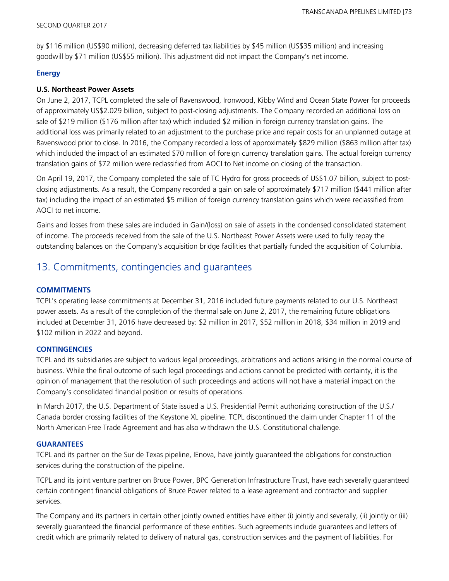by \$116 million (US\$90 million), decreasing deferred tax liabilities by \$45 million (US\$35 million) and increasing goodwill by \$71 million (US\$55 million). This adjustment did not impact the Company's net income.

### **Energy**

### **U.S. Northeast Power Assets**

On June 2, 2017, TCPL completed the sale of Ravenswood, Ironwood, Kibby Wind and Ocean State Power for proceeds of approximately US\$2.029 billion, subject to post-closing adjustments. The Company recorded an additional loss on sale of \$219 million (\$176 million after tax) which included \$2 million in foreign currency translation gains. The additional loss was primarily related to an adjustment to the purchase price and repair costs for an unplanned outage at Ravenswood prior to close. In 2016, the Company recorded a loss of approximately \$829 million (\$863 million after tax) which included the impact of an estimated \$70 million of foreign currency translation gains. The actual foreign currency translation gains of \$72 million were reclassified from AOCI to Net income on closing of the transaction.

On April 19, 2017, the Company completed the sale of TC Hydro for gross proceeds of US\$1.07 billion, subject to postclosing adjustments. As a result, the Company recorded a gain on sale of approximately \$717 million (\$441 million after tax) including the impact of an estimated \$5 million of foreign currency translation gains which were reclassified from AOCI to net income.

Gains and losses from these sales are included in Gain/(loss) on sale of assets in the condensed consolidated statement of income. The proceeds received from the sale of the U.S. Northeast Power Assets were used to fully repay the outstanding balances on the Company's acquisition bridge facilities that partially funded the acquisition of Columbia.

## 13. Commitments, contingencies and guarantees

### **COMMITMENTS**

TCPL's operating lease commitments at December 31, 2016 included future payments related to our U.S. Northeast power assets. As a result of the completion of the thermal sale on June 2, 2017, the remaining future obligations included at December 31, 2016 have decreased by: \$2 million in 2017, \$52 million in 2018, \$34 million in 2019 and \$102 million in 2022 and beyond.

### **CONTINGENCIES**

TCPL and its subsidiaries are subject to various legal proceedings, arbitrations and actions arising in the normal course of business. While the final outcome of such legal proceedings and actions cannot be predicted with certainty, it is the opinion of management that the resolution of such proceedings and actions will not have a material impact on the Company's consolidated financial position or results of operations.

In March 2017, the U.S. Department of State issued a U.S. Presidential Permit authorizing construction of the U.S./ Canada border crossing facilities of the Keystone XL pipeline. TCPL discontinued the claim under Chapter 11 of the North American Free Trade Agreement and has also withdrawn the U.S. Constitutional challenge.

### **GUARANTEES**

TCPL and its partner on the Sur de Texas pipeline, IEnova, have jointly guaranteed the obligations for construction services during the construction of the pipeline.

TCPL and its joint venture partner on Bruce Power, BPC Generation Infrastructure Trust, have each severally guaranteed certain contingent financial obligations of Bruce Power related to a lease agreement and contractor and supplier services.

The Company and its partners in certain other jointly owned entities have either (i) jointly and severally, (ii) jointly or (iii) severally guaranteed the financial performance of these entities. Such agreements include guarantees and letters of credit which are primarily related to delivery of natural gas, construction services and the payment of liabilities. For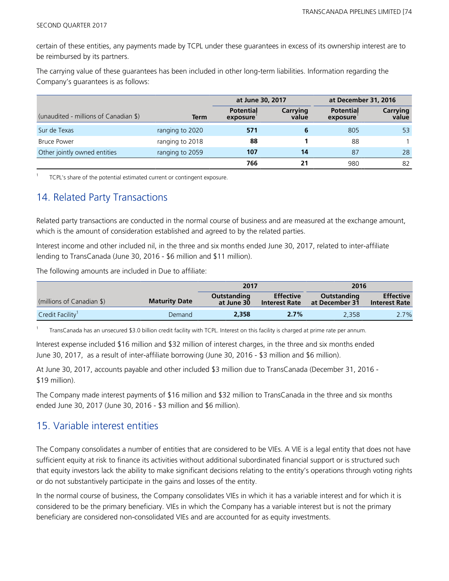certain of these entities, any payments made by TCPL under these guarantees in excess of its ownership interest are to be reimbursed by its partners.

The carrying value of these guarantees has been included in other long-term liabilities. Information regarding the Company's guarantees is as follows:

|                                       |                 | at June 30, 2017             |                   | at December 31, 2016         |                   |
|---------------------------------------|-----------------|------------------------------|-------------------|------------------------------|-------------------|
| (unaudited - millions of Canadian \$) | <b>Term</b>     | <b>Potential</b><br>exposure | Carrying<br>value | <b>Potential</b><br>exposure | Carrying<br>value |
| Sur de Texas                          | ranging to 2020 | 571                          | 6                 | 805                          | 53                |
| <b>Bruce Power</b>                    | ranging to 2018 | 88                           |                   | 88                           |                   |
| Other jointly owned entities          | ranging to 2059 | 107                          | 14                | 87                           | 28                |
|                                       |                 | 766                          | 21                | 980                          | 82                |

<sup>1</sup>TCPL's share of the potential estimated current or contingent exposure.

# 14. Related Party Transactions

Related party transactions are conducted in the normal course of business and are measured at the exchange amount, which is the amount of consideration established and agreed to by the related parties.

Interest income and other included nil, in the three and six months ended June 30, 2017, related to inter-affiliate lending to TransCanada (June 30, 2016 - \$6 million and \$11 million).

The following amounts are included in Due to affiliate:

|                              |                      | 2017                      |                                          | 2016                          |                                          |
|------------------------------|----------------------|---------------------------|------------------------------------------|-------------------------------|------------------------------------------|
| (millions of Canadian \$)    | <b>Maturity Date</b> | Outstanding<br>at June 30 | <b>Effective</b><br><b>Interest Rate</b> | Outstanding<br>at December 31 | <b>Effective</b><br><b>Interest Rate</b> |
| Credit Facility <sup>1</sup> | Demand               | 2,358                     | 2.7%                                     | 2.358                         | 2.7%                                     |

1 TransCanada has an unsecured \$3.0 billion credit facility with TCPL. Interest on this facility is charged at prime rate per annum.

Interest expense included \$16 million and \$32 million of interest charges, in the three and six months ended June 30, 2017, as a result of inter-affiliate borrowing (June 30, 2016 - \$3 million and \$6 million).

At June 30, 2017, accounts payable and other included \$3 million due to TransCanada (December 31, 2016 - \$19 million).

The Company made interest payments of \$16 million and \$32 million to TransCanada in the three and six months ended June 30, 2017 (June 30, 2016 - \$3 million and \$6 million).

### 15. Variable interest entities

The Company consolidates a number of entities that are considered to be VIEs. A VIE is a legal entity that does not have sufficient equity at risk to finance its activities without additional subordinated financial support or is structured such that equity investors lack the ability to make significant decisions relating to the entity's operations through voting rights or do not substantively participate in the gains and losses of the entity.

In the normal course of business, the Company consolidates VIEs in which it has a variable interest and for which it is considered to be the primary beneficiary. VIEs in which the Company has a variable interest but is not the primary beneficiary are considered non-consolidated VIEs and are accounted for as equity investments.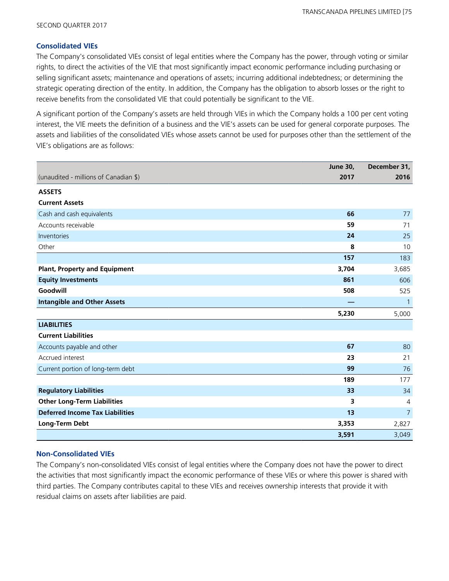### **Consolidated VIEs**

The Company's consolidated VIEs consist of legal entities where the Company has the power, through voting or similar rights, to direct the activities of the VIE that most significantly impact economic performance including purchasing or selling significant assets; maintenance and operations of assets; incurring additional indebtedness; or determining the strategic operating direction of the entity. In addition, the Company has the obligation to absorb losses or the right to receive benefits from the consolidated VIE that could potentially be significant to the VIE.

A significant portion of the Company's assets are held through VIEs in which the Company holds a 100 per cent voting interest, the VIE meets the definition of a business and the VIE's assets can be used for general corporate purposes. The assets and liabilities of the consolidated VIEs whose assets cannot be used for purposes other than the settlement of the VIE's obligations are as follows:

|                                        | <b>June 30,</b> | December 31,   |
|----------------------------------------|-----------------|----------------|
| (unaudited - millions of Canadian \$)  | 2017            | 2016           |
| <b>ASSETS</b>                          |                 |                |
| <b>Current Assets</b>                  |                 |                |
| Cash and cash equivalents              | 66              | 77             |
| Accounts receivable                    | 59              | 71             |
| Inventories                            | 24              | 25             |
| Other                                  | 8               | 10             |
|                                        | 157             | 183            |
| <b>Plant, Property and Equipment</b>   | 3,704           | 3,685          |
| <b>Equity Investments</b>              | 861             | 606            |
| Goodwill                               | 508             | 525            |
| <b>Intangible and Other Assets</b>     |                 | $\mathbf{1}$   |
|                                        | 5,230           | 5,000          |
| <b>LIABILITIES</b>                     |                 |                |
| <b>Current Liabilities</b>             |                 |                |
| Accounts payable and other             | 67              | 80             |
| Accrued interest                       | 23              | 21             |
| Current portion of long-term debt      | 99              | 76             |
|                                        | 189             | 177            |
| <b>Regulatory Liabilities</b>          | 33              | 34             |
| <b>Other Long-Term Liabilities</b>     | 3               | $\overline{4}$ |
| <b>Deferred Income Tax Liabilities</b> | 13              | $\overline{7}$ |
| Long-Term Debt                         | 3,353           | 2,827          |
|                                        | 3,591           | 3,049          |

### **Non-Consolidated VIEs**

The Company's non-consolidated VIEs consist of legal entities where the Company does not have the power to direct the activities that most significantly impact the economic performance of these VIEs or where this power is shared with third parties. The Company contributes capital to these VIEs and receives ownership interests that provide it with residual claims on assets after liabilities are paid.